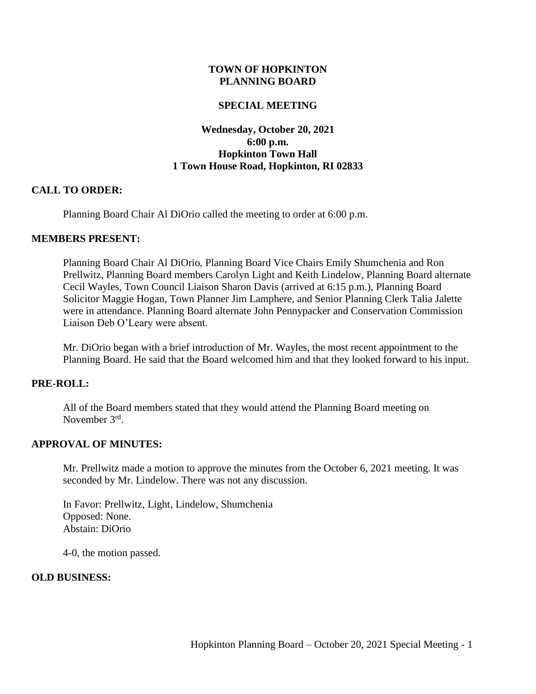### **TOWN OF HOPKINTON PLANNING BOARD**

### **SPECIAL MEETING**

# **Wednesday, October 20, 2021 6:00 p.m. Hopkinton Town Hall 1 Town House Road, Hopkinton, RI 02833**

### **CALL TO ORDER:**

Planning Board Chair Al DiOrio called the meeting to order at 6:00 p.m.

#### **MEMBERS PRESENT:**

Planning Board Chair Al DiOrio, Planning Board Vice Chairs Emily Shumchenia and Ron Prellwitz, Planning Board members Carolyn Light and Keith Lindelow, Planning Board alternate Cecil Wayles, Town Council Liaison Sharon Davis (arrived at 6:15 p.m.), Planning Board Solicitor Maggie Hogan, Town Planner Jim Lamphere, and Senior Planning Clerk Talia Jalette were in attendance. Planning Board alternate John Pennypacker and Conservation Commission Liaison Deb O'Leary were absent.

Mr. DiOrio began with a brief introduction of Mr. Wayles, the most recent appointment to the Planning Board. He said that the Board welcomed him and that they looked forward to his input.

# **PRE-ROLL:**

All of the Board members stated that they would attend the Planning Board meeting on November 3<sup>rd</sup>.

# **APPROVAL OF MINUTES:**

Mr. Prellwitz made a motion to approve the minutes from the October 6, 2021 meeting. It was seconded by Mr. Lindelow. There was not any discussion.

In Favor: Prellwitz, Light, Lindelow, Shumchenia Opposed: None. Abstain: DiOrio

4-0, the motion passed.

#### **OLD BUSINESS:**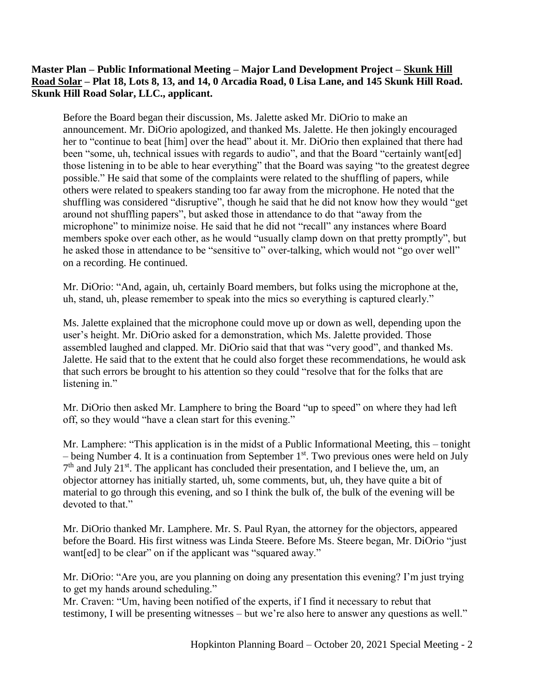# **Master Plan – Public Informational Meeting – Major Land Development Project – Skunk Hill Road Solar – Plat 18, Lots 8, 13, and 14, 0 Arcadia Road, 0 Lisa Lane, and 145 Skunk Hill Road. Skunk Hill Road Solar, LLC., applicant.**

Before the Board began their discussion, Ms. Jalette asked Mr. DiOrio to make an announcement. Mr. DiOrio apologized, and thanked Ms. Jalette. He then jokingly encouraged her to "continue to beat [him] over the head" about it. Mr. DiOrio then explained that there had been "some, uh, technical issues with regards to audio", and that the Board "certainly want[ed] those listening in to be able to hear everything" that the Board was saying "to the greatest degree possible." He said that some of the complaints were related to the shuffling of papers, while others were related to speakers standing too far away from the microphone. He noted that the shuffling was considered "disruptive", though he said that he did not know how they would "get around not shuffling papers", but asked those in attendance to do that "away from the microphone" to minimize noise. He said that he did not "recall" any instances where Board members spoke over each other, as he would "usually clamp down on that pretty promptly", but he asked those in attendance to be "sensitive to" over-talking, which would not "go over well" on a recording. He continued.

Mr. DiOrio: "And, again, uh, certainly Board members, but folks using the microphone at the, uh, stand, uh, please remember to speak into the mics so everything is captured clearly."

Ms. Jalette explained that the microphone could move up or down as well, depending upon the user's height. Mr. DiOrio asked for a demonstration, which Ms. Jalette provided. Those assembled laughed and clapped. Mr. DiOrio said that that was "very good", and thanked Ms. Jalette. He said that to the extent that he could also forget these recommendations, he would ask that such errors be brought to his attention so they could "resolve that for the folks that are listening in."

Mr. DiOrio then asked Mr. Lamphere to bring the Board "up to speed" on where they had left off, so they would "have a clean start for this evening."

Mr. Lamphere: "This application is in the midst of a Public Informational Meeting, this – tonight – being Number 4. It is a continuation from September  $1<sup>st</sup>$ . Two previous ones were held on July 7<sup>th</sup> and July 21<sup>st</sup>. The applicant has concluded their presentation, and I believe the, um, an objector attorney has initially started, uh, some comments, but, uh, they have quite a bit of material to go through this evening, and so I think the bulk of, the bulk of the evening will be devoted to that."

Mr. DiOrio thanked Mr. Lamphere. Mr. S. Paul Ryan, the attorney for the objectors, appeared before the Board. His first witness was Linda Steere. Before Ms. Steere began, Mr. DiOrio "just want[ed] to be clear" on if the applicant was "squared away."

Mr. DiOrio: "Are you, are you planning on doing any presentation this evening? I'm just trying to get my hands around scheduling."

Mr. Craven: "Um, having been notified of the experts, if I find it necessary to rebut that testimony, I will be presenting witnesses – but we're also here to answer any questions as well."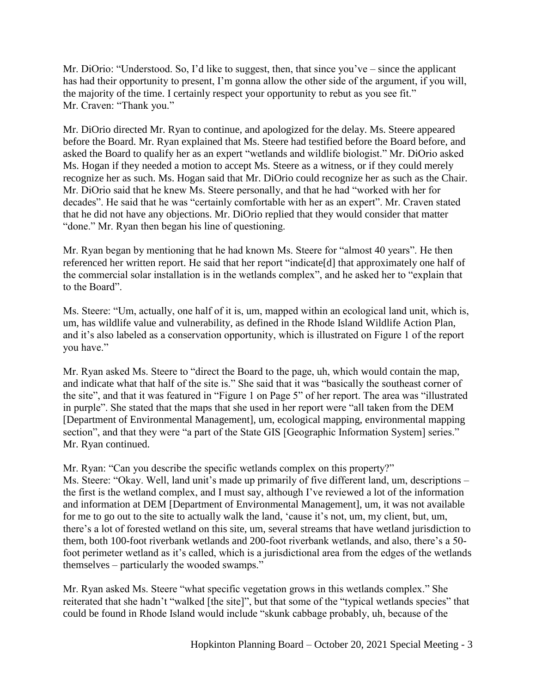Mr. DiOrio: "Understood. So, I'd like to suggest, then, that since you've – since the applicant has had their opportunity to present, I'm gonna allow the other side of the argument, if you will, the majority of the time. I certainly respect your opportunity to rebut as you see fit." Mr. Craven: "Thank you."

Mr. DiOrio directed Mr. Ryan to continue, and apologized for the delay. Ms. Steere appeared before the Board. Mr. Ryan explained that Ms. Steere had testified before the Board before, and asked the Board to qualify her as an expert "wetlands and wildlife biologist." Mr. DiOrio asked Ms. Hogan if they needed a motion to accept Ms. Steere as a witness, or if they could merely recognize her as such. Ms. Hogan said that Mr. DiOrio could recognize her as such as the Chair. Mr. DiOrio said that he knew Ms. Steere personally, and that he had "worked with her for decades". He said that he was "certainly comfortable with her as an expert". Mr. Craven stated that he did not have any objections. Mr. DiOrio replied that they would consider that matter "done." Mr. Ryan then began his line of questioning.

Mr. Ryan began by mentioning that he had known Ms. Steere for "almost 40 years". He then referenced her written report. He said that her report "indicate[d] that approximately one half of the commercial solar installation is in the wetlands complex", and he asked her to "explain that to the Board".

Ms. Steere: "Um, actually, one half of it is, um, mapped within an ecological land unit, which is, um, has wildlife value and vulnerability, as defined in the Rhode Island Wildlife Action Plan, and it's also labeled as a conservation opportunity, which is illustrated on Figure 1 of the report you have."

Mr. Ryan asked Ms. Steere to "direct the Board to the page, uh, which would contain the map, and indicate what that half of the site is." She said that it was "basically the southeast corner of the site", and that it was featured in "Figure 1 on Page 5" of her report. The area was "illustrated in purple". She stated that the maps that she used in her report were "all taken from the DEM [Department of Environmental Management], um, ecological mapping, environmental mapping section", and that they were "a part of the State GIS [Geographic Information System] series." Mr. Ryan continued.

Mr. Ryan: "Can you describe the specific wetlands complex on this property?" Ms. Steere: "Okay. Well, land unit's made up primarily of five different land, um, descriptions – the first is the wetland complex, and I must say, although I've reviewed a lot of the information and information at DEM [Department of Environmental Management], um, it was not available for me to go out to the site to actually walk the land, 'cause it's not, um, my client, but, um, there's a lot of forested wetland on this site, um, several streams that have wetland jurisdiction to them, both 100-foot riverbank wetlands and 200-foot riverbank wetlands, and also, there's a 50 foot perimeter wetland as it's called, which is a jurisdictional area from the edges of the wetlands themselves – particularly the wooded swamps."

Mr. Ryan asked Ms. Steere "what specific vegetation grows in this wetlands complex." She reiterated that she hadn't "walked [the site]", but that some of the "typical wetlands species" that could be found in Rhode Island would include "skunk cabbage probably, uh, because of the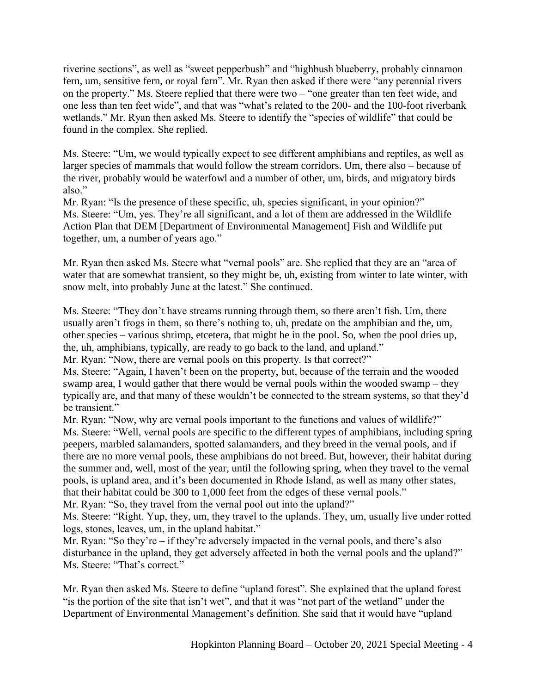riverine sections", as well as "sweet pepperbush" and "highbush blueberry, probably cinnamon fern, um, sensitive fern, or royal fern". Mr. Ryan then asked if there were "any perennial rivers on the property." Ms. Steere replied that there were two – "one greater than ten feet wide, and one less than ten feet wide", and that was "what's related to the 200- and the 100-foot riverbank wetlands." Mr. Ryan then asked Ms. Steere to identify the "species of wildlife" that could be found in the complex. She replied.

Ms. Steere: "Um, we would typically expect to see different amphibians and reptiles, as well as larger species of mammals that would follow the stream corridors. Um, there also – because of the river, probably would be waterfowl and a number of other, um, birds, and migratory birds also."

Mr. Ryan: "Is the presence of these specific, uh, species significant, in your opinion?" Ms. Steere: "Um, yes. They're all significant, and a lot of them are addressed in the Wildlife Action Plan that DEM [Department of Environmental Management] Fish and Wildlife put together, um, a number of years ago."

Mr. Ryan then asked Ms. Steere what "vernal pools" are. She replied that they are an "area of water that are somewhat transient, so they might be, uh, existing from winter to late winter, with snow melt, into probably June at the latest." She continued.

Ms. Steere: "They don't have streams running through them, so there aren't fish. Um, there usually aren't frogs in them, so there's nothing to, uh, predate on the amphibian and the, um, other species – various shrimp, etcetera, that might be in the pool. So, when the pool dries up, the, uh, amphibians, typically, are ready to go back to the land, and upland."

Mr. Ryan: "Now, there are vernal pools on this property. Is that correct?"

Ms. Steere: "Again, I haven't been on the property, but, because of the terrain and the wooded swamp area, I would gather that there would be vernal pools within the wooded swamp – they typically are, and that many of these wouldn't be connected to the stream systems, so that they'd be transient."

Mr. Ryan: "Now, why are vernal pools important to the functions and values of wildlife?" Ms. Steere: "Well, vernal pools are specific to the different types of amphibians, including spring peepers, marbled salamanders, spotted salamanders, and they breed in the vernal pools, and if there are no more vernal pools, these amphibians do not breed. But, however, their habitat during the summer and, well, most of the year, until the following spring, when they travel to the vernal pools, is upland area, and it's been documented in Rhode Island, as well as many other states, that their habitat could be 300 to 1,000 feet from the edges of these vernal pools."

Mr. Ryan: "So, they travel from the vernal pool out into the upland?"

Ms. Steere: "Right. Yup, they, um, they travel to the uplands. They, um, usually live under rotted logs, stones, leaves, um, in the upland habitat."

Mr. Ryan: "So they're – if they're adversely impacted in the vernal pools, and there's also disturbance in the upland, they get adversely affected in both the vernal pools and the upland?" Ms. Steere: "That's correct."

Mr. Ryan then asked Ms. Steere to define "upland forest". She explained that the upland forest "is the portion of the site that isn't wet", and that it was "not part of the wetland" under the Department of Environmental Management's definition. She said that it would have "upland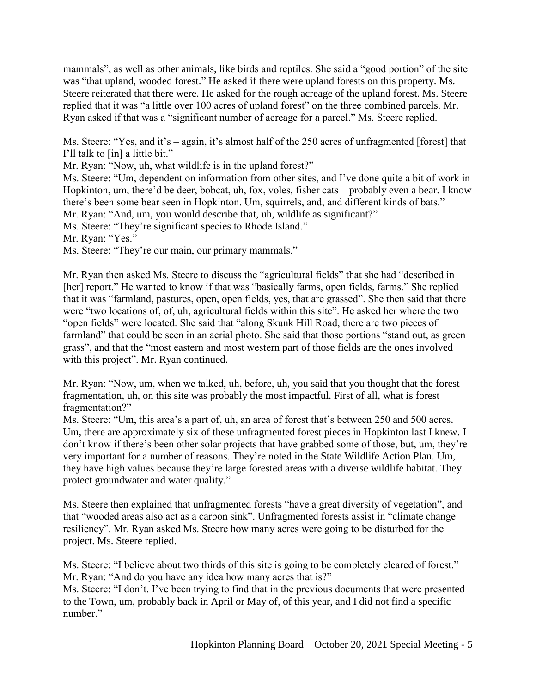mammals", as well as other animals, like birds and reptiles. She said a "good portion" of the site was "that upland, wooded forest." He asked if there were upland forests on this property. Ms. Steere reiterated that there were. He asked for the rough acreage of the upland forest. Ms. Steere replied that it was "a little over 100 acres of upland forest" on the three combined parcels. Mr. Ryan asked if that was a "significant number of acreage for a parcel." Ms. Steere replied.

Ms. Steere: "Yes, and it's – again, it's almost half of the 250 acres of unfragmented [forest] that I'll talk to [in] a little bit."

Mr. Ryan: "Now, uh, what wildlife is in the upland forest?"

Ms. Steere: "Um, dependent on information from other sites, and I've done quite a bit of work in Hopkinton, um, there'd be deer, bobcat, uh, fox, voles, fisher cats – probably even a bear. I know there's been some bear seen in Hopkinton. Um, squirrels, and, and different kinds of bats." Mr. Ryan: "And, um, you would describe that, uh, wildlife as significant?"

Ms. Steere: "They're significant species to Rhode Island."

Mr. Ryan: "Yes."

Ms. Steere: "They're our main, our primary mammals."

Mr. Ryan then asked Ms. Steere to discuss the "agricultural fields" that she had "described in [her] report." He wanted to know if that was "basically farms, open fields, farms." She replied that it was "farmland, pastures, open, open fields, yes, that are grassed". She then said that there were "two locations of, of, uh, agricultural fields within this site". He asked her where the two "open fields" were located. She said that "along Skunk Hill Road, there are two pieces of farmland" that could be seen in an aerial photo. She said that those portions "stand out, as green grass", and that the "most eastern and most western part of those fields are the ones involved with this project". Mr. Ryan continued.

Mr. Ryan: "Now, um, when we talked, uh, before, uh, you said that you thought that the forest fragmentation, uh, on this site was probably the most impactful. First of all, what is forest fragmentation?"

Ms. Steere: "Um, this area's a part of, uh, an area of forest that's between 250 and 500 acres. Um, there are approximately six of these unfragmented forest pieces in Hopkinton last I knew. I don't know if there's been other solar projects that have grabbed some of those, but, um, they're very important for a number of reasons. They're noted in the State Wildlife Action Plan. Um, they have high values because they're large forested areas with a diverse wildlife habitat. They protect groundwater and water quality."

Ms. Steere then explained that unfragmented forests "have a great diversity of vegetation", and that "wooded areas also act as a carbon sink". Unfragmented forests assist in "climate change resiliency". Mr. Ryan asked Ms. Steere how many acres were going to be disturbed for the project. Ms. Steere replied.

Ms. Steere: "I believe about two thirds of this site is going to be completely cleared of forest." Mr. Ryan: "And do you have any idea how many acres that is?"

Ms. Steere: "I don't. I've been trying to find that in the previous documents that were presented to the Town, um, probably back in April or May of, of this year, and I did not find a specific number."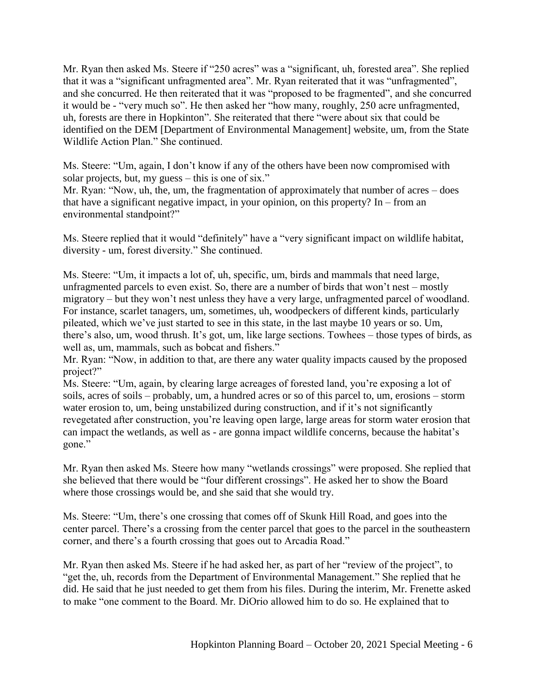Mr. Ryan then asked Ms. Steere if "250 acres" was a "significant, uh, forested area". She replied that it was a "significant unfragmented area". Mr. Ryan reiterated that it was "unfragmented", and she concurred. He then reiterated that it was "proposed to be fragmented", and she concurred it would be - "very much so". He then asked her "how many, roughly, 250 acre unfragmented, uh, forests are there in Hopkinton". She reiterated that there "were about six that could be identified on the DEM [Department of Environmental Management] website, um, from the State Wildlife Action Plan." She continued.

Ms. Steere: "Um, again, I don't know if any of the others have been now compromised with solar projects, but, my guess – this is one of six."

Mr. Ryan: "Now, uh, the, um, the fragmentation of approximately that number of acres – does that have a significant negative impact, in your opinion, on this property? In – from an environmental standpoint?"

Ms. Steere replied that it would "definitely" have a "very significant impact on wildlife habitat, diversity - um, forest diversity." She continued.

Ms. Steere: "Um, it impacts a lot of, uh, specific, um, birds and mammals that need large, unfragmented parcels to even exist. So, there are a number of birds that won't nest – mostly migratory – but they won't nest unless they have a very large, unfragmented parcel of woodland. For instance, scarlet tanagers, um, sometimes, uh, woodpeckers of different kinds, particularly pileated, which we've just started to see in this state, in the last maybe 10 years or so. Um, there's also, um, wood thrush. It's got, um, like large sections. Towhees – those types of birds, as well as, um, mammals, such as bobcat and fishers."

Mr. Ryan: "Now, in addition to that, are there any water quality impacts caused by the proposed project?"

Ms. Steere: "Um, again, by clearing large acreages of forested land, you're exposing a lot of soils, acres of soils – probably, um, a hundred acres or so of this parcel to, um, erosions – storm water erosion to, um, being unstabilized during construction, and if it's not significantly revegetated after construction, you're leaving open large, large areas for storm water erosion that can impact the wetlands, as well as - are gonna impact wildlife concerns, because the habitat's gone."

Mr. Ryan then asked Ms. Steere how many "wetlands crossings" were proposed. She replied that she believed that there would be "four different crossings". He asked her to show the Board where those crossings would be, and she said that she would try.

Ms. Steere: "Um, there's one crossing that comes off of Skunk Hill Road, and goes into the center parcel. There's a crossing from the center parcel that goes to the parcel in the southeastern corner, and there's a fourth crossing that goes out to Arcadia Road."

Mr. Ryan then asked Ms. Steere if he had asked her, as part of her "review of the project", to "get the, uh, records from the Department of Environmental Management." She replied that he did. He said that he just needed to get them from his files. During the interim, Mr. Frenette asked to make "one comment to the Board. Mr. DiOrio allowed him to do so. He explained that to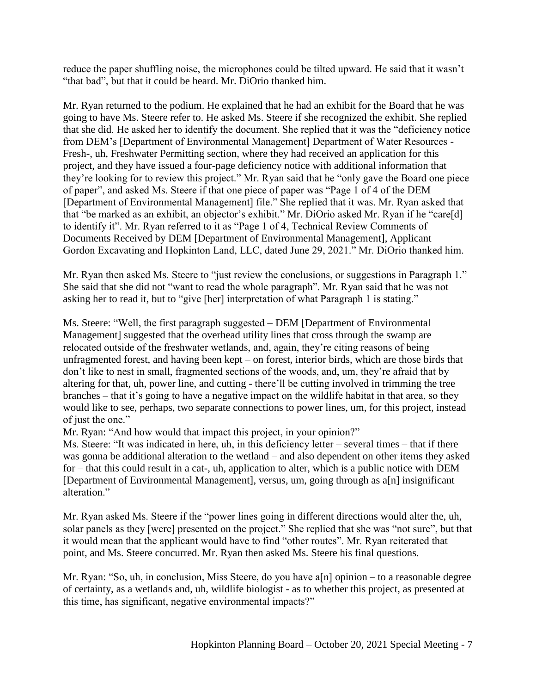reduce the paper shuffling noise, the microphones could be tilted upward. He said that it wasn't "that bad", but that it could be heard. Mr. DiOrio thanked him.

Mr. Ryan returned to the podium. He explained that he had an exhibit for the Board that he was going to have Ms. Steere refer to. He asked Ms. Steere if she recognized the exhibit. She replied that she did. He asked her to identify the document. She replied that it was the "deficiency notice from DEM's [Department of Environmental Management] Department of Water Resources - Fresh-, uh, Freshwater Permitting section, where they had received an application for this project, and they have issued a four-page deficiency notice with additional information that they're looking for to review this project." Mr. Ryan said that he "only gave the Board one piece of paper", and asked Ms. Steere if that one piece of paper was "Page 1 of 4 of the DEM [Department of Environmental Management] file." She replied that it was. Mr. Ryan asked that that "be marked as an exhibit, an objector's exhibit." Mr. DiOrio asked Mr. Ryan if he "care[d] to identify it". Mr. Ryan referred to it as "Page 1 of 4, Technical Review Comments of Documents Received by DEM [Department of Environmental Management], Applicant – Gordon Excavating and Hopkinton Land, LLC, dated June 29, 2021." Mr. DiOrio thanked him.

Mr. Ryan then asked Ms. Steere to "just review the conclusions, or suggestions in Paragraph 1." She said that she did not "want to read the whole paragraph". Mr. Ryan said that he was not asking her to read it, but to "give [her] interpretation of what Paragraph 1 is stating."

Ms. Steere: "Well, the first paragraph suggested – DEM [Department of Environmental Management] suggested that the overhead utility lines that cross through the swamp are relocated outside of the freshwater wetlands, and, again, they're citing reasons of being unfragmented forest, and having been kept – on forest, interior birds, which are those birds that don't like to nest in small, fragmented sections of the woods, and, um, they're afraid that by altering for that, uh, power line, and cutting - there'll be cutting involved in trimming the tree branches – that it's going to have a negative impact on the wildlife habitat in that area, so they would like to see, perhaps, two separate connections to power lines, um, for this project, instead of just the one."

Mr. Ryan: "And how would that impact this project, in your opinion?"

Ms. Steere: "It was indicated in here, uh, in this deficiency letter – several times – that if there was gonna be additional alteration to the wetland – and also dependent on other items they asked for – that this could result in a cat-, uh, application to alter, which is a public notice with DEM [Department of Environmental Management], versus, um, going through as a[n] insignificant alteration."

Mr. Ryan asked Ms. Steere if the "power lines going in different directions would alter the, uh, solar panels as they [were] presented on the project." She replied that she was "not sure", but that it would mean that the applicant would have to find "other routes". Mr. Ryan reiterated that point, and Ms. Steere concurred. Mr. Ryan then asked Ms. Steere his final questions.

Mr. Ryan: "So, uh, in conclusion, Miss Steere, do you have a[n] opinion – to a reasonable degree of certainty, as a wetlands and, uh, wildlife biologist - as to whether this project, as presented at this time, has significant, negative environmental impacts?"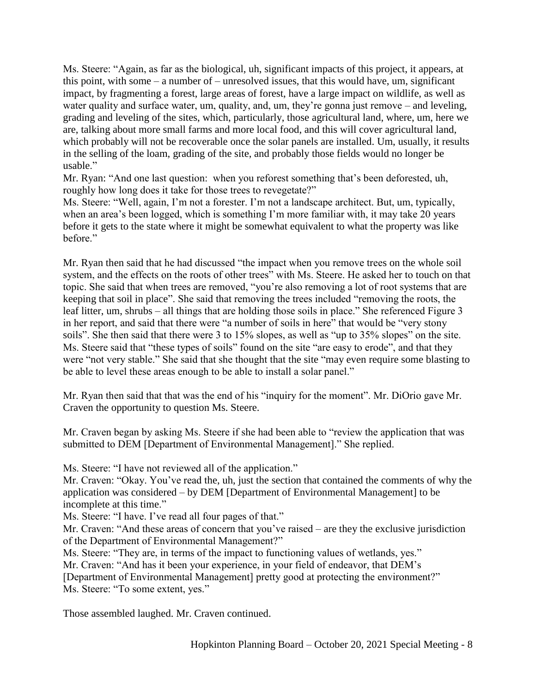Ms. Steere: "Again, as far as the biological, uh, significant impacts of this project, it appears, at this point, with some – a number of – unresolved issues, that this would have, um, significant impact, by fragmenting a forest, large areas of forest, have a large impact on wildlife, as well as water quality and surface water, um, quality, and, um, they're gonna just remove – and leveling, grading and leveling of the sites, which, particularly, those agricultural land, where, um, here we are, talking about more small farms and more local food, and this will cover agricultural land, which probably will not be recoverable once the solar panels are installed. Um, usually, it results in the selling of the loam, grading of the site, and probably those fields would no longer be usable."

Mr. Ryan: "And one last question: when you reforest something that's been deforested, uh, roughly how long does it take for those trees to revegetate?"

Ms. Steere: "Well, again, I'm not a forester. I'm not a landscape architect. But, um, typically, when an area's been logged, which is something I'm more familiar with, it may take 20 years before it gets to the state where it might be somewhat equivalent to what the property was like before."

Mr. Ryan then said that he had discussed "the impact when you remove trees on the whole soil system, and the effects on the roots of other trees" with Ms. Steere. He asked her to touch on that topic. She said that when trees are removed, "you're also removing a lot of root systems that are keeping that soil in place". She said that removing the trees included "removing the roots, the leaf litter, um, shrubs – all things that are holding those soils in place." She referenced Figure 3 in her report, and said that there were "a number of soils in here" that would be "very stony soils". She then said that there were 3 to 15% slopes, as well as "up to 35% slopes" on the site. Ms. Steere said that "these types of soils" found on the site "are easy to erode", and that they were "not very stable." She said that she thought that the site "may even require some blasting to be able to level these areas enough to be able to install a solar panel."

Mr. Ryan then said that that was the end of his "inquiry for the moment". Mr. DiOrio gave Mr. Craven the opportunity to question Ms. Steere.

Mr. Craven began by asking Ms. Steere if she had been able to "review the application that was submitted to DEM [Department of Environmental Management]." She replied.

Ms. Steere: "I have not reviewed all of the application."

Mr. Craven: "Okay. You've read the, uh, just the section that contained the comments of why the application was considered – by DEM [Department of Environmental Management] to be incomplete at this time."

Ms. Steere: "I have. I've read all four pages of that."

Mr. Craven: "And these areas of concern that you've raised – are they the exclusive jurisdiction of the Department of Environmental Management?"

Ms. Steere: "They are, in terms of the impact to functioning values of wetlands, yes." Mr. Craven: "And has it been your experience, in your field of endeavor, that DEM's

[Department of Environmental Management] pretty good at protecting the environment?" Ms. Steere: "To some extent, yes."

Those assembled laughed. Mr. Craven continued.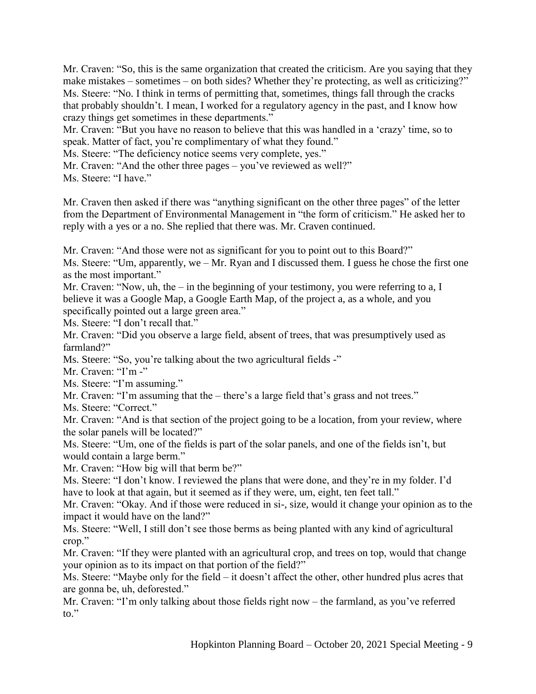Mr. Craven: "So, this is the same organization that created the criticism. Are you saying that they make mistakes – sometimes – on both sides? Whether they're protecting, as well as criticizing?" Ms. Steere: "No. I think in terms of permitting that, sometimes, things fall through the cracks that probably shouldn't. I mean, I worked for a regulatory agency in the past, and I know how crazy things get sometimes in these departments."

Mr. Craven: "But you have no reason to believe that this was handled in a 'crazy' time, so to speak. Matter of fact, you're complimentary of what they found."

Ms. Steere: "The deficiency notice seems very complete, yes."

Mr. Craven: "And the other three pages – you've reviewed as well?"

Ms. Steere: "I have."

Mr. Craven then asked if there was "anything significant on the other three pages" of the letter from the Department of Environmental Management in "the form of criticism." He asked her to reply with a yes or a no. She replied that there was. Mr. Craven continued.

Mr. Craven: "And those were not as significant for you to point out to this Board?" Ms. Steere: "Um, apparently, we – Mr. Ryan and I discussed them. I guess he chose the first one as the most important."

Mr. Craven: "Now, uh, the – in the beginning of your testimony, you were referring to a, I believe it was a Google Map, a Google Earth Map, of the project a, as a whole, and you specifically pointed out a large green area."

Ms. Steere: "I don't recall that."

Mr. Craven: "Did you observe a large field, absent of trees, that was presumptively used as farmland?"

Ms. Steere: "So, you're talking about the two agricultural fields -"

Mr. Craven: "I'm -"

Ms. Steere: "I'm assuming."

Mr. Craven: "I'm assuming that the – there's a large field that's grass and not trees."

Ms. Steere: "Correct."

Mr. Craven: "And is that section of the project going to be a location, from your review, where the solar panels will be located?"

Ms. Steere: "Um, one of the fields is part of the solar panels, and one of the fields isn't, but would contain a large berm."

Mr. Craven: "How big will that berm be?"

Ms. Steere: "I don't know. I reviewed the plans that were done, and they're in my folder. I'd have to look at that again, but it seemed as if they were, um, eight, ten feet tall."

Mr. Craven: "Okay. And if those were reduced in si-, size, would it change your opinion as to the impact it would have on the land?"

Ms. Steere: "Well, I still don't see those berms as being planted with any kind of agricultural crop."

Mr. Craven: "If they were planted with an agricultural crop, and trees on top, would that change your opinion as to its impact on that portion of the field?"

Ms. Steere: "Maybe only for the field – it doesn't affect the other, other hundred plus acres that are gonna be, uh, deforested."

Mr. Craven: "I'm only talking about those fields right now – the farmland, as you've referred to."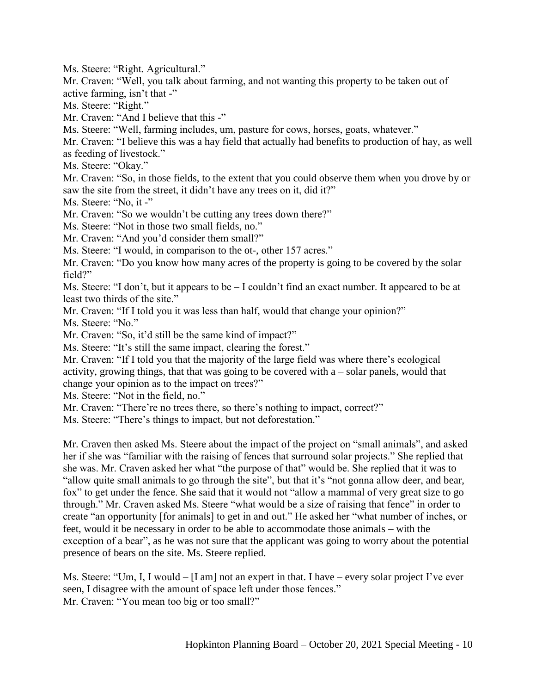Ms. Steere: "Right. Agricultural."

Mr. Craven: "Well, you talk about farming, and not wanting this property to be taken out of active farming, isn't that -"

Ms. Steere: "Right."

Mr. Craven: "And I believe that this -"

Ms. Steere: "Well, farming includes, um, pasture for cows, horses, goats, whatever."

Mr. Craven: "I believe this was a hay field that actually had benefits to production of hay, as well as feeding of livestock."

Ms. Steere: "Okay."

Mr. Craven: "So, in those fields, to the extent that you could observe them when you drove by or saw the site from the street, it didn't have any trees on it, did it?"

Ms. Steere: "No, it -"

Mr. Craven: "So we wouldn't be cutting any trees down there?"

Ms. Steere: "Not in those two small fields, no."

Mr. Craven: "And you'd consider them small?"

Ms. Steere: "I would, in comparison to the ot-, other 157 acres."

Mr. Craven: "Do you know how many acres of the property is going to be covered by the solar field?"

Ms. Steere: "I don't, but it appears to be – I couldn't find an exact number. It appeared to be at least two thirds of the site."

Mr. Craven: "If I told you it was less than half, would that change your opinion?"

Ms. Steere: "No."

Mr. Craven: "So, it'd still be the same kind of impact?"

Ms. Steere: "It's still the same impact, clearing the forest."

Mr. Craven: "If I told you that the majority of the large field was where there's ecological activity, growing things, that that was going to be covered with a – solar panels, would that change your opinion as to the impact on trees?"

Ms. Steere: "Not in the field, no."

Mr. Craven: "There're no trees there, so there's nothing to impact, correct?"

Ms. Steere: "There's things to impact, but not deforestation."

Mr. Craven then asked Ms. Steere about the impact of the project on "small animals", and asked her if she was "familiar with the raising of fences that surround solar projects." She replied that she was. Mr. Craven asked her what "the purpose of that" would be. She replied that it was to "allow quite small animals to go through the site", but that it's "not gonna allow deer, and bear, fox" to get under the fence. She said that it would not "allow a mammal of very great size to go through." Mr. Craven asked Ms. Steere "what would be a size of raising that fence" in order to create "an opportunity [for animals] to get in and out." He asked her "what number of inches, or feet, would it be necessary in order to be able to accommodate those animals – with the exception of a bear", as he was not sure that the applicant was going to worry about the potential presence of bears on the site. Ms. Steere replied.

Ms. Steere: "Um, I, I would  $-$  [I am] not an expert in that. I have – every solar project I've ever seen, I disagree with the amount of space left under those fences." Mr. Craven: "You mean too big or too small?"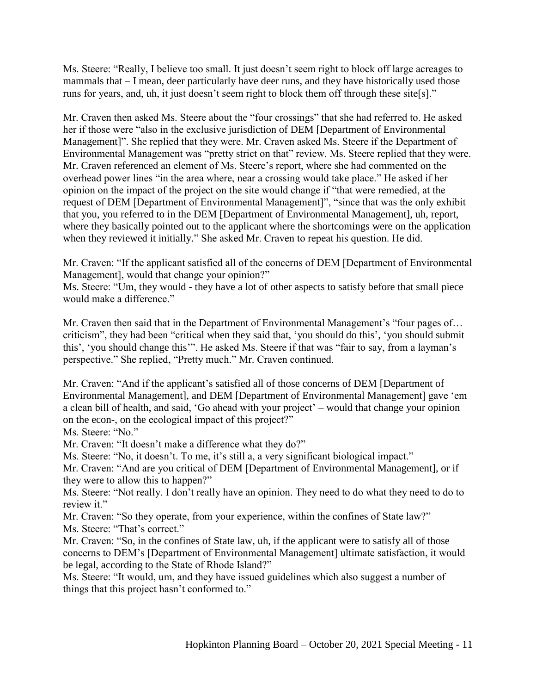Ms. Steere: "Really, I believe too small. It just doesn't seem right to block off large acreages to mammals that – I mean, deer particularly have deer runs, and they have historically used those runs for years, and, uh, it just doesn't seem right to block them off through these site[s]."

Mr. Craven then asked Ms. Steere about the "four crossings" that she had referred to. He asked her if those were "also in the exclusive jurisdiction of DEM [Department of Environmental Management]". She replied that they were. Mr. Craven asked Ms. Steere if the Department of Environmental Management was "pretty strict on that" review. Ms. Steere replied that they were. Mr. Craven referenced an element of Ms. Steere's report, where she had commented on the overhead power lines "in the area where, near a crossing would take place." He asked if her opinion on the impact of the project on the site would change if "that were remedied, at the request of DEM [Department of Environmental Management]", "since that was the only exhibit that you, you referred to in the DEM [Department of Environmental Management], uh, report, where they basically pointed out to the applicant where the shortcomings were on the application when they reviewed it initially." She asked Mr. Craven to repeat his question. He did.

Mr. Craven: "If the applicant satisfied all of the concerns of DEM [Department of Environmental Management], would that change your opinion?"

Ms. Steere: "Um, they would - they have a lot of other aspects to satisfy before that small piece would make a difference."

Mr. Craven then said that in the Department of Environmental Management's "four pages of… criticism", they had been "critical when they said that, 'you should do this', 'you should submit this', 'you should change this'". He asked Ms. Steere if that was "fair to say, from a layman's perspective." She replied, "Pretty much." Mr. Craven continued.

Mr. Craven: "And if the applicant's satisfied all of those concerns of DEM [Department of Environmental Management], and DEM [Department of Environmental Management] gave 'em a clean bill of health, and said, 'Go ahead with your project' – would that change your opinion on the econ-, on the ecological impact of this project?"

Ms. Steere: "No."

Mr. Craven: "It doesn't make a difference what they do?"

Ms. Steere: "No, it doesn't. To me, it's still a, a very significant biological impact."

Mr. Craven: "And are you critical of DEM [Department of Environmental Management], or if they were to allow this to happen?"

Ms. Steere: "Not really. I don't really have an opinion. They need to do what they need to do to review it."

Mr. Craven: "So they operate, from your experience, within the confines of State law?" Ms. Steere: "That's correct."

Mr. Craven: "So, in the confines of State law, uh, if the applicant were to satisfy all of those concerns to DEM's [Department of Environmental Management] ultimate satisfaction, it would be legal, according to the State of Rhode Island?"

Ms. Steere: "It would, um, and they have issued guidelines which also suggest a number of things that this project hasn't conformed to."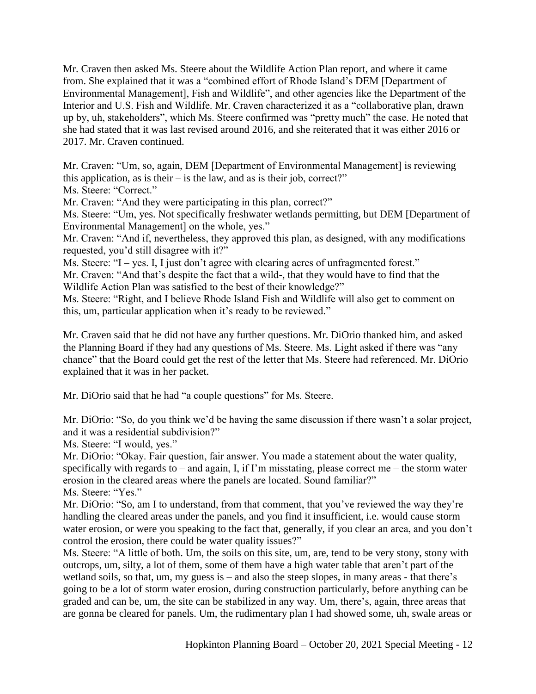Mr. Craven then asked Ms. Steere about the Wildlife Action Plan report, and where it came from. She explained that it was a "combined effort of Rhode Island's DEM [Department of Environmental Management], Fish and Wildlife", and other agencies like the Department of the Interior and U.S. Fish and Wildlife. Mr. Craven characterized it as a "collaborative plan, drawn up by, uh, stakeholders", which Ms. Steere confirmed was "pretty much" the case. He noted that she had stated that it was last revised around 2016, and she reiterated that it was either 2016 or 2017. Mr. Craven continued.

Mr. Craven: "Um, so, again, DEM [Department of Environmental Management] is reviewing this application, as is their – is the law, and as is their job, correct?" Ms. Steere: "Correct."

Mr. Craven: "And they were participating in this plan, correct?"

Ms. Steere: "Um, yes. Not specifically freshwater wetlands permitting, but DEM [Department of Environmental Management] on the whole, yes."

Mr. Craven: "And if, nevertheless, they approved this plan, as designed, with any modifications requested, you'd still disagree with it?"

Ms. Steere: "I – yes. I, I just don't agree with clearing acres of unfragmented forest."

Mr. Craven: "And that's despite the fact that a wild-, that they would have to find that the Wildlife Action Plan was satisfied to the best of their knowledge?"

Ms. Steere: "Right, and I believe Rhode Island Fish and Wildlife will also get to comment on this, um, particular application when it's ready to be reviewed."

Mr. Craven said that he did not have any further questions. Mr. DiOrio thanked him, and asked the Planning Board if they had any questions of Ms. Steere. Ms. Light asked if there was "any chance" that the Board could get the rest of the letter that Ms. Steere had referenced. Mr. DiOrio explained that it was in her packet.

Mr. DiOrio said that he had "a couple questions" for Ms. Steere.

Mr. DiOrio: "So, do you think we'd be having the same discussion if there wasn't a solar project, and it was a residential subdivision?"

Ms. Steere: "I would, yes."

Mr. DiOrio: "Okay. Fair question, fair answer. You made a statement about the water quality, specifically with regards to – and again, I, if I'm misstating, please correct me – the storm water erosion in the cleared areas where the panels are located. Sound familiar?" Ms. Steere: "Yes."

Mr. DiOrio: "So, am I to understand, from that comment, that you've reviewed the way they're handling the cleared areas under the panels, and you find it insufficient, i.e. would cause storm water erosion, or were you speaking to the fact that, generally, if you clear an area, and you don't control the erosion, there could be water quality issues?"

Ms. Steere: "A little of both. Um, the soils on this site, um, are, tend to be very stony, stony with outcrops, um, silty, a lot of them, some of them have a high water table that aren't part of the wetland soils, so that, um, my guess is – and also the steep slopes, in many areas - that there's going to be a lot of storm water erosion, during construction particularly, before anything can be graded and can be, um, the site can be stabilized in any way. Um, there's, again, three areas that are gonna be cleared for panels. Um, the rudimentary plan I had showed some, uh, swale areas or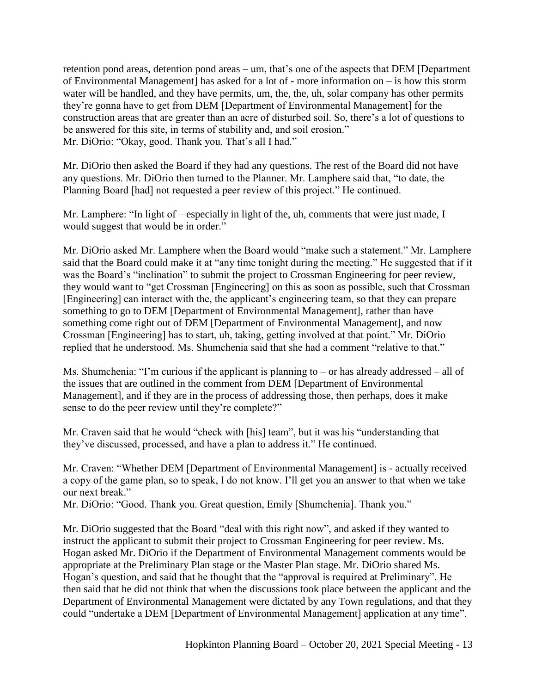retention pond areas, detention pond areas – um, that's one of the aspects that DEM [Department of Environmental Management] has asked for a lot of - more information on – is how this storm water will be handled, and they have permits, um, the, the, uh, solar company has other permits they're gonna have to get from DEM [Department of Environmental Management] for the construction areas that are greater than an acre of disturbed soil. So, there's a lot of questions to be answered for this site, in terms of stability and, and soil erosion." Mr. DiOrio: "Okay, good. Thank you. That's all I had."

Mr. DiOrio then asked the Board if they had any questions. The rest of the Board did not have any questions. Mr. DiOrio then turned to the Planner. Mr. Lamphere said that, "to date, the Planning Board [had] not requested a peer review of this project." He continued.

Mr. Lamphere: "In light of – especially in light of the, uh, comments that were just made, I would suggest that would be in order."

Mr. DiOrio asked Mr. Lamphere when the Board would "make such a statement." Mr. Lamphere said that the Board could make it at "any time tonight during the meeting." He suggested that if it was the Board's "inclination" to submit the project to Crossman Engineering for peer review, they would want to "get Crossman [Engineering] on this as soon as possible, such that Crossman [Engineering] can interact with the, the applicant's engineering team, so that they can prepare something to go to DEM [Department of Environmental Management], rather than have something come right out of DEM [Department of Environmental Management], and now Crossman [Engineering] has to start, uh, taking, getting involved at that point." Mr. DiOrio replied that he understood. Ms. Shumchenia said that she had a comment "relative to that."

Ms. Shumchenia: "I'm curious if the applicant is planning to – or has already addressed – all of the issues that are outlined in the comment from DEM [Department of Environmental Management], and if they are in the process of addressing those, then perhaps, does it make sense to do the peer review until they're complete?"

Mr. Craven said that he would "check with [his] team", but it was his "understanding that they've discussed, processed, and have a plan to address it." He continued.

Mr. Craven: "Whether DEM [Department of Environmental Management] is - actually received a copy of the game plan, so to speak, I do not know. I'll get you an answer to that when we take our next break."

Mr. DiOrio: "Good. Thank you. Great question, Emily [Shumchenia]. Thank you."

Mr. DiOrio suggested that the Board "deal with this right now", and asked if they wanted to instruct the applicant to submit their project to Crossman Engineering for peer review. Ms. Hogan asked Mr. DiOrio if the Department of Environmental Management comments would be appropriate at the Preliminary Plan stage or the Master Plan stage. Mr. DiOrio shared Ms. Hogan's question, and said that he thought that the "approval is required at Preliminary". He then said that he did not think that when the discussions took place between the applicant and the Department of Environmental Management were dictated by any Town regulations, and that they could "undertake a DEM [Department of Environmental Management] application at any time".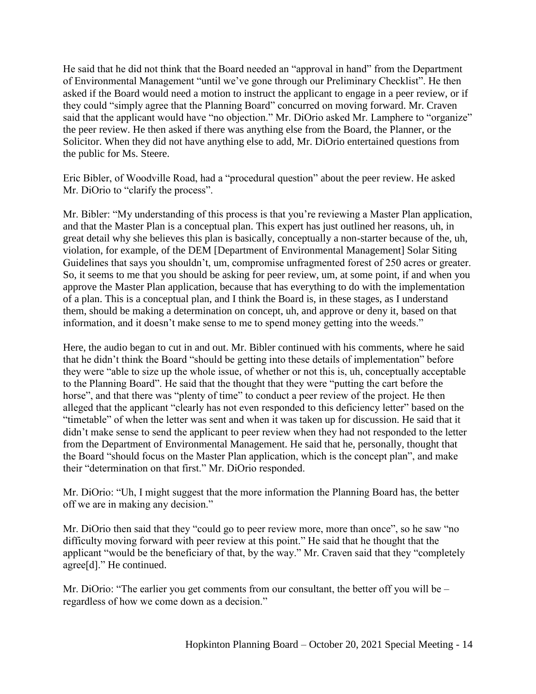He said that he did not think that the Board needed an "approval in hand" from the Department of Environmental Management "until we've gone through our Preliminary Checklist". He then asked if the Board would need a motion to instruct the applicant to engage in a peer review, or if they could "simply agree that the Planning Board" concurred on moving forward. Mr. Craven said that the applicant would have "no objection." Mr. DiOrio asked Mr. Lamphere to "organize" the peer review. He then asked if there was anything else from the Board, the Planner, or the Solicitor. When they did not have anything else to add, Mr. DiOrio entertained questions from the public for Ms. Steere.

Eric Bibler, of Woodville Road, had a "procedural question" about the peer review. He asked Mr. DiOrio to "clarify the process".

Mr. Bibler: "My understanding of this process is that you're reviewing a Master Plan application, and that the Master Plan is a conceptual plan. This expert has just outlined her reasons, uh, in great detail why she believes this plan is basically, conceptually a non-starter because of the, uh, violation, for example, of the DEM [Department of Environmental Management] Solar Siting Guidelines that says you shouldn't, um, compromise unfragmented forest of 250 acres or greater. So, it seems to me that you should be asking for peer review, um, at some point, if and when you approve the Master Plan application, because that has everything to do with the implementation of a plan. This is a conceptual plan, and I think the Board is, in these stages, as I understand them, should be making a determination on concept, uh, and approve or deny it, based on that information, and it doesn't make sense to me to spend money getting into the weeds."

Here, the audio began to cut in and out. Mr. Bibler continued with his comments, where he said that he didn't think the Board "should be getting into these details of implementation" before they were "able to size up the whole issue, of whether or not this is, uh, conceptually acceptable to the Planning Board". He said that the thought that they were "putting the cart before the horse", and that there was "plenty of time" to conduct a peer review of the project. He then alleged that the applicant "clearly has not even responded to this deficiency letter" based on the "timetable" of when the letter was sent and when it was taken up for discussion. He said that it didn't make sense to send the applicant to peer review when they had not responded to the letter from the Department of Environmental Management. He said that he, personally, thought that the Board "should focus on the Master Plan application, which is the concept plan", and make their "determination on that first." Mr. DiOrio responded.

Mr. DiOrio: "Uh, I might suggest that the more information the Planning Board has, the better off we are in making any decision."

Mr. DiOrio then said that they "could go to peer review more, more than once", so he saw "no difficulty moving forward with peer review at this point." He said that he thought that the applicant "would be the beneficiary of that, by the way." Mr. Craven said that they "completely agree[d]." He continued.

Mr. DiOrio: "The earlier you get comments from our consultant, the better off you will be – regardless of how we come down as a decision."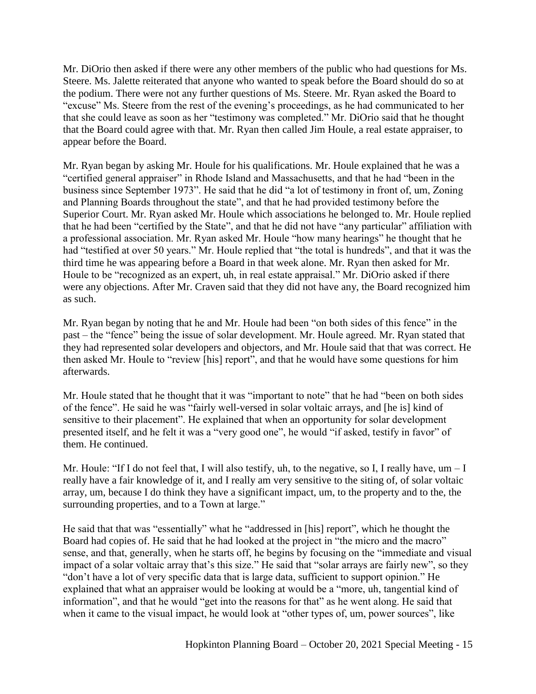Mr. DiOrio then asked if there were any other members of the public who had questions for Ms. Steere. Ms. Jalette reiterated that anyone who wanted to speak before the Board should do so at the podium. There were not any further questions of Ms. Steere. Mr. Ryan asked the Board to "excuse" Ms. Steere from the rest of the evening's proceedings, as he had communicated to her that she could leave as soon as her "testimony was completed." Mr. DiOrio said that he thought that the Board could agree with that. Mr. Ryan then called Jim Houle, a real estate appraiser, to appear before the Board.

Mr. Ryan began by asking Mr. Houle for his qualifications. Mr. Houle explained that he was a "certified general appraiser" in Rhode Island and Massachusetts, and that he had "been in the business since September 1973". He said that he did "a lot of testimony in front of, um, Zoning and Planning Boards throughout the state", and that he had provided testimony before the Superior Court. Mr. Ryan asked Mr. Houle which associations he belonged to. Mr. Houle replied that he had been "certified by the State", and that he did not have "any particular" affiliation with a professional association. Mr. Ryan asked Mr. Houle "how many hearings" he thought that he had "testified at over 50 years." Mr. Houle replied that "the total is hundreds", and that it was the third time he was appearing before a Board in that week alone. Mr. Ryan then asked for Mr. Houle to be "recognized as an expert, uh, in real estate appraisal." Mr. DiOrio asked if there were any objections. After Mr. Craven said that they did not have any, the Board recognized him as such.

Mr. Ryan began by noting that he and Mr. Houle had been "on both sides of this fence" in the past – the "fence" being the issue of solar development. Mr. Houle agreed. Mr. Ryan stated that they had represented solar developers and objectors, and Mr. Houle said that that was correct. He then asked Mr. Houle to "review [his] report", and that he would have some questions for him afterwards.

Mr. Houle stated that he thought that it was "important to note" that he had "been on both sides of the fence". He said he was "fairly well-versed in solar voltaic arrays, and [he is] kind of sensitive to their placement". He explained that when an opportunity for solar development presented itself, and he felt it was a "very good one", he would "if asked, testify in favor" of them. He continued.

Mr. Houle: "If I do not feel that, I will also testify, uh, to the negative, so I, I really have,  $um - I$ really have a fair knowledge of it, and I really am very sensitive to the siting of, of solar voltaic array, um, because I do think they have a significant impact, um, to the property and to the, the surrounding properties, and to a Town at large."

He said that that was "essentially" what he "addressed in [his] report", which he thought the Board had copies of. He said that he had looked at the project in "the micro and the macro" sense, and that, generally, when he starts off, he begins by focusing on the "immediate and visual impact of a solar voltaic array that's this size." He said that "solar arrays are fairly new", so they "don't have a lot of very specific data that is large data, sufficient to support opinion." He explained that what an appraiser would be looking at would be a "more, uh, tangential kind of information", and that he would "get into the reasons for that" as he went along. He said that when it came to the visual impact, he would look at "other types of, um, power sources", like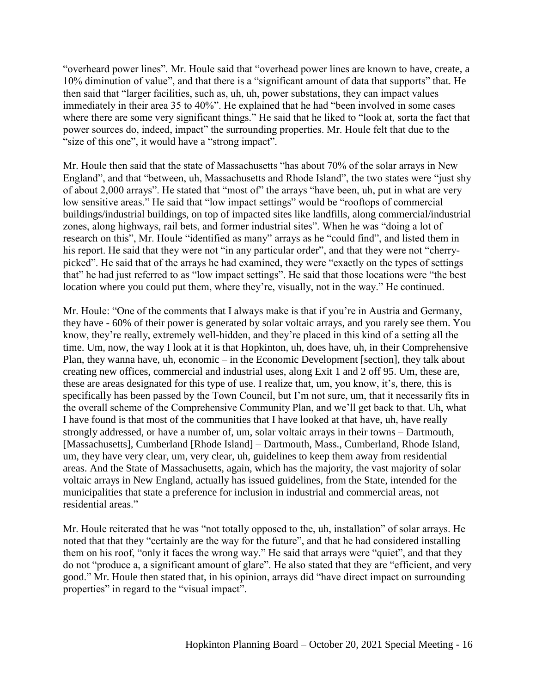"overheard power lines". Mr. Houle said that "overhead power lines are known to have, create, a 10% diminution of value", and that there is a "significant amount of data that supports" that. He then said that "larger facilities, such as, uh, uh, power substations, they can impact values immediately in their area 35 to 40%". He explained that he had "been involved in some cases where there are some very significant things." He said that he liked to "look at, sorta the fact that power sources do, indeed, impact" the surrounding properties. Mr. Houle felt that due to the "size of this one", it would have a "strong impact".

Mr. Houle then said that the state of Massachusetts "has about 70% of the solar arrays in New England", and that "between, uh, Massachusetts and Rhode Island", the two states were "just shy of about 2,000 arrays". He stated that "most of" the arrays "have been, uh, put in what are very low sensitive areas." He said that "low impact settings" would be "rooftops of commercial buildings/industrial buildings, on top of impacted sites like landfills, along commercial/industrial zones, along highways, rail bets, and former industrial sites". When he was "doing a lot of research on this", Mr. Houle "identified as many" arrays as he "could find", and listed them in his report. He said that they were not "in any particular order", and that they were not "cherrypicked". He said that of the arrays he had examined, they were "exactly on the types of settings that" he had just referred to as "low impact settings". He said that those locations were "the best location where you could put them, where they're, visually, not in the way." He continued.

Mr. Houle: "One of the comments that I always make is that if you're in Austria and Germany, they have - 60% of their power is generated by solar voltaic arrays, and you rarely see them. You know, they're really, extremely well-hidden, and they're placed in this kind of a setting all the time. Um, now, the way I look at it is that Hopkinton, uh, does have, uh, in their Comprehensive Plan, they wanna have, uh, economic – in the Economic Development [section], they talk about creating new offices, commercial and industrial uses, along Exit 1 and 2 off 95. Um, these are, these are areas designated for this type of use. I realize that, um, you know, it's, there, this is specifically has been passed by the Town Council, but I'm not sure, um, that it necessarily fits in the overall scheme of the Comprehensive Community Plan, and we'll get back to that. Uh, what I have found is that most of the communities that I have looked at that have, uh, have really strongly addressed, or have a number of, um, solar voltaic arrays in their towns – Dartmouth, [Massachusetts], Cumberland [Rhode Island] – Dartmouth, Mass., Cumberland, Rhode Island, um, they have very clear, um, very clear, uh, guidelines to keep them away from residential areas. And the State of Massachusetts, again, which has the majority, the vast majority of solar voltaic arrays in New England, actually has issued guidelines, from the State, intended for the municipalities that state a preference for inclusion in industrial and commercial areas, not residential areas."

Mr. Houle reiterated that he was "not totally opposed to the, uh, installation" of solar arrays. He noted that that they "certainly are the way for the future", and that he had considered installing them on his roof, "only it faces the wrong way." He said that arrays were "quiet", and that they do not "produce a, a significant amount of glare". He also stated that they are "efficient, and very good." Mr. Houle then stated that, in his opinion, arrays did "have direct impact on surrounding properties" in regard to the "visual impact".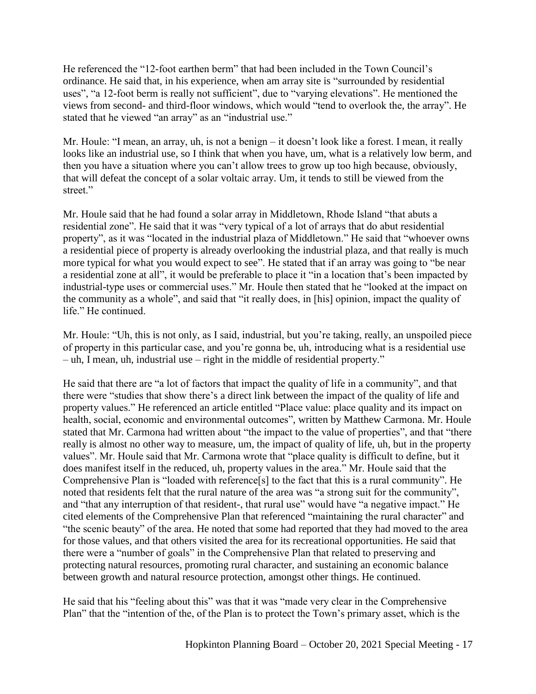He referenced the "12-foot earthen berm" that had been included in the Town Council's ordinance. He said that, in his experience, when am array site is "surrounded by residential uses", "a 12-foot berm is really not sufficient", due to "varying elevations". He mentioned the views from second- and third-floor windows, which would "tend to overlook the, the array". He stated that he viewed "an array" as an "industrial use."

Mr. Houle: "I mean, an array, uh, is not a benign – it doesn't look like a forest. I mean, it really looks like an industrial use, so I think that when you have, um, what is a relatively low berm, and then you have a situation where you can't allow trees to grow up too high because, obviously, that will defeat the concept of a solar voltaic array. Um, it tends to still be viewed from the street."

Mr. Houle said that he had found a solar array in Middletown, Rhode Island "that abuts a residential zone". He said that it was "very typical of a lot of arrays that do abut residential property", as it was "located in the industrial plaza of Middletown." He said that "whoever owns a residential piece of property is already overlooking the industrial plaza, and that really is much more typical for what you would expect to see". He stated that if an array was going to "be near a residential zone at all", it would be preferable to place it "in a location that's been impacted by industrial-type uses or commercial uses." Mr. Houle then stated that he "looked at the impact on the community as a whole", and said that "it really does, in [his] opinion, impact the quality of life." He continued.

Mr. Houle: "Uh, this is not only, as I said, industrial, but you're taking, really, an unspoiled piece of property in this particular case, and you're gonna be, uh, introducing what is a residential use – uh, I mean, uh, industrial use – right in the middle of residential property."

He said that there are "a lot of factors that impact the quality of life in a community", and that there were "studies that show there's a direct link between the impact of the quality of life and property values." He referenced an article entitled "Place value: place quality and its impact on health, social, economic and environmental outcomes", written by Matthew Carmona. Mr. Houle stated that Mr. Carmona had written about "the impact to the value of properties", and that "there really is almost no other way to measure, um, the impact of quality of life, uh, but in the property values". Mr. Houle said that Mr. Carmona wrote that "place quality is difficult to define, but it does manifest itself in the reduced, uh, property values in the area." Mr. Houle said that the Comprehensive Plan is "loaded with reference[s] to the fact that this is a rural community". He noted that residents felt that the rural nature of the area was "a strong suit for the community", and "that any interruption of that resident-, that rural use" would have "a negative impact." He cited elements of the Comprehensive Plan that referenced "maintaining the rural character" and "the scenic beauty" of the area. He noted that some had reported that they had moved to the area for those values, and that others visited the area for its recreational opportunities. He said that there were a "number of goals" in the Comprehensive Plan that related to preserving and protecting natural resources, promoting rural character, and sustaining an economic balance between growth and natural resource protection, amongst other things. He continued.

He said that his "feeling about this" was that it was "made very clear in the Comprehensive Plan" that the "intention of the, of the Plan is to protect the Town's primary asset, which is the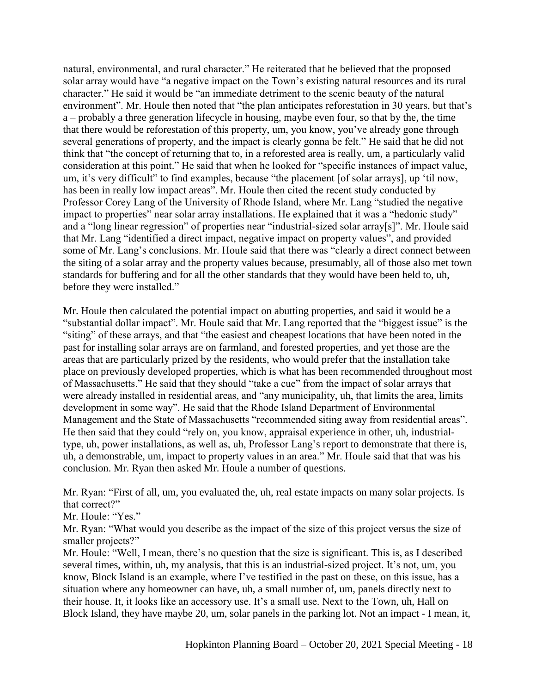natural, environmental, and rural character." He reiterated that he believed that the proposed solar array would have "a negative impact on the Town's existing natural resources and its rural character." He said it would be "an immediate detriment to the scenic beauty of the natural environment". Mr. Houle then noted that "the plan anticipates reforestation in 30 years, but that's a – probably a three generation lifecycle in housing, maybe even four, so that by the, the time that there would be reforestation of this property, um, you know, you've already gone through several generations of property, and the impact is clearly gonna be felt." He said that he did not think that "the concept of returning that to, in a reforested area is really, um, a particularly valid consideration at this point." He said that when he looked for "specific instances of impact value, um, it's very difficult" to find examples, because "the placement [of solar arrays], up 'til now, has been in really low impact areas". Mr. Houle then cited the recent study conducted by Professor Corey Lang of the University of Rhode Island, where Mr. Lang "studied the negative impact to properties" near solar array installations. He explained that it was a "hedonic study" and a "long linear regression" of properties near "industrial-sized solar array[s]". Mr. Houle said that Mr. Lang "identified a direct impact, negative impact on property values", and provided some of Mr. Lang's conclusions. Mr. Houle said that there was "clearly a direct connect between the siting of a solar array and the property values because, presumably, all of those also met town standards for buffering and for all the other standards that they would have been held to, uh, before they were installed."

Mr. Houle then calculated the potential impact on abutting properties, and said it would be a "substantial dollar impact". Mr. Houle said that Mr. Lang reported that the "biggest issue" is the "siting" of these arrays, and that "the easiest and cheapest locations that have been noted in the past for installing solar arrays are on farmland, and forested properties, and yet those are the areas that are particularly prized by the residents, who would prefer that the installation take place on previously developed properties, which is what has been recommended throughout most of Massachusetts." He said that they should "take a cue" from the impact of solar arrays that were already installed in residential areas, and "any municipality, uh, that limits the area, limits development in some way". He said that the Rhode Island Department of Environmental Management and the State of Massachusetts "recommended siting away from residential areas". He then said that they could "rely on, you know, appraisal experience in other, uh, industrialtype, uh, power installations, as well as, uh, Professor Lang's report to demonstrate that there is, uh, a demonstrable, um, impact to property values in an area." Mr. Houle said that that was his conclusion. Mr. Ryan then asked Mr. Houle a number of questions.

Mr. Ryan: "First of all, um, you evaluated the, uh, real estate impacts on many solar projects. Is that correct?"

Mr. Houle: "Yes."

Mr. Ryan: "What would you describe as the impact of the size of this project versus the size of smaller projects?"

Mr. Houle: "Well, I mean, there's no question that the size is significant. This is, as I described several times, within, uh, my analysis, that this is an industrial-sized project. It's not, um, you know, Block Island is an example, where I've testified in the past on these, on this issue, has a situation where any homeowner can have, uh, a small number of, um, panels directly next to their house. It, it looks like an accessory use. It's a small use. Next to the Town, uh, Hall on Block Island, they have maybe 20, um, solar panels in the parking lot. Not an impact - I mean, it,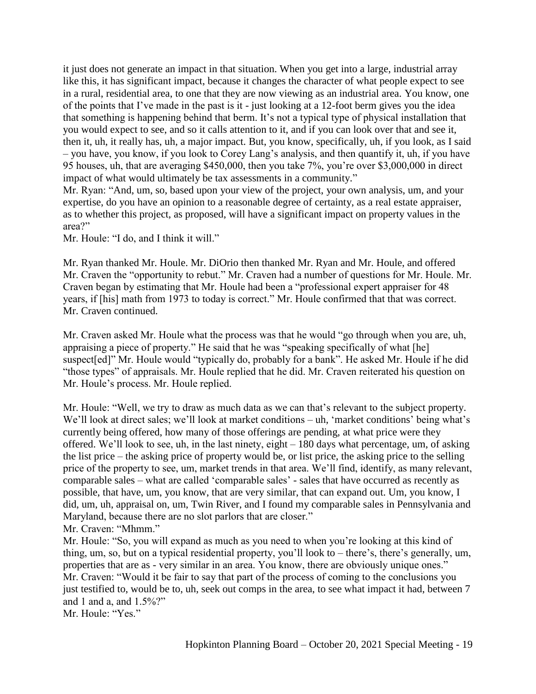it just does not generate an impact in that situation. When you get into a large, industrial array like this, it has significant impact, because it changes the character of what people expect to see in a rural, residential area, to one that they are now viewing as an industrial area. You know, one of the points that I've made in the past is it - just looking at a 12-foot berm gives you the idea that something is happening behind that berm. It's not a typical type of physical installation that you would expect to see, and so it calls attention to it, and if you can look over that and see it, then it, uh, it really has, uh, a major impact. But, you know, specifically, uh, if you look, as I said – you have, you know, if you look to Corey Lang's analysis, and then quantify it, uh, if you have 95 houses, uh, that are averaging \$450,000, then you take 7%, you're over \$3,000,000 in direct impact of what would ultimately be tax assessments in a community."

Mr. Ryan: "And, um, so, based upon your view of the project, your own analysis, um, and your expertise, do you have an opinion to a reasonable degree of certainty, as a real estate appraiser, as to whether this project, as proposed, will have a significant impact on property values in the area?"

Mr. Houle: "I do, and I think it will."

Mr. Ryan thanked Mr. Houle. Mr. DiOrio then thanked Mr. Ryan and Mr. Houle, and offered Mr. Craven the "opportunity to rebut." Mr. Craven had a number of questions for Mr. Houle. Mr. Craven began by estimating that Mr. Houle had been a "professional expert appraiser for 48 years, if [his] math from 1973 to today is correct." Mr. Houle confirmed that that was correct. Mr. Craven continued.

Mr. Craven asked Mr. Houle what the process was that he would "go through when you are, uh, appraising a piece of property." He said that he was "speaking specifically of what [he] suspect[ed]" Mr. Houle would "typically do, probably for a bank". He asked Mr. Houle if he did "those types" of appraisals. Mr. Houle replied that he did. Mr. Craven reiterated his question on Mr. Houle's process. Mr. Houle replied.

Mr. Houle: "Well, we try to draw as much data as we can that's relevant to the subject property. We'll look at direct sales; we'll look at market conditions – uh, 'market conditions' being what's currently being offered, how many of those offerings are pending, at what price were they offered. We'll look to see, uh, in the last ninety, eight – 180 days what percentage, um, of asking the list price – the asking price of property would be, or list price, the asking price to the selling price of the property to see, um, market trends in that area. We'll find, identify, as many relevant, comparable sales – what are called 'comparable sales' - sales that have occurred as recently as possible, that have, um, you know, that are very similar, that can expand out. Um, you know, I did, um, uh, appraisal on, um, Twin River, and I found my comparable sales in Pennsylvania and Maryland, because there are no slot parlors that are closer."

Mr. Craven: "Mhmm."

Mr. Houle: "So, you will expand as much as you need to when you're looking at this kind of thing, um, so, but on a typical residential property, you'll look to – there's, there's generally, um, properties that are as - very similar in an area. You know, there are obviously unique ones." Mr. Craven: "Would it be fair to say that part of the process of coming to the conclusions you just testified to, would be to, uh, seek out comps in the area, to see what impact it had, between 7 and 1 and a, and  $1.5\%$ ?"

Mr. Houle: "Yes."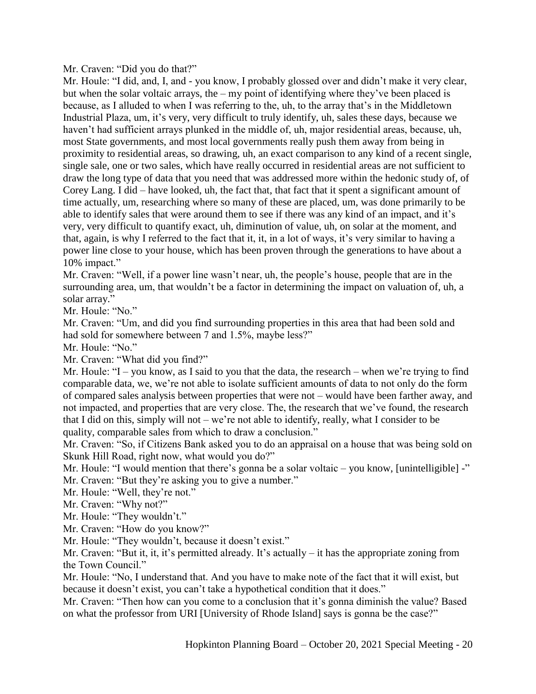Mr. Craven: "Did you do that?"

Mr. Houle: "I did, and, I, and - you know, I probably glossed over and didn't make it very clear, but when the solar voltaic arrays, the – my point of identifying where they've been placed is because, as I alluded to when I was referring to the, uh, to the array that's in the Middletown Industrial Plaza, um, it's very, very difficult to truly identify, uh, sales these days, because we haven't had sufficient arrays plunked in the middle of, uh, major residential areas, because, uh, most State governments, and most local governments really push them away from being in proximity to residential areas, so drawing, uh, an exact comparison to any kind of a recent single, single sale, one or two sales, which have really occurred in residential areas are not sufficient to draw the long type of data that you need that was addressed more within the hedonic study of, of Corey Lang. I did – have looked, uh, the fact that, that fact that it spent a significant amount of time actually, um, researching where so many of these are placed, um, was done primarily to be able to identify sales that were around them to see if there was any kind of an impact, and it's very, very difficult to quantify exact, uh, diminution of value, uh, on solar at the moment, and that, again, is why I referred to the fact that it, it, in a lot of ways, it's very similar to having a power line close to your house, which has been proven through the generations to have about a 10% impact."

Mr. Craven: "Well, if a power line wasn't near, uh, the people's house, people that are in the surrounding area, um, that wouldn't be a factor in determining the impact on valuation of, uh, a solar array."

Mr. Houle: "No."

Mr. Craven: "Um, and did you find surrounding properties in this area that had been sold and had sold for somewhere between 7 and 1.5%, maybe less?"

Mr. Houle: "No."

Mr. Craven: "What did you find?"

Mr. Houle: "I – you know, as I said to you that the data, the research – when we're trying to find comparable data, we, we're not able to isolate sufficient amounts of data to not only do the form of compared sales analysis between properties that were not – would have been farther away, and not impacted, and properties that are very close. The, the research that we've found, the research that I did on this, simply will not – we're not able to identify, really, what I consider to be quality, comparable sales from which to draw a conclusion."

Mr. Craven: "So, if Citizens Bank asked you to do an appraisal on a house that was being sold on Skunk Hill Road, right now, what would you do?"

Mr. Houle: "I would mention that there's gonna be a solar voltaic – you know, [unintelligible] -" Mr. Craven: "But they're asking you to give a number."

Mr. Houle: "Well, they're not."

Mr. Craven: "Why not?"

Mr. Houle: "They wouldn't."

Mr. Craven: "How do you know?"

Mr. Houle: "They wouldn't, because it doesn't exist."

Mr. Craven: "But it, it, it's permitted already. It's actually – it has the appropriate zoning from the Town Council."

Mr. Houle: "No, I understand that. And you have to make note of the fact that it will exist, but because it doesn't exist, you can't take a hypothetical condition that it does."

Mr. Craven: "Then how can you come to a conclusion that it's gonna diminish the value? Based on what the professor from URI [University of Rhode Island] says is gonna be the case?"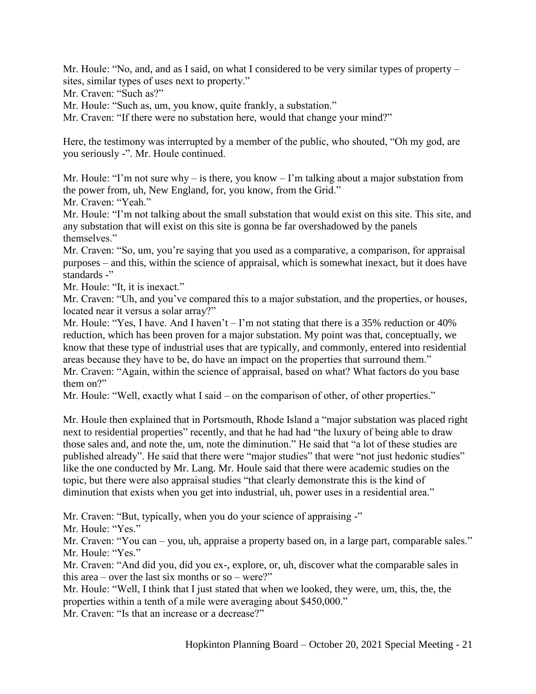Mr. Houle: "No, and, and as I said, on what I considered to be very similar types of property – sites, similar types of uses next to property."

Mr. Craven: "Such as?"

Mr. Houle: "Such as, um, you know, quite frankly, a substation."

Mr. Craven: "If there were no substation here, would that change your mind?"

Here, the testimony was interrupted by a member of the public, who shouted, "Oh my god, are you seriously -". Mr. Houle continued.

Mr. Houle: "I'm not sure why – is there, you know – I'm talking about a major substation from the power from, uh, New England, for, you know, from the Grid."

Mr. Craven: "Yeah."

Mr. Houle: "I'm not talking about the small substation that would exist on this site. This site, and any substation that will exist on this site is gonna be far overshadowed by the panels themselves."

Mr. Craven: "So, um, you're saying that you used as a comparative, a comparison, for appraisal purposes – and this, within the science of appraisal, which is somewhat inexact, but it does have standards -"

Mr. Houle: "It, it is inexact."

Mr. Craven: "Uh, and you've compared this to a major substation, and the properties, or houses, located near it versus a solar array?"

Mr. Houle: "Yes, I have. And I haven't – I'm not stating that there is a 35% reduction or 40% reduction, which has been proven for a major substation. My point was that, conceptually, we know that these type of industrial uses that are typically, and commonly, entered into residential areas because they have to be, do have an impact on the properties that surround them." Mr. Craven: "Again, within the science of appraisal, based on what? What factors do you base them on?"

Mr. Houle: "Well, exactly what I said – on the comparison of other, of other properties."

Mr. Houle then explained that in Portsmouth, Rhode Island a "major substation was placed right next to residential properties" recently, and that he had had "the luxury of being able to draw those sales and, and note the, um, note the diminution." He said that "a lot of these studies are published already". He said that there were "major studies" that were "not just hedonic studies" like the one conducted by Mr. Lang. Mr. Houle said that there were academic studies on the topic, but there were also appraisal studies "that clearly demonstrate this is the kind of diminution that exists when you get into industrial, uh, power uses in a residential area."

Mr. Craven: "But, typically, when you do your science of appraising -"

Mr. Houle: "Yes."

Mr. Craven: "You can – you, uh, appraise a property based on, in a large part, comparable sales." Mr. Houle: "Yes."

Mr. Craven: "And did you, did you ex-, explore, or, uh, discover what the comparable sales in this area – over the last six months or so – were?"

Mr. Houle: "Well, I think that I just stated that when we looked, they were, um, this, the, the properties within a tenth of a mile were averaging about \$450,000."

Mr. Craven: "Is that an increase or a decrease?"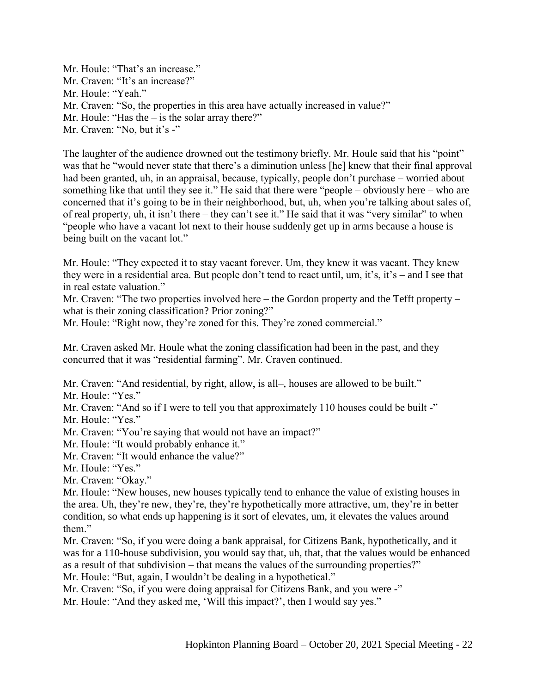Mr. Houle: "That's an increase." Mr. Craven: "It's an increase?" Mr. Houle: "Yeah." Mr. Craven: "So, the properties in this area have actually increased in value?" Mr. Houle: "Has the – is the solar array there?" Mr. Craven: "No, but it's -"

The laughter of the audience drowned out the testimony briefly. Mr. Houle said that his "point" was that he "would never state that there's a diminution unless [he] knew that their final approval had been granted, uh, in an appraisal, because, typically, people don't purchase – worried about something like that until they see it." He said that there were "people – obviously here – who are concerned that it's going to be in their neighborhood, but, uh, when you're talking about sales of, of real property, uh, it isn't there – they can't see it." He said that it was "very similar" to when "people who have a vacant lot next to their house suddenly get up in arms because a house is being built on the vacant lot."

Mr. Houle: "They expected it to stay vacant forever. Um, they knew it was vacant. They knew they were in a residential area. But people don't tend to react until, um, it's, it's – and I see that in real estate valuation."

Mr. Craven: "The two properties involved here – the Gordon property and the Tefft property – what is their zoning classification? Prior zoning?"

Mr. Houle: "Right now, they're zoned for this. They're zoned commercial."

Mr. Craven asked Mr. Houle what the zoning classification had been in the past, and they concurred that it was "residential farming". Mr. Craven continued.

Mr. Craven: "And residential, by right, allow, is all–, houses are allowed to be built."

Mr. Houle: "Yes."

Mr. Craven: "And so if I were to tell you that approximately 110 houses could be built -" Mr. Houle: "Yes."

Mr. Craven: "You're saying that would not have an impact?"

Mr. Houle: "It would probably enhance it."

Mr. Craven: "It would enhance the value?"

Mr. Houle: "Yes."

Mr. Craven: "Okay."

Mr. Houle: "New houses, new houses typically tend to enhance the value of existing houses in the area. Uh, they're new, they're, they're hypothetically more attractive, um, they're in better condition, so what ends up happening is it sort of elevates, um, it elevates the values around them."

Mr. Craven: "So, if you were doing a bank appraisal, for Citizens Bank, hypothetically, and it was for a 110-house subdivision, you would say that, uh, that, that the values would be enhanced as a result of that subdivision – that means the values of the surrounding properties?"

Mr. Houle: "But, again, I wouldn't be dealing in a hypothetical."

Mr. Craven: "So, if you were doing appraisal for Citizens Bank, and you were -"

Mr. Houle: "And they asked me, 'Will this impact?', then I would say yes."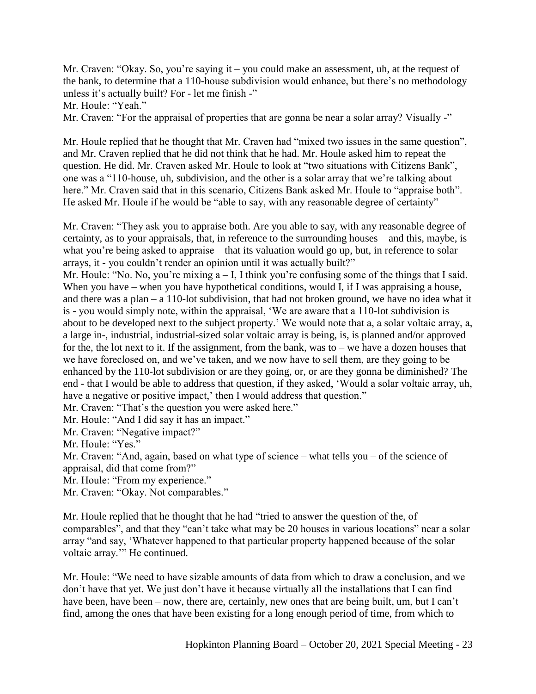Mr. Craven: "Okay. So, you're saying it – you could make an assessment, uh, at the request of the bank, to determine that a 110-house subdivision would enhance, but there's no methodology unless it's actually built? For - let me finish -"

Mr. Houle: "Yeah."

Mr. Craven: "For the appraisal of properties that are gonna be near a solar array? Visually -"

Mr. Houle replied that he thought that Mr. Craven had "mixed two issues in the same question", and Mr. Craven replied that he did not think that he had. Mr. Houle asked him to repeat the question. He did. Mr. Craven asked Mr. Houle to look at "two situations with Citizens Bank", one was a "110-house, uh, subdivision, and the other is a solar array that we're talking about here." Mr. Craven said that in this scenario, Citizens Bank asked Mr. Houle to "appraise both". He asked Mr. Houle if he would be "able to say, with any reasonable degree of certainty"

Mr. Craven: "They ask you to appraise both. Are you able to say, with any reasonable degree of certainty, as to your appraisals, that, in reference to the surrounding houses – and this, maybe, is what you're being asked to appraise – that its valuation would go up, but, in reference to solar arrays, it - you couldn't render an opinion until it was actually built?"

Mr. Houle: "No. No, you're mixing a – I, I think you're confusing some of the things that I said. When you have – when you have hypothetical conditions, would I, if I was appraising a house, and there was a plan – a 110-lot subdivision, that had not broken ground, we have no idea what it is - you would simply note, within the appraisal, 'We are aware that a 110-lot subdivision is about to be developed next to the subject property.' We would note that a, a solar voltaic array, a, a large in-, industrial, industrial-sized solar voltaic array is being, is, is planned and/or approved for the, the lot next to it. If the assignment, from the bank, was to – we have a dozen houses that we have foreclosed on, and we've taken, and we now have to sell them, are they going to be enhanced by the 110-lot subdivision or are they going, or, or are they gonna be diminished? The end - that I would be able to address that question, if they asked, 'Would a solar voltaic array, uh, have a negative or positive impact,' then I would address that question."

Mr. Craven: "That's the question you were asked here."

Mr. Houle: "And I did say it has an impact."

Mr. Craven: "Negative impact?"

Mr. Houle: "Yes."

Mr. Craven: "And, again, based on what type of science – what tells you – of the science of appraisal, did that come from?"

Mr. Houle: "From my experience."

Mr. Craven: "Okay. Not comparables."

Mr. Houle replied that he thought that he had "tried to answer the question of the, of comparables", and that they "can't take what may be 20 houses in various locations" near a solar array "and say, 'Whatever happened to that particular property happened because of the solar voltaic array.'" He continued.

Mr. Houle: "We need to have sizable amounts of data from which to draw a conclusion, and we don't have that yet. We just don't have it because virtually all the installations that I can find have been, have been – now, there are, certainly, new ones that are being built, um, but I can't find, among the ones that have been existing for a long enough period of time, from which to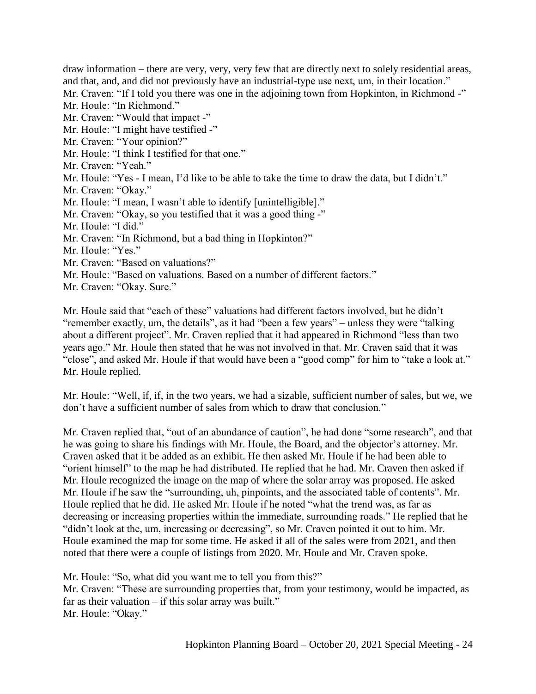draw information – there are very, very, very few that are directly next to solely residential areas, and that, and, and did not previously have an industrial-type use next, um, in their location." Mr. Craven: "If I told you there was one in the adjoining town from Hopkinton, in Richmond -"

Mr. Houle: "In Richmond."

Mr. Craven: "Would that impact -"

Mr. Houle: "I might have testified -"

Mr. Craven: "Your opinion?"

Mr. Houle: "I think I testified for that one."

Mr. Craven: "Yeah."

Mr. Houle: "Yes - I mean, I'd like to be able to take the time to draw the data, but I didn't."

Mr. Craven: "Okay."

Mr. Houle: "I mean, I wasn't able to identify [unintelligible]."

Mr. Craven: "Okay, so you testified that it was a good thing -"

Mr. Houle: "I did."

Mr. Craven: "In Richmond, but a bad thing in Hopkinton?"

Mr. Houle: "Yes."

Mr. Craven: "Based on valuations?"

Mr. Houle: "Based on valuations. Based on a number of different factors."

Mr. Craven: "Okay. Sure."

Mr. Houle said that "each of these" valuations had different factors involved, but he didn't "remember exactly, um, the details", as it had "been a few years" – unless they were "talking about a different project". Mr. Craven replied that it had appeared in Richmond "less than two years ago." Mr. Houle then stated that he was not involved in that. Mr. Craven said that it was "close", and asked Mr. Houle if that would have been a "good comp" for him to "take a look at." Mr. Houle replied.

Mr. Houle: "Well, if, if, in the two years, we had a sizable, sufficient number of sales, but we, we don't have a sufficient number of sales from which to draw that conclusion."

Mr. Craven replied that, "out of an abundance of caution", he had done "some research", and that he was going to share his findings with Mr. Houle, the Board, and the objector's attorney. Mr. Craven asked that it be added as an exhibit. He then asked Mr. Houle if he had been able to "orient himself" to the map he had distributed. He replied that he had. Mr. Craven then asked if Mr. Houle recognized the image on the map of where the solar array was proposed. He asked Mr. Houle if he saw the "surrounding, uh, pinpoints, and the associated table of contents". Mr. Houle replied that he did. He asked Mr. Houle if he noted "what the trend was, as far as decreasing or increasing properties within the immediate, surrounding roads." He replied that he "didn't look at the, um, increasing or decreasing", so Mr. Craven pointed it out to him. Mr. Houle examined the map for some time. He asked if all of the sales were from 2021, and then noted that there were a couple of listings from 2020. Mr. Houle and Mr. Craven spoke.

Mr. Houle: "So, what did you want me to tell you from this?"

Mr. Craven: "These are surrounding properties that, from your testimony, would be impacted, as far as their valuation – if this solar array was built." Mr. Houle: "Okay."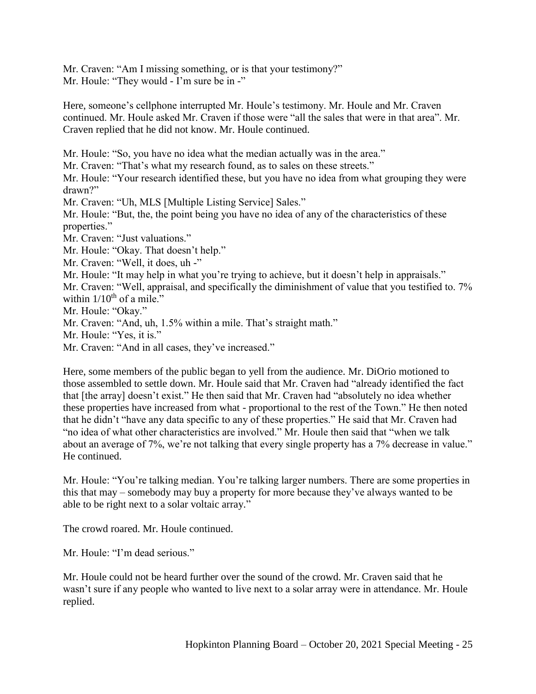Mr. Craven: "Am I missing something, or is that your testimony?" Mr. Houle: "They would - I'm sure be in -"

Here, someone's cellphone interrupted Mr. Houle's testimony. Mr. Houle and Mr. Craven continued. Mr. Houle asked Mr. Craven if those were "all the sales that were in that area". Mr. Craven replied that he did not know. Mr. Houle continued.

Mr. Houle: "So, you have no idea what the median actually was in the area."

Mr. Craven: "That's what my research found, as to sales on these streets."

Mr. Houle: "Your research identified these, but you have no idea from what grouping they were drawn?"

Mr. Craven: "Uh, MLS [Multiple Listing Service] Sales."

Mr. Houle: "But, the, the point being you have no idea of any of the characteristics of these properties."

Mr. Craven: "Just valuations."

Mr. Houle: "Okay. That doesn't help."

Mr. Craven: "Well, it does, uh -"

Mr. Houle: "It may help in what you're trying to achieve, but it doesn't help in appraisals."

Mr. Craven: "Well, appraisal, and specifically the diminishment of value that you testified to. 7% within  $1/10^{th}$  of a mile."

Mr. Houle: "Okay."

Mr. Craven: "And, uh, 1.5% within a mile. That's straight math."

Mr. Houle: "Yes, it is."

Mr. Craven: "And in all cases, they've increased."

Here, some members of the public began to yell from the audience. Mr. DiOrio motioned to those assembled to settle down. Mr. Houle said that Mr. Craven had "already identified the fact that [the array] doesn't exist." He then said that Mr. Craven had "absolutely no idea whether these properties have increased from what - proportional to the rest of the Town." He then noted that he didn't "have any data specific to any of these properties." He said that Mr. Craven had "no idea of what other characteristics are involved." Mr. Houle then said that "when we talk about an average of 7%, we're not talking that every single property has a 7% decrease in value." He continued.

Mr. Houle: "You're talking median. You're talking larger numbers. There are some properties in this that may – somebody may buy a property for more because they've always wanted to be able to be right next to a solar voltaic array."

The crowd roared. Mr. Houle continued.

Mr. Houle: "I'm dead serious."

Mr. Houle could not be heard further over the sound of the crowd. Mr. Craven said that he wasn't sure if any people who wanted to live next to a solar array were in attendance. Mr. Houle replied.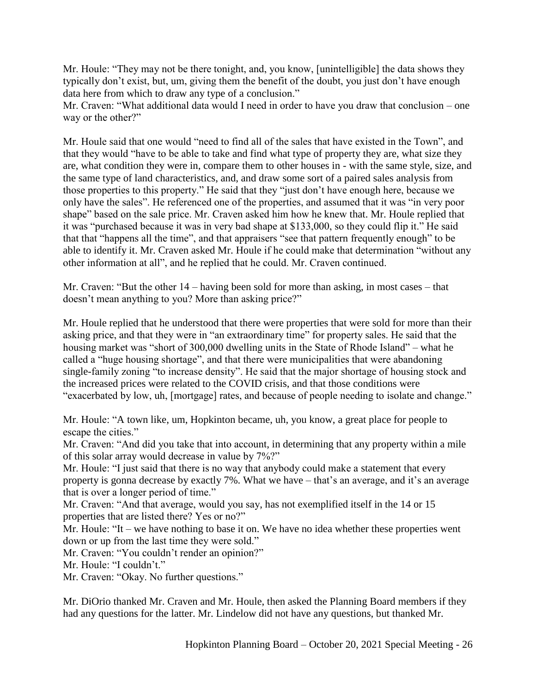Mr. Houle: "They may not be there tonight, and, you know, [unintelligible] the data shows they typically don't exist, but, um, giving them the benefit of the doubt, you just don't have enough data here from which to draw any type of a conclusion."

Mr. Craven: "What additional data would I need in order to have you draw that conclusion – one way or the other?"

Mr. Houle said that one would "need to find all of the sales that have existed in the Town", and that they would "have to be able to take and find what type of property they are, what size they are, what condition they were in, compare them to other houses in - with the same style, size, and the same type of land characteristics, and, and draw some sort of a paired sales analysis from those properties to this property." He said that they "just don't have enough here, because we only have the sales". He referenced one of the properties, and assumed that it was "in very poor shape" based on the sale price. Mr. Craven asked him how he knew that. Mr. Houle replied that it was "purchased because it was in very bad shape at \$133,000, so they could flip it." He said that that "happens all the time", and that appraisers "see that pattern frequently enough" to be able to identify it. Mr. Craven asked Mr. Houle if he could make that determination "without any other information at all", and he replied that he could. Mr. Craven continued.

Mr. Craven: "But the other 14 – having been sold for more than asking, in most cases – that doesn't mean anything to you? More than asking price?"

Mr. Houle replied that he understood that there were properties that were sold for more than their asking price, and that they were in "an extraordinary time" for property sales. He said that the housing market was "short of 300,000 dwelling units in the State of Rhode Island" – what he called a "huge housing shortage", and that there were municipalities that were abandoning single-family zoning "to increase density". He said that the major shortage of housing stock and the increased prices were related to the COVID crisis, and that those conditions were "exacerbated by low, uh, [mortgage] rates, and because of people needing to isolate and change."

Mr. Houle: "A town like, um, Hopkinton became, uh, you know, a great place for people to escape the cities."

Mr. Craven: "And did you take that into account, in determining that any property within a mile of this solar array would decrease in value by 7%?"

Mr. Houle: "I just said that there is no way that anybody could make a statement that every property is gonna decrease by exactly 7%. What we have – that's an average, and it's an average that is over a longer period of time."

Mr. Craven: "And that average, would you say, has not exemplified itself in the 14 or 15 properties that are listed there? Yes or no?"

Mr. Houle: "It – we have nothing to base it on. We have no idea whether these properties went down or up from the last time they were sold."

Mr. Craven: "You couldn't render an opinion?"

Mr. Houle: "I couldn't."

Mr. Craven: "Okay. No further questions."

Mr. DiOrio thanked Mr. Craven and Mr. Houle, then asked the Planning Board members if they had any questions for the latter. Mr. Lindelow did not have any questions, but thanked Mr.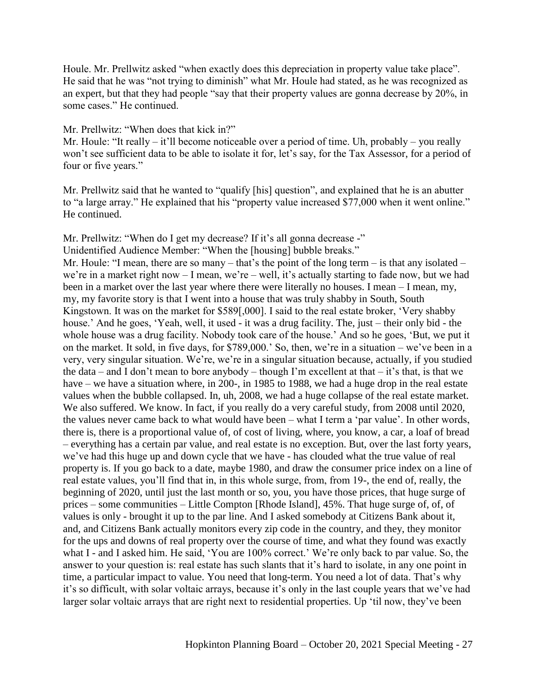Houle. Mr. Prellwitz asked "when exactly does this depreciation in property value take place". He said that he was "not trying to diminish" what Mr. Houle had stated, as he was recognized as an expert, but that they had people "say that their property values are gonna decrease by 20%, in some cases." He continued.

Mr. Prellwitz: "When does that kick in?"

Mr. Houle: "It really – it'll become noticeable over a period of time. Uh, probably – you really won't see sufficient data to be able to isolate it for, let's say, for the Tax Assessor, for a period of four or five years."

Mr. Prellwitz said that he wanted to "qualify [his] question", and explained that he is an abutter to "a large array." He explained that his "property value increased \$77,000 when it went online." He continued.

Mr. Prellwitz: "When do I get my decrease? If it's all gonna decrease -"

Unidentified Audience Member: "When the [housing] bubble breaks."

Mr. Houle: "I mean, there are so many – that's the point of the long term – is that any isolated – we're in a market right now – I mean, we're – well, it's actually starting to fade now, but we had been in a market over the last year where there were literally no houses. I mean – I mean, my, my, my favorite story is that I went into a house that was truly shabby in South, South Kingstown. It was on the market for \$589[,000]. I said to the real estate broker, 'Very shabby house.' And he goes, 'Yeah, well, it used - it was a drug facility. The, just – their only bid - the whole house was a drug facility. Nobody took care of the house.' And so he goes, 'But, we put it on the market. It sold, in five days, for \$789,000.' So, then, we're in a situation – we've been in a very, very singular situation. We're, we're in a singular situation because, actually, if you studied the data – and I don't mean to bore anybody – though I'm excellent at that – it's that, is that we have – we have a situation where, in 200-, in 1985 to 1988, we had a huge drop in the real estate values when the bubble collapsed. In, uh, 2008, we had a huge collapse of the real estate market. We also suffered. We know. In fact, if you really do a very careful study, from 2008 until 2020, the values never came back to what would have been – what I term a 'par value'. In other words, there is, there is a proportional value of, of cost of living, where, you know, a car, a loaf of bread – everything has a certain par value, and real estate is no exception. But, over the last forty years, we've had this huge up and down cycle that we have - has clouded what the true value of real property is. If you go back to a date, maybe 1980, and draw the consumer price index on a line of real estate values, you'll find that in, in this whole surge, from, from 19-, the end of, really, the beginning of 2020, until just the last month or so, you, you have those prices, that huge surge of prices – some communities – Little Compton [Rhode Island], 45%. That huge surge of, of, of values is only - brought it up to the par line. And I asked somebody at Citizens Bank about it, and, and Citizens Bank actually monitors every zip code in the country, and they, they monitor for the ups and downs of real property over the course of time, and what they found was exactly what I - and I asked him. He said, 'You are 100% correct.' We're only back to par value. So, the answer to your question is: real estate has such slants that it's hard to isolate, in any one point in time, a particular impact to value. You need that long-term. You need a lot of data. That's why it's so difficult, with solar voltaic arrays, because it's only in the last couple years that we've had larger solar voltaic arrays that are right next to residential properties. Up 'til now, they've been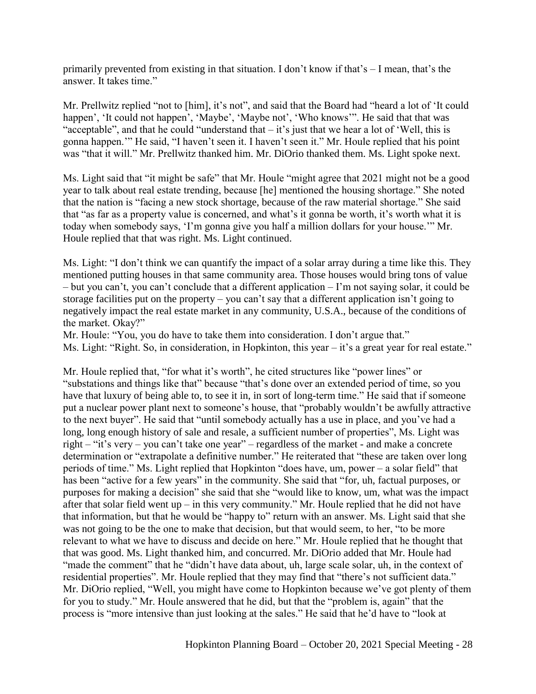primarily prevented from existing in that situation. I don't know if that's – I mean, that's the answer. It takes time."

Mr. Prellwitz replied "not to [him], it's not", and said that the Board had "heard a lot of 'It could happen', 'It could not happen', 'Maybe', 'Maybe not', 'Who knows'". He said that that was "acceptable", and that he could "understand that – it's just that we hear a lot of 'Well, this is gonna happen.'" He said, "I haven't seen it. I haven't seen it." Mr. Houle replied that his point was "that it will." Mr. Prellwitz thanked him. Mr. DiOrio thanked them. Ms. Light spoke next.

Ms. Light said that "it might be safe" that Mr. Houle "might agree that 2021 might not be a good year to talk about real estate trending, because [he] mentioned the housing shortage." She noted that the nation is "facing a new stock shortage, because of the raw material shortage." She said that "as far as a property value is concerned, and what's it gonna be worth, it's worth what it is today when somebody says, 'I'm gonna give you half a million dollars for your house.'" Mr. Houle replied that that was right. Ms. Light continued.

Ms. Light: "I don't think we can quantify the impact of a solar array during a time like this. They mentioned putting houses in that same community area. Those houses would bring tons of value – but you can't, you can't conclude that a different application – I'm not saying solar, it could be storage facilities put on the property – you can't say that a different application isn't going to negatively impact the real estate market in any community, U.S.A., because of the conditions of the market. Okay?"

Mr. Houle: "You, you do have to take them into consideration. I don't argue that."

Ms. Light: "Right. So, in consideration, in Hopkinton, this year – it's a great year for real estate."

Mr. Houle replied that, "for what it's worth", he cited structures like "power lines" or "substations and things like that" because "that's done over an extended period of time, so you have that luxury of being able to, to see it in, in sort of long-term time." He said that if someone put a nuclear power plant next to someone's house, that "probably wouldn't be awfully attractive to the next buyer". He said that "until somebody actually has a use in place, and you've had a long, long enough history of sale and resale, a sufficient number of properties", Ms. Light was right – "it's very – you can't take one year" – regardless of the market - and make a concrete determination or "extrapolate a definitive number." He reiterated that "these are taken over long periods of time." Ms. Light replied that Hopkinton "does have, um, power – a solar field" that has been "active for a few years" in the community. She said that "for, uh, factual purposes, or purposes for making a decision" she said that she "would like to know, um, what was the impact after that solar field went up – in this very community." Mr. Houle replied that he did not have that information, but that he would be "happy to" return with an answer. Ms. Light said that she was not going to be the one to make that decision, but that would seem, to her, "to be more relevant to what we have to discuss and decide on here." Mr. Houle replied that he thought that that was good. Ms. Light thanked him, and concurred. Mr. DiOrio added that Mr. Houle had "made the comment" that he "didn't have data about, uh, large scale solar, uh, in the context of residential properties". Mr. Houle replied that they may find that "there's not sufficient data." Mr. DiOrio replied, "Well, you might have come to Hopkinton because we've got plenty of them for you to study." Mr. Houle answered that he did, but that the "problem is, again" that the process is "more intensive than just looking at the sales." He said that he'd have to "look at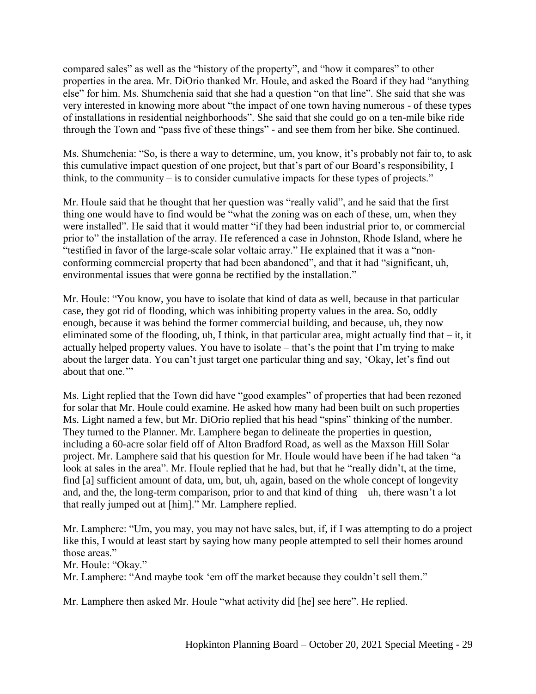compared sales" as well as the "history of the property", and "how it compares" to other properties in the area. Mr. DiOrio thanked Mr. Houle, and asked the Board if they had "anything else" for him. Ms. Shumchenia said that she had a question "on that line". She said that she was very interested in knowing more about "the impact of one town having numerous - of these types of installations in residential neighborhoods". She said that she could go on a ten-mile bike ride through the Town and "pass five of these things" - and see them from her bike. She continued.

Ms. Shumchenia: "So, is there a way to determine, um, you know, it's probably not fair to, to ask this cumulative impact question of one project, but that's part of our Board's responsibility, I think, to the community – is to consider cumulative impacts for these types of projects."

Mr. Houle said that he thought that her question was "really valid", and he said that the first thing one would have to find would be "what the zoning was on each of these, um, when they were installed". He said that it would matter "if they had been industrial prior to, or commercial prior to" the installation of the array. He referenced a case in Johnston, Rhode Island, where he "testified in favor of the large-scale solar voltaic array." He explained that it was a "nonconforming commercial property that had been abandoned", and that it had "significant, uh, environmental issues that were gonna be rectified by the installation."

Mr. Houle: "You know, you have to isolate that kind of data as well, because in that particular case, they got rid of flooding, which was inhibiting property values in the area. So, oddly enough, because it was behind the former commercial building, and because, uh, they now eliminated some of the flooding, uh, I think, in that particular area, might actually find that – it, it actually helped property values. You have to isolate – that's the point that I'm trying to make about the larger data. You can't just target one particular thing and say, 'Okay, let's find out about that one."

Ms. Light replied that the Town did have "good examples" of properties that had been rezoned for solar that Mr. Houle could examine. He asked how many had been built on such properties Ms. Light named a few, but Mr. DiOrio replied that his head "spins" thinking of the number. They turned to the Planner. Mr. Lamphere began to delineate the properties in question, including a 60-acre solar field off of Alton Bradford Road, as well as the Maxson Hill Solar project. Mr. Lamphere said that his question for Mr. Houle would have been if he had taken "a look at sales in the area". Mr. Houle replied that he had, but that he "really didn't, at the time, find [a] sufficient amount of data, um, but, uh, again, based on the whole concept of longevity and, and the, the long-term comparison, prior to and that kind of thing – uh, there wasn't a lot that really jumped out at [him]." Mr. Lamphere replied.

Mr. Lamphere: "Um, you may, you may not have sales, but, if, if I was attempting to do a project like this, I would at least start by saying how many people attempted to sell their homes around those areas."

Mr. Houle: "Okay."

Mr. Lamphere: "And maybe took 'em off the market because they couldn't sell them."

Mr. Lamphere then asked Mr. Houle "what activity did [he] see here". He replied.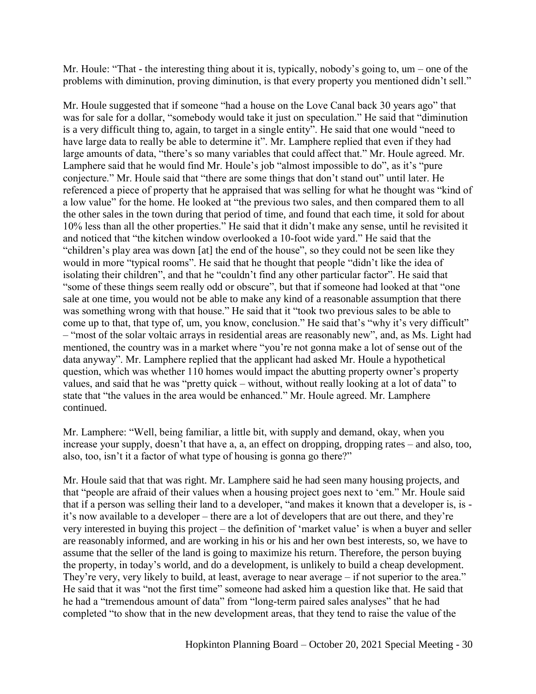Mr. Houle: "That - the interesting thing about it is, typically, nobody's going to, um – one of the problems with diminution, proving diminution, is that every property you mentioned didn't sell."

Mr. Houle suggested that if someone "had a house on the Love Canal back 30 years ago" that was for sale for a dollar, "somebody would take it just on speculation." He said that "diminution is a very difficult thing to, again, to target in a single entity". He said that one would "need to have large data to really be able to determine it". Mr. Lamphere replied that even if they had large amounts of data, "there's so many variables that could affect that." Mr. Houle agreed. Mr. Lamphere said that he would find Mr. Houle's job "almost impossible to do", as it's "pure conjecture." Mr. Houle said that "there are some things that don't stand out" until later. He referenced a piece of property that he appraised that was selling for what he thought was "kind of a low value" for the home. He looked at "the previous two sales, and then compared them to all the other sales in the town during that period of time, and found that each time, it sold for about 10% less than all the other properties." He said that it didn't make any sense, until he revisited it and noticed that "the kitchen window overlooked a 10-foot wide yard." He said that the "children's play area was down [at] the end of the house", so they could not be seen like they would in more "typical rooms". He said that he thought that people "didn't like the idea of isolating their children", and that he "couldn't find any other particular factor". He said that "some of these things seem really odd or obscure", but that if someone had looked at that "one sale at one time, you would not be able to make any kind of a reasonable assumption that there was something wrong with that house." He said that it "took two previous sales to be able to come up to that, that type of, um, you know, conclusion." He said that's "why it's very difficult" – "most of the solar voltaic arrays in residential areas are reasonably new", and, as Ms. Light had mentioned, the country was in a market where "you're not gonna make a lot of sense out of the data anyway". Mr. Lamphere replied that the applicant had asked Mr. Houle a hypothetical question, which was whether 110 homes would impact the abutting property owner's property values, and said that he was "pretty quick – without, without really looking at a lot of data" to state that "the values in the area would be enhanced." Mr. Houle agreed. Mr. Lamphere continued.

Mr. Lamphere: "Well, being familiar, a little bit, with supply and demand, okay, when you increase your supply, doesn't that have a, a, an effect on dropping, dropping rates – and also, too, also, too, isn't it a factor of what type of housing is gonna go there?"

Mr. Houle said that that was right. Mr. Lamphere said he had seen many housing projects, and that "people are afraid of their values when a housing project goes next to 'em." Mr. Houle said that if a person was selling their land to a developer, "and makes it known that a developer is, is it's now available to a developer – there are a lot of developers that are out there, and they're very interested in buying this project – the definition of 'market value' is when a buyer and seller are reasonably informed, and are working in his or his and her own best interests, so, we have to assume that the seller of the land is going to maximize his return. Therefore, the person buying the property, in today's world, and do a development, is unlikely to build a cheap development. They're very, very likely to build, at least, average to near average – if not superior to the area." He said that it was "not the first time" someone had asked him a question like that. He said that he had a "tremendous amount of data" from "long-term paired sales analyses" that he had completed "to show that in the new development areas, that they tend to raise the value of the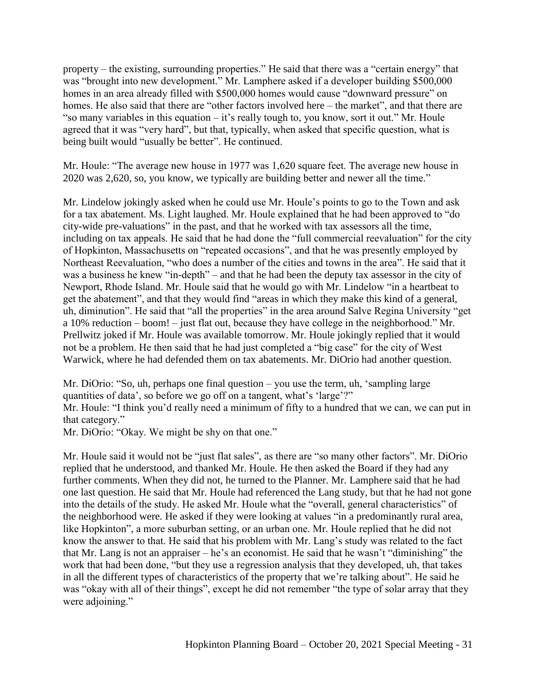property – the existing, surrounding properties." He said that there was a "certain energy" that was "brought into new development." Mr. Lamphere asked if a developer building \$500,000 homes in an area already filled with \$500,000 homes would cause "downward pressure" on homes. He also said that there are "other factors involved here – the market", and that there are "so many variables in this equation – it's really tough to, you know, sort it out." Mr. Houle agreed that it was "very hard", but that, typically, when asked that specific question, what is being built would "usually be better". He continued.

Mr. Houle: "The average new house in 1977 was 1,620 square feet. The average new house in 2020 was 2,620, so, you know, we typically are building better and newer all the time."

Mr. Lindelow jokingly asked when he could use Mr. Houle's points to go to the Town and ask for a tax abatement. Ms. Light laughed. Mr. Houle explained that he had been approved to "do city-wide pre-valuations" in the past, and that he worked with tax assessors all the time, including on tax appeals. He said that he had done the "full commercial reevaluation" for the city of Hopkinton, Massachusetts on "repeated occasions", and that he was presently employed by Northeast Reevaluation, "who does a number of the cities and towns in the area". He said that it was a business he knew "in-depth" – and that he had been the deputy tax assessor in the city of Newport, Rhode Island. Mr. Houle said that he would go with Mr. Lindelow "in a heartbeat to get the abatement", and that they would find "areas in which they make this kind of a general, uh, diminution". He said that "all the properties" in the area around Salve Regina University "get a 10% reduction – boom! – just flat out, because they have college in the neighborhood." Mr. Prellwitz joked if Mr. Houle was available tomorrow. Mr. Houle jokingly replied that it would not be a problem. He then said that he had just completed a "big case" for the city of West Warwick, where he had defended them on tax abatements. Mr. DiOrio had another question.

Mr. DiOrio: "So, uh, perhaps one final question – you use the term, uh, 'sampling large quantities of data', so before we go off on a tangent, what's 'large'?"

Mr. Houle: "I think you'd really need a minimum of fifty to a hundred that we can, we can put in that category."

Mr. DiOrio: "Okay. We might be shy on that one."

Mr. Houle said it would not be "just flat sales", as there are "so many other factors". Mr. DiOrio replied that he understood, and thanked Mr. Houle. He then asked the Board if they had any further comments. When they did not, he turned to the Planner. Mr. Lamphere said that he had one last question. He said that Mr. Houle had referenced the Lang study, but that he had not gone into the details of the study. He asked Mr. Houle what the "overall, general characteristics" of the neighborhood were. He asked if they were looking at values "in a predominantly rural area, like Hopkinton", a more suburban setting, or an urban one. Mr. Houle replied that he did not know the answer to that. He said that his problem with Mr. Lang's study was related to the fact that Mr. Lang is not an appraiser – he's an economist. He said that he wasn't "diminishing" the work that had been done, "but they use a regression analysis that they developed, uh, that takes in all the different types of characteristics of the property that we're talking about". He said he was "okay with all of their things", except he did not remember "the type of solar array that they were adjoining."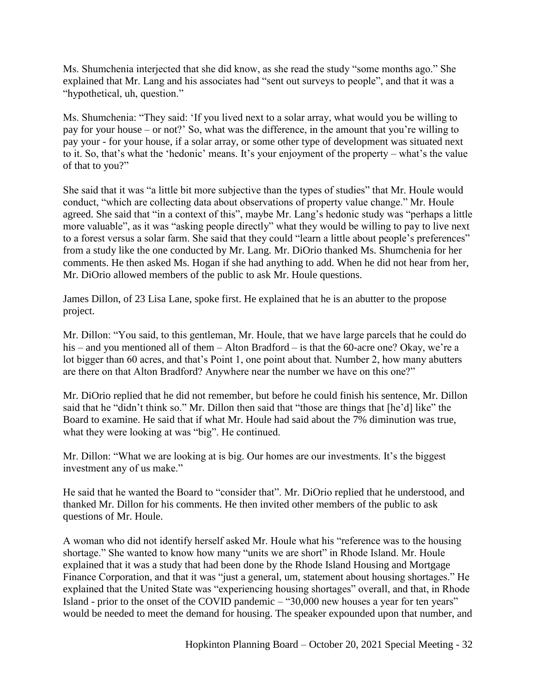Ms. Shumchenia interjected that she did know, as she read the study "some months ago." She explained that Mr. Lang and his associates had "sent out surveys to people", and that it was a "hypothetical, uh, question."

Ms. Shumchenia: "They said: 'If you lived next to a solar array, what would you be willing to pay for your house – or not?' So, what was the difference, in the amount that you're willing to pay your - for your house, if a solar array, or some other type of development was situated next to it. So, that's what the 'hedonic' means. It's your enjoyment of the property – what's the value of that to you?"

She said that it was "a little bit more subjective than the types of studies" that Mr. Houle would conduct, "which are collecting data about observations of property value change." Mr. Houle agreed. She said that "in a context of this", maybe Mr. Lang's hedonic study was "perhaps a little more valuable", as it was "asking people directly" what they would be willing to pay to live next to a forest versus a solar farm. She said that they could "learn a little about people's preferences" from a study like the one conducted by Mr. Lang. Mr. DiOrio thanked Ms. Shumchenia for her comments. He then asked Ms. Hogan if she had anything to add. When he did not hear from her, Mr. DiOrio allowed members of the public to ask Mr. Houle questions.

James Dillon, of 23 Lisa Lane, spoke first. He explained that he is an abutter to the propose project.

Mr. Dillon: "You said, to this gentleman, Mr. Houle, that we have large parcels that he could do his – and you mentioned all of them – Alton Bradford – is that the 60-acre one? Okay, we're a lot bigger than 60 acres, and that's Point 1, one point about that. Number 2, how many abutters are there on that Alton Bradford? Anywhere near the number we have on this one?"

Mr. DiOrio replied that he did not remember, but before he could finish his sentence, Mr. Dillon said that he "didn't think so." Mr. Dillon then said that "those are things that [he'd] like" the Board to examine. He said that if what Mr. Houle had said about the 7% diminution was true, what they were looking at was "big". He continued.

Mr. Dillon: "What we are looking at is big. Our homes are our investments. It's the biggest investment any of us make."

He said that he wanted the Board to "consider that". Mr. DiOrio replied that he understood, and thanked Mr. Dillon for his comments. He then invited other members of the public to ask questions of Mr. Houle.

A woman who did not identify herself asked Mr. Houle what his "reference was to the housing shortage." She wanted to know how many "units we are short" in Rhode Island. Mr. Houle explained that it was a study that had been done by the Rhode Island Housing and Mortgage Finance Corporation, and that it was "just a general, um, statement about housing shortages." He explained that the United State was "experiencing housing shortages" overall, and that, in Rhode Island - prior to the onset of the COVID pandemic – "30,000 new houses a year for ten years" would be needed to meet the demand for housing. The speaker expounded upon that number, and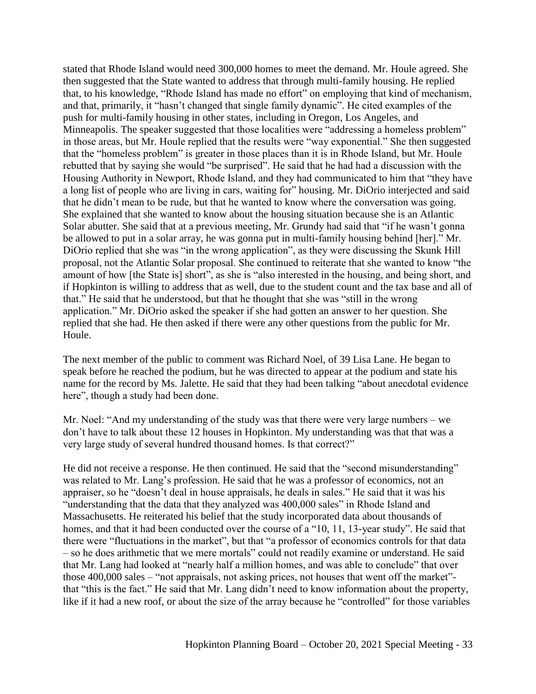stated that Rhode Island would need 300,000 homes to meet the demand. Mr. Houle agreed. She then suggested that the State wanted to address that through multi-family housing. He replied that, to his knowledge, "Rhode Island has made no effort" on employing that kind of mechanism, and that, primarily, it "hasn't changed that single family dynamic". He cited examples of the push for multi-family housing in other states, including in Oregon, Los Angeles, and Minneapolis. The speaker suggested that those localities were "addressing a homeless problem" in those areas, but Mr. Houle replied that the results were "way exponential." She then suggested that the "homeless problem" is greater in those places than it is in Rhode Island, but Mr. Houle rebutted that by saying she would "be surprised". He said that he had had a discussion with the Housing Authority in Newport, Rhode Island, and they had communicated to him that "they have a long list of people who are living in cars, waiting for" housing. Mr. DiOrio interjected and said that he didn't mean to be rude, but that he wanted to know where the conversation was going. She explained that she wanted to know about the housing situation because she is an Atlantic Solar abutter. She said that at a previous meeting, Mr. Grundy had said that "if he wasn't gonna be allowed to put in a solar array, he was gonna put in multi-family housing behind [her]." Mr. DiOrio replied that she was "in the wrong application", as they were discussing the Skunk Hill proposal, not the Atlantic Solar proposal. She continued to reiterate that she wanted to know "the amount of how [the State is] short", as she is "also interested in the housing, and being short, and if Hopkinton is willing to address that as well, due to the student count and the tax base and all of that." He said that he understood, but that he thought that she was "still in the wrong application." Mr. DiOrio asked the speaker if she had gotten an answer to her question. She replied that she had. He then asked if there were any other questions from the public for Mr. Houle.

The next member of the public to comment was Richard Noel, of 39 Lisa Lane. He began to speak before he reached the podium, but he was directed to appear at the podium and state his name for the record by Ms. Jalette. He said that they had been talking "about anecdotal evidence here", though a study had been done.

Mr. Noel: "And my understanding of the study was that there were very large numbers – we don't have to talk about these 12 houses in Hopkinton. My understanding was that that was a very large study of several hundred thousand homes. Is that correct?"

He did not receive a response. He then continued. He said that the "second misunderstanding" was related to Mr. Lang's profession. He said that he was a professor of economics, not an appraiser, so he "doesn't deal in house appraisals, he deals in sales." He said that it was his "understanding that the data that they analyzed was 400,000 sales" in Rhode Island and Massachusetts. He reiterated his belief that the study incorporated data about thousands of homes, and that it had been conducted over the course of a "10, 11, 13-year study". He said that there were "fluctuations in the market", but that "a professor of economics controls for that data – so he does arithmetic that we mere mortals" could not readily examine or understand. He said that Mr. Lang had looked at "nearly half a million homes, and was able to conclude" that over those 400,000 sales – "not appraisals, not asking prices, not houses that went off the market" that "this is the fact." He said that Mr. Lang didn't need to know information about the property, like if it had a new roof, or about the size of the array because he "controlled" for those variables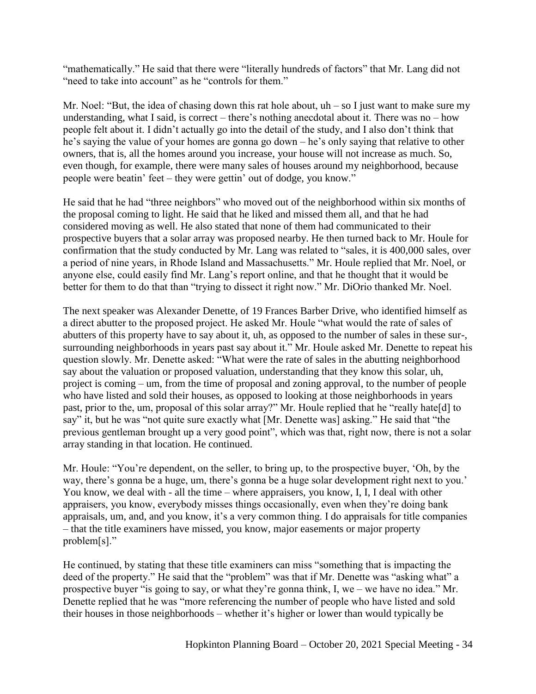"mathematically." He said that there were "literally hundreds of factors" that Mr. Lang did not "need to take into account" as he "controls for them."

Mr. Noel: "But, the idea of chasing down this rat hole about,  $uh - so I$  just want to make sure my understanding, what I said, is correct – there's nothing anecdotal about it. There was no – how people felt about it. I didn't actually go into the detail of the study, and I also don't think that he's saying the value of your homes are gonna go down – he's only saying that relative to other owners, that is, all the homes around you increase, your house will not increase as much. So, even though, for example, there were many sales of houses around my neighborhood, because people were beatin' feet – they were gettin' out of dodge, you know."

He said that he had "three neighbors" who moved out of the neighborhood within six months of the proposal coming to light. He said that he liked and missed them all, and that he had considered moving as well. He also stated that none of them had communicated to their prospective buyers that a solar array was proposed nearby. He then turned back to Mr. Houle for confirmation that the study conducted by Mr. Lang was related to "sales, it is 400,000 sales, over a period of nine years, in Rhode Island and Massachusetts." Mr. Houle replied that Mr. Noel, or anyone else, could easily find Mr. Lang's report online, and that he thought that it would be better for them to do that than "trying to dissect it right now." Mr. DiOrio thanked Mr. Noel.

The next speaker was Alexander Denette, of 19 Frances Barber Drive, who identified himself as a direct abutter to the proposed project. He asked Mr. Houle "what would the rate of sales of abutters of this property have to say about it, uh, as opposed to the number of sales in these sur-, surrounding neighborhoods in years past say about it." Mr. Houle asked Mr. Denette to repeat his question slowly. Mr. Denette asked: "What were the rate of sales in the abutting neighborhood say about the valuation or proposed valuation, understanding that they know this solar, uh, project is coming – um, from the time of proposal and zoning approval, to the number of people who have listed and sold their houses, as opposed to looking at those neighborhoods in years past, prior to the, um, proposal of this solar array?" Mr. Houle replied that he "really hate[d] to say" it, but he was "not quite sure exactly what [Mr. Denette was] asking." He said that "the previous gentleman brought up a very good point", which was that, right now, there is not a solar array standing in that location. He continued.

Mr. Houle: "You're dependent, on the seller, to bring up, to the prospective buyer, 'Oh, by the way, there's gonna be a huge, um, there's gonna be a huge solar development right next to you.' You know, we deal with - all the time – where appraisers, you know, I, I, I deal with other appraisers, you know, everybody misses things occasionally, even when they're doing bank appraisals, um, and, and you know, it's a very common thing. I do appraisals for title companies – that the title examiners have missed, you know, major easements or major property problem[s]."

He continued, by stating that these title examiners can miss "something that is impacting the deed of the property." He said that the "problem" was that if Mr. Denette was "asking what" a prospective buyer "is going to say, or what they're gonna think, I, we – we have no idea." Mr. Denette replied that he was "more referencing the number of people who have listed and sold their houses in those neighborhoods – whether it's higher or lower than would typically be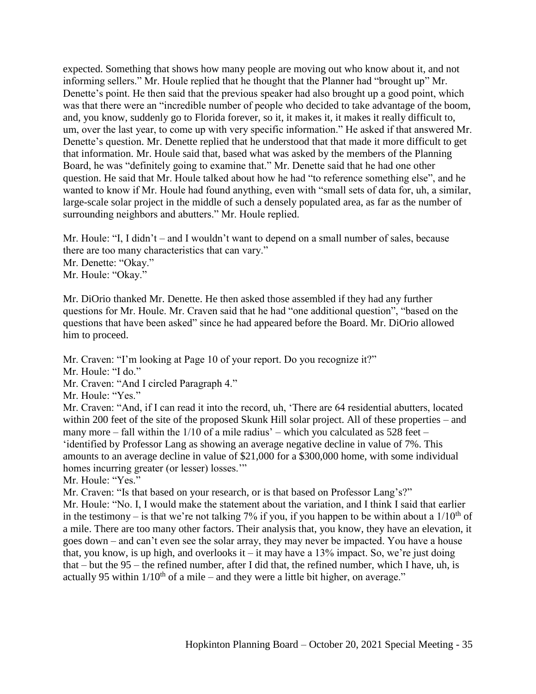expected. Something that shows how many people are moving out who know about it, and not informing sellers." Mr. Houle replied that he thought that the Planner had "brought up" Mr. Denette's point. He then said that the previous speaker had also brought up a good point, which was that there were an "incredible number of people who decided to take advantage of the boom, and, you know, suddenly go to Florida forever, so it, it makes it, it makes it really difficult to, um, over the last year, to come up with very specific information." He asked if that answered Mr. Denette's question. Mr. Denette replied that he understood that that made it more difficult to get that information. Mr. Houle said that, based what was asked by the members of the Planning Board, he was "definitely going to examine that." Mr. Denette said that he had one other question. He said that Mr. Houle talked about how he had "to reference something else", and he wanted to know if Mr. Houle had found anything, even with "small sets of data for, uh, a similar, large-scale solar project in the middle of such a densely populated area, as far as the number of surrounding neighbors and abutters." Mr. Houle replied.

Mr. Houle: "I, I didn't – and I wouldn't want to depend on a small number of sales, because there are too many characteristics that can vary." Mr. Denette: "Okay." Mr. Houle: "Okay."

Mr. DiOrio thanked Mr. Denette. He then asked those assembled if they had any further questions for Mr. Houle. Mr. Craven said that he had "one additional question", "based on the questions that have been asked" since he had appeared before the Board. Mr. DiOrio allowed him to proceed.

Mr. Craven: "I'm looking at Page 10 of your report. Do you recognize it?"

Mr. Houle: "I do."

Mr. Craven: "And I circled Paragraph 4."

Mr. Houle: "Yes."

Mr. Craven: "And, if I can read it into the record, uh, 'There are 64 residential abutters, located within 200 feet of the site of the proposed Skunk Hill solar project. All of these properties – and many more – fall within the 1/10 of a mile radius' – which you calculated as 528 feet – 'identified by Professor Lang as showing an average negative decline in value of 7%. This amounts to an average decline in value of \$21,000 for a \$300,000 home, with some individual homes incurring greater (or lesser) losses."

Mr. Houle: "Yes."

Mr. Craven: "Is that based on your research, or is that based on Professor Lang's?"

Mr. Houle: "No. I, I would make the statement about the variation, and I think I said that earlier in the testimony – is that we're not talking 7% if you, if you happen to be within about a  $1/10^{th}$  of a mile. There are too many other factors. Their analysis that, you know, they have an elevation, it goes down – and can't even see the solar array, they may never be impacted. You have a house that, you know, is up high, and overlooks it – it may have a  $13\%$  impact. So, we're just doing that – but the 95 – the refined number, after I did that, the refined number, which I have, uh, is actually 95 within  $1/10^{th}$  of a mile – and they were a little bit higher, on average."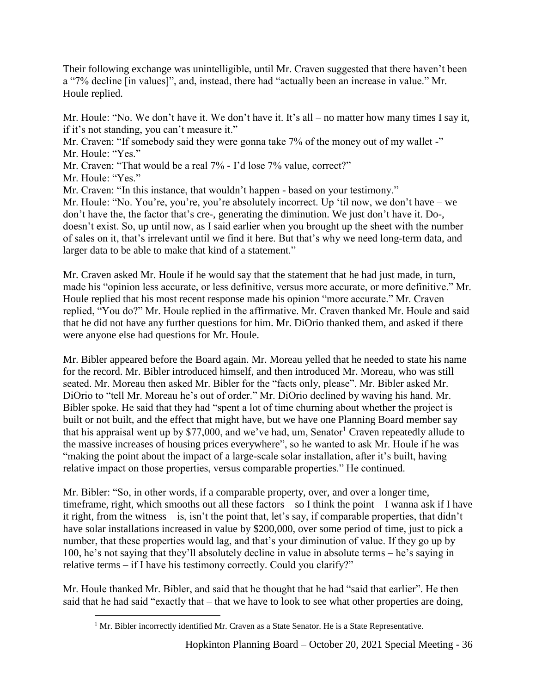Their following exchange was unintelligible, until Mr. Craven suggested that there haven't been a "7% decline [in values]", and, instead, there had "actually been an increase in value." Mr. Houle replied.

Mr. Houle: "No. We don't have it. We don't have it. It's all – no matter how many times I say it, if it's not standing, you can't measure it."

Mr. Craven: "If somebody said they were gonna take 7% of the money out of my wallet -" Mr. Houle: "Yes."

Mr. Craven: "That would be a real 7% - I'd lose 7% value, correct?"

Mr. Houle: "Yes."

 $\overline{a}$ 

Mr. Craven: "In this instance, that wouldn't happen - based on your testimony."

Mr. Houle: "No. You're, you're, you're absolutely incorrect. Up 'til now, we don't have – we don't have the, the factor that's cre-, generating the diminution. We just don't have it. Do-, doesn't exist. So, up until now, as I said earlier when you brought up the sheet with the number of sales on it, that's irrelevant until we find it here. But that's why we need long-term data, and larger data to be able to make that kind of a statement."

Mr. Craven asked Mr. Houle if he would say that the statement that he had just made, in turn, made his "opinion less accurate, or less definitive, versus more accurate, or more definitive." Mr. Houle replied that his most recent response made his opinion "more accurate." Mr. Craven replied, "You do?" Mr. Houle replied in the affirmative. Mr. Craven thanked Mr. Houle and said that he did not have any further questions for him. Mr. DiOrio thanked them, and asked if there were anyone else had questions for Mr. Houle.

Mr. Bibler appeared before the Board again. Mr. Moreau yelled that he needed to state his name for the record. Mr. Bibler introduced himself, and then introduced Mr. Moreau, who was still seated. Mr. Moreau then asked Mr. Bibler for the "facts only, please". Mr. Bibler asked Mr. DiOrio to "tell Mr. Moreau he's out of order." Mr. DiOrio declined by waving his hand. Mr. Bibler spoke. He said that they had "spent a lot of time churning about whether the project is built or not built, and the effect that might have, but we have one Planning Board member say that his appraisal went up by  $$77,000$ , and we've had, um, Senator<sup>1</sup> Craven repeatedly allude to the massive increases of housing prices everywhere", so he wanted to ask Mr. Houle if he was "making the point about the impact of a large-scale solar installation, after it's built, having relative impact on those properties, versus comparable properties." He continued.

Mr. Bibler: "So, in other words, if a comparable property, over, and over a longer time, timeframe, right, which smooths out all these factors – so I think the point – I wanna ask if I have it right, from the witness – is, isn't the point that, let's say, if comparable properties, that didn't have solar installations increased in value by \$200,000, over some period of time, just to pick a number, that these properties would lag, and that's your diminution of value. If they go up by 100, he's not saying that they'll absolutely decline in value in absolute terms – he's saying in relative terms – if I have his testimony correctly. Could you clarify?"

Mr. Houle thanked Mr. Bibler, and said that he thought that he had "said that earlier". He then said that he had said "exactly that – that we have to look to see what other properties are doing,

<sup>&</sup>lt;sup>1</sup> Mr. Bibler incorrectly identified Mr. Craven as a State Senator. He is a State Representative.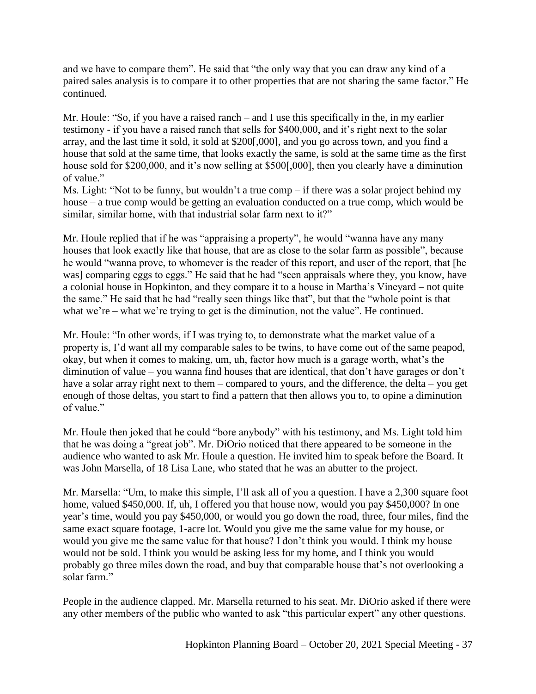and we have to compare them". He said that "the only way that you can draw any kind of a paired sales analysis is to compare it to other properties that are not sharing the same factor." He continued.

Mr. Houle: "So, if you have a raised ranch – and I use this specifically in the, in my earlier testimony - if you have a raised ranch that sells for \$400,000, and it's right next to the solar array, and the last time it sold, it sold at \$200[,000], and you go across town, and you find a house that sold at the same time, that looks exactly the same, is sold at the same time as the first house sold for \$200,000, and it's now selling at \$500[,000], then you clearly have a diminution of value."

Ms. Light: "Not to be funny, but wouldn't a true comp – if there was a solar project behind my house – a true comp would be getting an evaluation conducted on a true comp, which would be similar, similar home, with that industrial solar farm next to it?"

Mr. Houle replied that if he was "appraising a property", he would "wanna have any many houses that look exactly like that house, that are as close to the solar farm as possible", because he would "wanna prove, to whomever is the reader of this report, and user of the report, that [he was] comparing eggs to eggs." He said that he had "seen appraisals where they, you know, have a colonial house in Hopkinton, and they compare it to a house in Martha's Vineyard – not quite the same." He said that he had "really seen things like that", but that the "whole point is that what we're – what we're trying to get is the diminution, not the value". He continued.

Mr. Houle: "In other words, if I was trying to, to demonstrate what the market value of a property is, I'd want all my comparable sales to be twins, to have come out of the same peapod, okay, but when it comes to making, um, uh, factor how much is a garage worth, what's the diminution of value – you wanna find houses that are identical, that don't have garages or don't have a solar array right next to them – compared to yours, and the difference, the delta – you get enough of those deltas, you start to find a pattern that then allows you to, to opine a diminution of value."

Mr. Houle then joked that he could "bore anybody" with his testimony, and Ms. Light told him that he was doing a "great job". Mr. DiOrio noticed that there appeared to be someone in the audience who wanted to ask Mr. Houle a question. He invited him to speak before the Board. It was John Marsella, of 18 Lisa Lane, who stated that he was an abutter to the project.

Mr. Marsella: "Um, to make this simple, I'll ask all of you a question. I have a 2,300 square foot home, valued \$450,000. If, uh, I offered you that house now, would you pay \$450,000? In one year's time, would you pay \$450,000, or would you go down the road, three, four miles, find the same exact square footage, 1-acre lot. Would you give me the same value for my house, or would you give me the same value for that house? I don't think you would. I think my house would not be sold. I think you would be asking less for my home, and I think you would probably go three miles down the road, and buy that comparable house that's not overlooking a solar farm."

People in the audience clapped. Mr. Marsella returned to his seat. Mr. DiOrio asked if there were any other members of the public who wanted to ask "this particular expert" any other questions.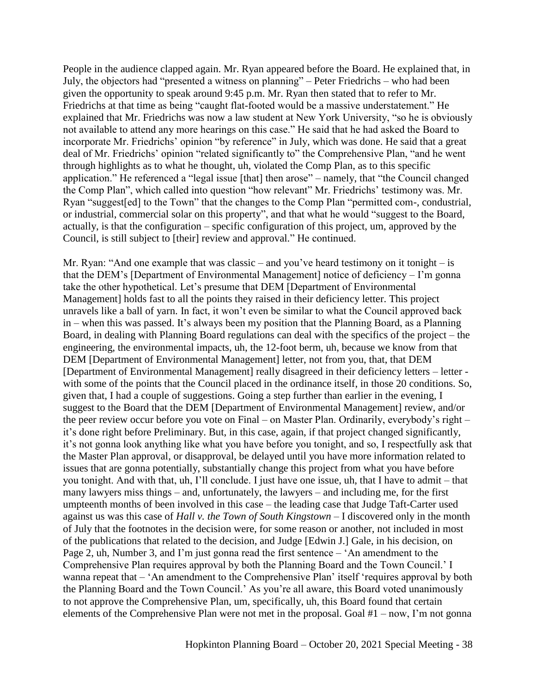People in the audience clapped again. Mr. Ryan appeared before the Board. He explained that, in July, the objectors had "presented a witness on planning" – Peter Friedrichs – who had been given the opportunity to speak around 9:45 p.m. Mr. Ryan then stated that to refer to Mr. Friedrichs at that time as being "caught flat-footed would be a massive understatement." He explained that Mr. Friedrichs was now a law student at New York University, "so he is obviously not available to attend any more hearings on this case." He said that he had asked the Board to incorporate Mr. Friedrichs' opinion "by reference" in July, which was done. He said that a great deal of Mr. Friedrichs' opinion "related significantly to" the Comprehensive Plan, "and he went through highlights as to what he thought, uh, violated the Comp Plan, as to this specific application." He referenced a "legal issue [that] then arose" – namely, that "the Council changed the Comp Plan", which called into question "how relevant" Mr. Friedrichs' testimony was. Mr. Ryan "suggest[ed] to the Town" that the changes to the Comp Plan "permitted com-, condustrial, or industrial, commercial solar on this property", and that what he would "suggest to the Board, actually, is that the configuration – specific configuration of this project, um, approved by the Council, is still subject to [their] review and approval." He continued.

Mr. Ryan: "And one example that was classic – and you've heard testimony on it tonight – is that the DEM's [Department of Environmental Management] notice of deficiency – I'm gonna take the other hypothetical. Let's presume that DEM [Department of Environmental Management] holds fast to all the points they raised in their deficiency letter. This project unravels like a ball of yarn. In fact, it won't even be similar to what the Council approved back in – when this was passed. It's always been my position that the Planning Board, as a Planning Board, in dealing with Planning Board regulations can deal with the specifics of the project – the engineering, the environmental impacts, uh, the 12-foot berm, uh, because we know from that DEM [Department of Environmental Management] letter, not from you, that, that DEM [Department of Environmental Management] really disagreed in their deficiency letters – letter with some of the points that the Council placed in the ordinance itself, in those 20 conditions. So, given that, I had a couple of suggestions. Going a step further than earlier in the evening, I suggest to the Board that the DEM [Department of Environmental Management] review, and/or the peer review occur before you vote on Final – on Master Plan. Ordinarily, everybody's right – it's done right before Preliminary. But, in this case, again, if that project changed significantly, it's not gonna look anything like what you have before you tonight, and so, I respectfully ask that the Master Plan approval, or disapproval, be delayed until you have more information related to issues that are gonna potentially, substantially change this project from what you have before you tonight. And with that, uh, I'll conclude. I just have one issue, uh, that I have to admit – that many lawyers miss things – and, unfortunately, the lawyers – and including me, for the first umpteenth months of been involved in this case – the leading case that Judge Taft-Carter used against us was this case of *Hall v. the Town of South Kingstown* – I discovered only in the month of July that the footnotes in the decision were, for some reason or another, not included in most of the publications that related to the decision, and Judge [Edwin J.] Gale, in his decision, on Page 2, uh, Number 3, and I'm just gonna read the first sentence – 'An amendment to the Comprehensive Plan requires approval by both the Planning Board and the Town Council.' I wanna repeat that – 'An amendment to the Comprehensive Plan' itself 'requires approval by both the Planning Board and the Town Council.' As you're all aware, this Board voted unanimously to not approve the Comprehensive Plan, um, specifically, uh, this Board found that certain elements of the Comprehensive Plan were not met in the proposal. Goal #1 – now, I'm not gonna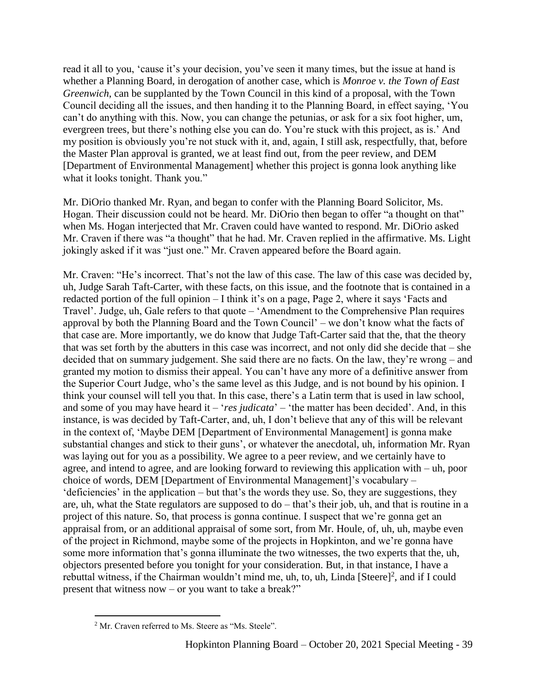read it all to you, 'cause it's your decision, you've seen it many times, but the issue at hand is whether a Planning Board, in derogation of another case, which is *Monroe v. the Town of East Greenwich*, can be supplanted by the Town Council in this kind of a proposal, with the Town Council deciding all the issues, and then handing it to the Planning Board, in effect saying, 'You can't do anything with this. Now, you can change the petunias, or ask for a six foot higher, um, evergreen trees, but there's nothing else you can do. You're stuck with this project, as is.' And my position is obviously you're not stuck with it, and, again, I still ask, respectfully, that, before the Master Plan approval is granted, we at least find out, from the peer review, and DEM [Department of Environmental Management] whether this project is gonna look anything like what it looks tonight. Thank you."

Mr. DiOrio thanked Mr. Ryan, and began to confer with the Planning Board Solicitor, Ms. Hogan. Their discussion could not be heard. Mr. DiOrio then began to offer "a thought on that" when Ms. Hogan interjected that Mr. Craven could have wanted to respond. Mr. DiOrio asked Mr. Craven if there was "a thought" that he had. Mr. Craven replied in the affirmative. Ms. Light jokingly asked if it was "just one." Mr. Craven appeared before the Board again.

Mr. Craven: "He's incorrect. That's not the law of this case. The law of this case was decided by, uh, Judge Sarah Taft-Carter, with these facts, on this issue, and the footnote that is contained in a redacted portion of the full opinion – I think it's on a page, Page 2, where it says 'Facts and Travel'. Judge, uh, Gale refers to that quote – 'Amendment to the Comprehensive Plan requires approval by both the Planning Board and the Town Council' – we don't know what the facts of that case are. More importantly, we do know that Judge Taft-Carter said that the, that the theory that was set forth by the abutters in this case was incorrect, and not only did she decide that – she decided that on summary judgement. She said there are no facts. On the law, they're wrong – and granted my motion to dismiss their appeal. You can't have any more of a definitive answer from the Superior Court Judge, who's the same level as this Judge, and is not bound by his opinion. I think your counsel will tell you that. In this case, there's a Latin term that is used in law school, and some of you may have heard it – '*res judicata*' – 'the matter has been decided'. And, in this instance, is was decided by Taft-Carter, and, uh, I don't believe that any of this will be relevant in the context of, 'Maybe DEM [Department of Environmental Management] is gonna make substantial changes and stick to their guns', or whatever the anecdotal, uh, information Mr. Ryan was laying out for you as a possibility. We agree to a peer review, and we certainly have to agree, and intend to agree, and are looking forward to reviewing this application with – uh, poor choice of words, DEM [Department of Environmental Management]'s vocabulary – 'deficiencies' in the application – but that's the words they use. So, they are suggestions, they are, uh, what the State regulators are supposed to do – that's their job, uh, and that is routine in a project of this nature. So, that process is gonna continue. I suspect that we're gonna get an appraisal from, or an additional appraisal of some sort, from Mr. Houle, of, uh, uh, maybe even of the project in Richmond, maybe some of the projects in Hopkinton, and we're gonna have some more information that's gonna illuminate the two witnesses, the two experts that the, uh, objectors presented before you tonight for your consideration. But, in that instance, I have a rebuttal witness, if the Chairman wouldn't mind me, uh, to, uh, Linda [Steere]<sup>2</sup>, and if I could present that witness now – or you want to take a break?"

 $\overline{a}$ <sup>2</sup> Mr. Craven referred to Ms. Steere as "Ms. Steele".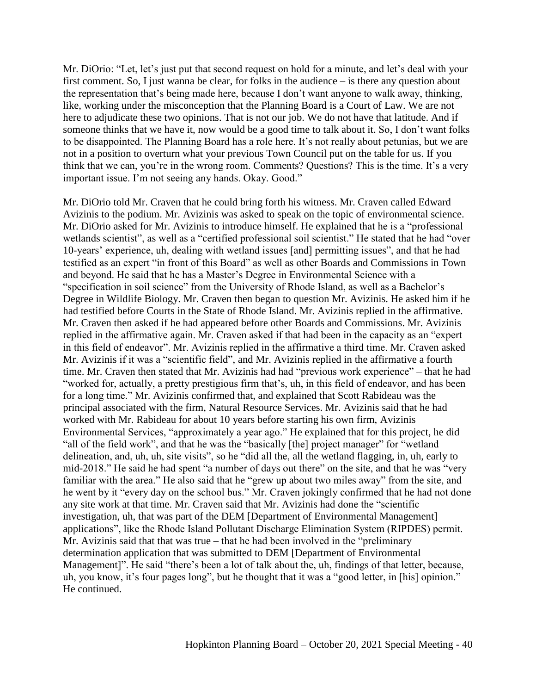Mr. DiOrio: "Let, let's just put that second request on hold for a minute, and let's deal with your first comment. So, I just wanna be clear, for folks in the audience – is there any question about the representation that's being made here, because I don't want anyone to walk away, thinking, like, working under the misconception that the Planning Board is a Court of Law. We are not here to adjudicate these two opinions. That is not our job. We do not have that latitude. And if someone thinks that we have it, now would be a good time to talk about it. So, I don't want folks to be disappointed. The Planning Board has a role here. It's not really about petunias, but we are not in a position to overturn what your previous Town Council put on the table for us. If you think that we can, you're in the wrong room. Comments? Questions? This is the time. It's a very important issue. I'm not seeing any hands. Okay. Good."

Mr. DiOrio told Mr. Craven that he could bring forth his witness. Mr. Craven called Edward Avizinis to the podium. Mr. Avizinis was asked to speak on the topic of environmental science. Mr. DiOrio asked for Mr. Avizinis to introduce himself. He explained that he is a "professional wetlands scientist", as well as a "certified professional soil scientist." He stated that he had "over 10-years' experience, uh, dealing with wetland issues [and] permitting issues", and that he had testified as an expert "in front of this Board" as well as other Boards and Commissions in Town and beyond. He said that he has a Master's Degree in Environmental Science with a "specification in soil science" from the University of Rhode Island, as well as a Bachelor's Degree in Wildlife Biology. Mr. Craven then began to question Mr. Avizinis. He asked him if he had testified before Courts in the State of Rhode Island. Mr. Avizinis replied in the affirmative. Mr. Craven then asked if he had appeared before other Boards and Commissions. Mr. Avizinis replied in the affirmative again. Mr. Craven asked if that had been in the capacity as an "expert in this field of endeavor". Mr. Avizinis replied in the affirmative a third time. Mr. Craven asked Mr. Avizinis if it was a "scientific field", and Mr. Avizinis replied in the affirmative a fourth time. Mr. Craven then stated that Mr. Avizinis had had "previous work experience" – that he had "worked for, actually, a pretty prestigious firm that's, uh, in this field of endeavor, and has been for a long time." Mr. Avizinis confirmed that, and explained that Scott Rabideau was the principal associated with the firm, Natural Resource Services. Mr. Avizinis said that he had worked with Mr. Rabideau for about 10 years before starting his own firm, Avizinis Environmental Services, "approximately a year ago." He explained that for this project, he did "all of the field work", and that he was the "basically [the] project manager" for "wetland delineation, and, uh, uh, site visits", so he "did all the, all the wetland flagging, in, uh, early to mid-2018." He said he had spent "a number of days out there" on the site, and that he was "very familiar with the area." He also said that he "grew up about two miles away" from the site, and he went by it "every day on the school bus." Mr. Craven jokingly confirmed that he had not done any site work at that time. Mr. Craven said that Mr. Avizinis had done the "scientific investigation, uh, that was part of the DEM [Department of Environmental Management] applications", like the Rhode Island Pollutant Discharge Elimination System (RIPDES) permit. Mr. Avizinis said that that was true – that he had been involved in the "preliminary determination application that was submitted to DEM [Department of Environmental Management]". He said "there's been a lot of talk about the, uh, findings of that letter, because, uh, you know, it's four pages long", but he thought that it was a "good letter, in [his] opinion." He continued.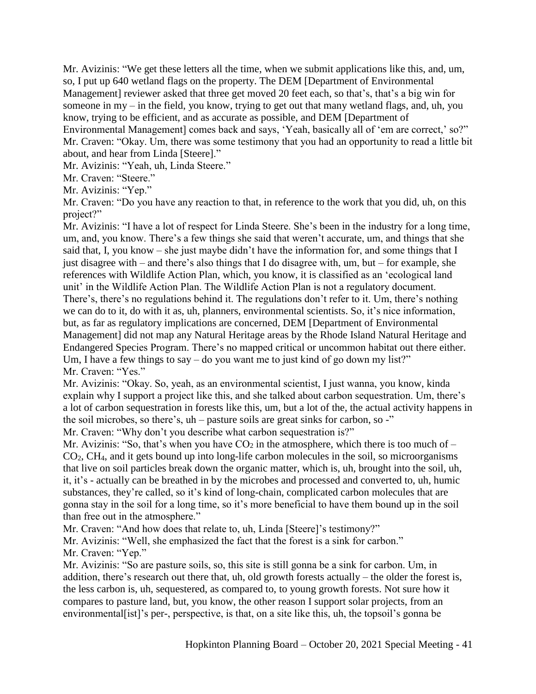Mr. Avizinis: "We get these letters all the time, when we submit applications like this, and, um, so, I put up 640 wetland flags on the property. The DEM [Department of Environmental Management] reviewer asked that three get moved 20 feet each, so that's, that's a big win for someone in my – in the field, you know, trying to get out that many wetland flags, and, uh, you know, trying to be efficient, and as accurate as possible, and DEM [Department of Environmental Management] comes back and says, 'Yeah, basically all of 'em are correct,' so?" Mr. Craven: "Okay. Um, there was some testimony that you had an opportunity to read a little bit

about, and hear from Linda [Steere]."

Mr. Avizinis: "Yeah, uh, Linda Steere."

Mr. Craven: "Steere."

Mr. Avizinis: "Yep."

Mr. Craven: "Do you have any reaction to that, in reference to the work that you did, uh, on this project?"

Mr. Avizinis: "I have a lot of respect for Linda Steere. She's been in the industry for a long time, um, and, you know. There's a few things she said that weren't accurate, um, and things that she said that, I, you know – she just maybe didn't have the information for, and some things that I just disagree with – and there's also things that I do disagree with, um, but – for example, she references with Wildlife Action Plan, which, you know, it is classified as an 'ecological land unit' in the Wildlife Action Plan. The Wildlife Action Plan is not a regulatory document. There's, there's no regulations behind it. The regulations don't refer to it. Um, there's nothing we can do to it, do with it as, uh, planners, environmental scientists. So, it's nice information, but, as far as regulatory implications are concerned, DEM [Department of Environmental Management] did not map any Natural Heritage areas by the Rhode Island Natural Heritage and Endangered Species Program. There's no mapped critical or uncommon habitat out there either. Um, I have a few things to say – do you want me to just kind of go down my list?" Mr. Craven: "Yes."

Mr. Avizinis: "Okay. So, yeah, as an environmental scientist, I just wanna, you know, kinda explain why I support a project like this, and she talked about carbon sequestration. Um, there's a lot of carbon sequestration in forests like this, um, but a lot of the, the actual activity happens in the soil microbes, so there's, uh – pasture soils are great sinks for carbon, so -" Mr. Craven: "Why don't you describe what carbon sequestration is?"

Mr. Avizinis: "So, that's when you have  $CO<sub>2</sub>$  in the atmosphere, which there is too much of – CO2, CH4, and it gets bound up into long-life carbon molecules in the soil, so microorganisms that live on soil particles break down the organic matter, which is, uh, brought into the soil, uh, it, it's - actually can be breathed in by the microbes and processed and converted to, uh, humic substances, they're called, so it's kind of long-chain, complicated carbon molecules that are gonna stay in the soil for a long time, so it's more beneficial to have them bound up in the soil than free out in the atmosphere."

Mr. Craven: "And how does that relate to, uh, Linda [Steere]'s testimony?"

Mr. Avizinis: "Well, she emphasized the fact that the forest is a sink for carbon." Mr. Craven: "Yep."

Mr. Avizinis: "So are pasture soils, so, this site is still gonna be a sink for carbon. Um, in addition, there's research out there that, uh, old growth forests actually – the older the forest is, the less carbon is, uh, sequestered, as compared to, to young growth forests. Not sure how it compares to pasture land, but, you know, the other reason I support solar projects, from an environmental[ist]'s per-, perspective, is that, on a site like this, uh, the topsoil's gonna be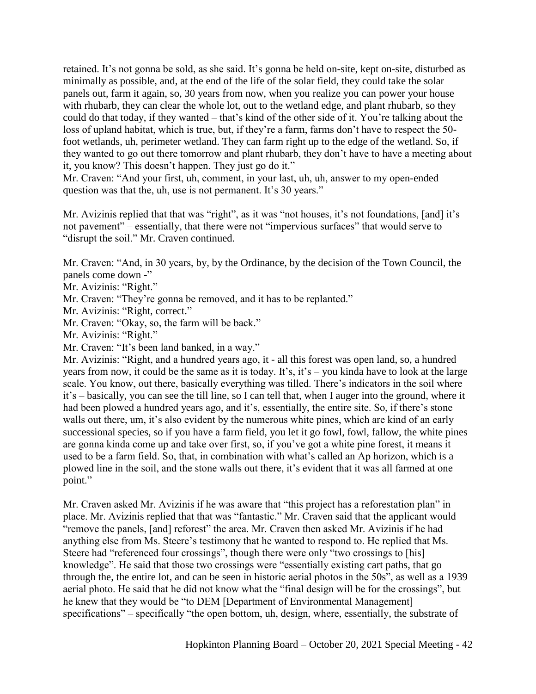retained. It's not gonna be sold, as she said. It's gonna be held on-site, kept on-site, disturbed as minimally as possible, and, at the end of the life of the solar field, they could take the solar panels out, farm it again, so, 30 years from now, when you realize you can power your house with rhubarb, they can clear the whole lot, out to the wetland edge, and plant rhubarb, so they could do that today, if they wanted – that's kind of the other side of it. You're talking about the loss of upland habitat, which is true, but, if they're a farm, farms don't have to respect the 50 foot wetlands, uh, perimeter wetland. They can farm right up to the edge of the wetland. So, if they wanted to go out there tomorrow and plant rhubarb, they don't have to have a meeting about it, you know? This doesn't happen. They just go do it."

Mr. Craven: "And your first, uh, comment, in your last, uh, uh, answer to my open-ended question was that the, uh, use is not permanent. It's 30 years."

Mr. Avizinis replied that that was "right", as it was "not houses, it's not foundations, [and] it's not pavement" – essentially, that there were not "impervious surfaces" that would serve to "disrupt the soil." Mr. Craven continued.

Mr. Craven: "And, in 30 years, by, by the Ordinance, by the decision of the Town Council, the panels come down -"

Mr. Avizinis: "Right."

Mr. Craven: "They're gonna be removed, and it has to be replanted."

Mr. Avizinis: "Right, correct."

Mr. Craven: "Okay, so, the farm will be back."

Mr. Avizinis: "Right."

Mr. Craven: "It's been land banked, in a way."

Mr. Avizinis: "Right, and a hundred years ago, it - all this forest was open land, so, a hundred years from now, it could be the same as it is today. It's, it's – you kinda have to look at the large scale. You know, out there, basically everything was tilled. There's indicators in the soil where it's – basically, you can see the till line, so I can tell that, when I auger into the ground, where it had been plowed a hundred years ago, and it's, essentially, the entire site. So, if there's stone walls out there, um, it's also evident by the numerous white pines, which are kind of an early successional species, so if you have a farm field, you let it go fowl, fowl, fallow, the white pines are gonna kinda come up and take over first, so, if you've got a white pine forest, it means it used to be a farm field. So, that, in combination with what's called an Ap horizon, which is a plowed line in the soil, and the stone walls out there, it's evident that it was all farmed at one point."

Mr. Craven asked Mr. Avizinis if he was aware that "this project has a reforestation plan" in place. Mr. Avizinis replied that that was "fantastic." Mr. Craven said that the applicant would "remove the panels, [and] reforest" the area. Mr. Craven then asked Mr. Avizinis if he had anything else from Ms. Steere's testimony that he wanted to respond to. He replied that Ms. Steere had "referenced four crossings", though there were only "two crossings to [his] knowledge". He said that those two crossings were "essentially existing cart paths, that go through the, the entire lot, and can be seen in historic aerial photos in the 50s", as well as a 1939 aerial photo. He said that he did not know what the "final design will be for the crossings", but he knew that they would be "to DEM [Department of Environmental Management] specifications" – specifically "the open bottom, uh, design, where, essentially, the substrate of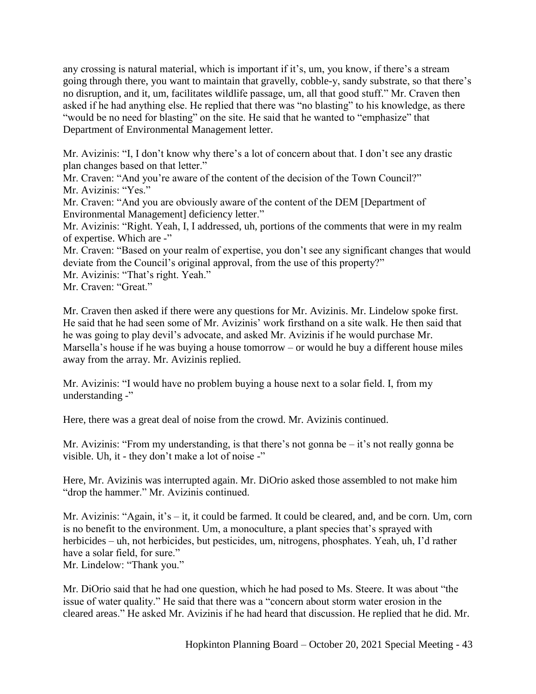any crossing is natural material, which is important if it's, um, you know, if there's a stream going through there, you want to maintain that gravelly, cobble-y, sandy substrate, so that there's no disruption, and it, um, facilitates wildlife passage, um, all that good stuff." Mr. Craven then asked if he had anything else. He replied that there was "no blasting" to his knowledge, as there "would be no need for blasting" on the site. He said that he wanted to "emphasize" that Department of Environmental Management letter.

Mr. Avizinis: "I, I don't know why there's a lot of concern about that. I don't see any drastic plan changes based on that letter."

Mr. Craven: "And you're aware of the content of the decision of the Town Council?" Mr. Avizinis: "Yes."

Mr. Craven: "And you are obviously aware of the content of the DEM [Department of Environmental Management] deficiency letter."

Mr. Avizinis: "Right. Yeah, I, I addressed, uh, portions of the comments that were in my realm of expertise. Which are -"

Mr. Craven: "Based on your realm of expertise, you don't see any significant changes that would deviate from the Council's original approval, from the use of this property?"

Mr. Avizinis: "That's right. Yeah."

Mr. Craven: "Great."

Mr. Craven then asked if there were any questions for Mr. Avizinis. Mr. Lindelow spoke first. He said that he had seen some of Mr. Avizinis' work firsthand on a site walk. He then said that he was going to play devil's advocate, and asked Mr. Avizinis if he would purchase Mr. Marsella's house if he was buying a house tomorrow – or would he buy a different house miles away from the array. Mr. Avizinis replied.

Mr. Avizinis: "I would have no problem buying a house next to a solar field. I, from my understanding -"

Here, there was a great deal of noise from the crowd. Mr. Avizinis continued.

Mr. Avizinis: "From my understanding, is that there's not gonna be – it's not really gonna be visible. Uh, it - they don't make a lot of noise -"

Here, Mr. Avizinis was interrupted again. Mr. DiOrio asked those assembled to not make him "drop the hammer." Mr. Avizinis continued.

Mr. Avizinis: "Again, it's – it, it could be farmed. It could be cleared, and, and be corn. Um, corn is no benefit to the environment. Um, a monoculture, a plant species that's sprayed with herbicides – uh, not herbicides, but pesticides, um, nitrogens, phosphates. Yeah, uh, I'd rather have a solar field, for sure." Mr. Lindelow: "Thank you."

Mr. DiOrio said that he had one question, which he had posed to Ms. Steere. It was about "the issue of water quality." He said that there was a "concern about storm water erosion in the cleared areas." He asked Mr. Avizinis if he had heard that discussion. He replied that he did. Mr.

Hopkinton Planning Board – October 20, 2021 Special Meeting - 43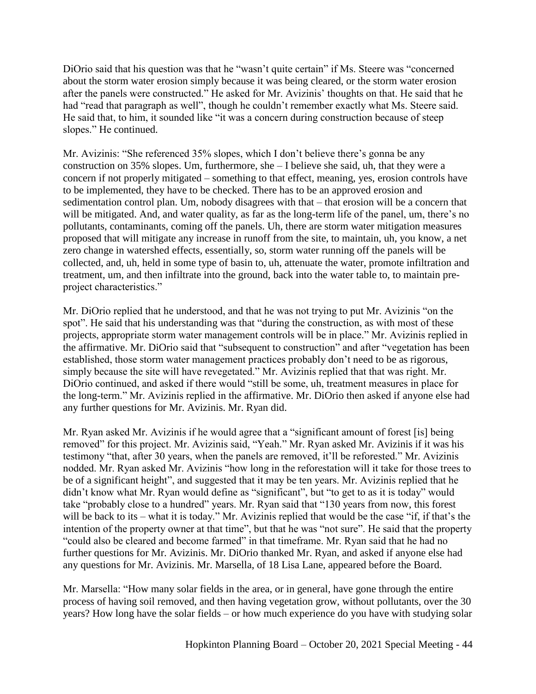DiOrio said that his question was that he "wasn't quite certain" if Ms. Steere was "concerned about the storm water erosion simply because it was being cleared, or the storm water erosion after the panels were constructed." He asked for Mr. Avizinis' thoughts on that. He said that he had "read that paragraph as well", though he couldn't remember exactly what Ms. Steere said. He said that, to him, it sounded like "it was a concern during construction because of steep slopes." He continued.

Mr. Avizinis: "She referenced 35% slopes, which I don't believe there's gonna be any construction on 35% slopes. Um, furthermore, she – I believe she said, uh, that they were a concern if not properly mitigated – something to that effect, meaning, yes, erosion controls have to be implemented, they have to be checked. There has to be an approved erosion and sedimentation control plan. Um, nobody disagrees with that – that erosion will be a concern that will be mitigated. And, and water quality, as far as the long-term life of the panel, um, there's no pollutants, contaminants, coming off the panels. Uh, there are storm water mitigation measures proposed that will mitigate any increase in runoff from the site, to maintain, uh, you know, a net zero change in watershed effects, essentially, so, storm water running off the panels will be collected, and, uh, held in some type of basin to, uh, attenuate the water, promote infiltration and treatment, um, and then infiltrate into the ground, back into the water table to, to maintain preproject characteristics."

Mr. DiOrio replied that he understood, and that he was not trying to put Mr. Avizinis "on the spot". He said that his understanding was that "during the construction, as with most of these projects, appropriate storm water management controls will be in place." Mr. Avizinis replied in the affirmative. Mr. DiOrio said that "subsequent to construction" and after "vegetation has been established, those storm water management practices probably don't need to be as rigorous, simply because the site will have revegetated." Mr. Avizinis replied that that was right. Mr. DiOrio continued, and asked if there would "still be some, uh, treatment measures in place for the long-term." Mr. Avizinis replied in the affirmative. Mr. DiOrio then asked if anyone else had any further questions for Mr. Avizinis. Mr. Ryan did.

Mr. Ryan asked Mr. Avizinis if he would agree that a "significant amount of forest [is] being removed" for this project. Mr. Avizinis said, "Yeah." Mr. Ryan asked Mr. Avizinis if it was his testimony "that, after 30 years, when the panels are removed, it'll be reforested." Mr. Avizinis nodded. Mr. Ryan asked Mr. Avizinis "how long in the reforestation will it take for those trees to be of a significant height", and suggested that it may be ten years. Mr. Avizinis replied that he didn't know what Mr. Ryan would define as "significant", but "to get to as it is today" would take "probably close to a hundred" years. Mr. Ryan said that "130 years from now, this forest will be back to its – what it is today." Mr. Avizinis replied that would be the case "if, if that's the intention of the property owner at that time", but that he was "not sure". He said that the property "could also be cleared and become farmed" in that timeframe. Mr. Ryan said that he had no further questions for Mr. Avizinis. Mr. DiOrio thanked Mr. Ryan, and asked if anyone else had any questions for Mr. Avizinis. Mr. Marsella, of 18 Lisa Lane, appeared before the Board.

Mr. Marsella: "How many solar fields in the area, or in general, have gone through the entire process of having soil removed, and then having vegetation grow, without pollutants, over the 30 years? How long have the solar fields – or how much experience do you have with studying solar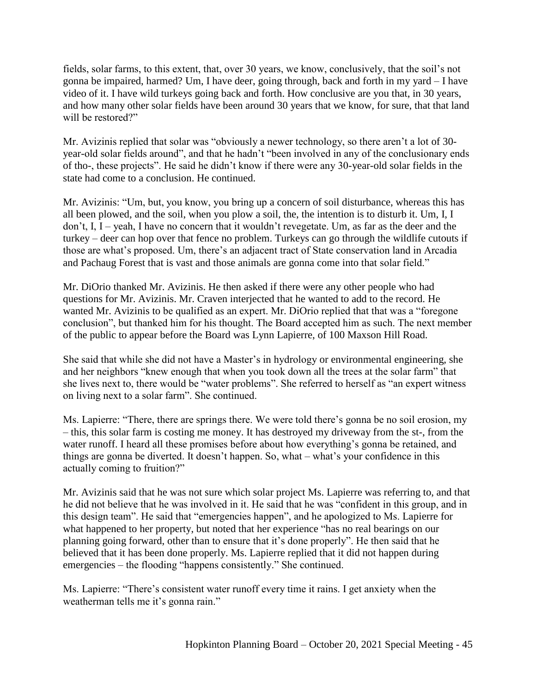fields, solar farms, to this extent, that, over 30 years, we know, conclusively, that the soil's not gonna be impaired, harmed? Um, I have deer, going through, back and forth in my yard – I have video of it. I have wild turkeys going back and forth. How conclusive are you that, in 30 years, and how many other solar fields have been around 30 years that we know, for sure, that that land will be restored?"

Mr. Avizinis replied that solar was "obviously a newer technology, so there aren't a lot of 30 year-old solar fields around", and that he hadn't "been involved in any of the conclusionary ends of tho-, these projects". He said he didn't know if there were any 30-year-old solar fields in the state had come to a conclusion. He continued.

Mr. Avizinis: "Um, but, you know, you bring up a concern of soil disturbance, whereas this has all been plowed, and the soil, when you plow a soil, the, the intention is to disturb it. Um, I, I don't, I, I – yeah, I have no concern that it wouldn't revegetate. Um, as far as the deer and the turkey – deer can hop over that fence no problem. Turkeys can go through the wildlife cutouts if those are what's proposed. Um, there's an adjacent tract of State conservation land in Arcadia and Pachaug Forest that is vast and those animals are gonna come into that solar field."

Mr. DiOrio thanked Mr. Avizinis. He then asked if there were any other people who had questions for Mr. Avizinis. Mr. Craven interjected that he wanted to add to the record. He wanted Mr. Avizinis to be qualified as an expert. Mr. DiOrio replied that that was a "foregone conclusion", but thanked him for his thought. The Board accepted him as such. The next member of the public to appear before the Board was Lynn Lapierre, of 100 Maxson Hill Road.

She said that while she did not have a Master's in hydrology or environmental engineering, she and her neighbors "knew enough that when you took down all the trees at the solar farm" that she lives next to, there would be "water problems". She referred to herself as "an expert witness on living next to a solar farm". She continued.

Ms. Lapierre: "There, there are springs there. We were told there's gonna be no soil erosion, my – this, this solar farm is costing me money. It has destroyed my driveway from the st-, from the water runoff. I heard all these promises before about how everything's gonna be retained, and things are gonna be diverted. It doesn't happen. So, what – what's your confidence in this actually coming to fruition?"

Mr. Avizinis said that he was not sure which solar project Ms. Lapierre was referring to, and that he did not believe that he was involved in it. He said that he was "confident in this group, and in this design team". He said that "emergencies happen", and he apologized to Ms. Lapierre for what happened to her property, but noted that her experience "has no real bearings on our planning going forward, other than to ensure that it's done properly". He then said that he believed that it has been done properly. Ms. Lapierre replied that it did not happen during emergencies – the flooding "happens consistently." She continued.

Ms. Lapierre: "There's consistent water runoff every time it rains. I get anxiety when the weatherman tells me it's gonna rain."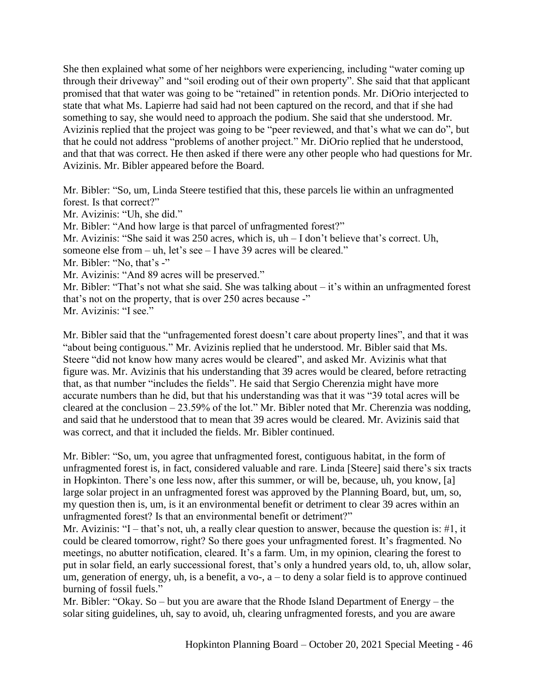She then explained what some of her neighbors were experiencing, including "water coming up through their driveway" and "soil eroding out of their own property". She said that that applicant promised that that water was going to be "retained" in retention ponds. Mr. DiOrio interjected to state that what Ms. Lapierre had said had not been captured on the record, and that if she had something to say, she would need to approach the podium. She said that she understood. Mr. Avizinis replied that the project was going to be "peer reviewed, and that's what we can do", but that he could not address "problems of another project." Mr. DiOrio replied that he understood, and that that was correct. He then asked if there were any other people who had questions for Mr. Avizinis. Mr. Bibler appeared before the Board.

Mr. Bibler: "So, um, Linda Steere testified that this, these parcels lie within an unfragmented forest. Is that correct?"

Mr. Avizinis: "Uh, she did."

Mr. Bibler: "And how large is that parcel of unfragmented forest?"

Mr. Avizinis: "She said it was 250 acres, which is, uh – I don't believe that's correct. Uh,

someone else from – uh, let's see – I have 39 acres will be cleared."

Mr. Bibler: "No, that's -"

Mr. Avizinis: "And 89 acres will be preserved."

Mr. Bibler: "That's not what she said. She was talking about – it's within an unfragmented forest that's not on the property, that is over 250 acres because -"

Mr. Avizinis: "I see."

Mr. Bibler said that the "unfragemented forest doesn't care about property lines", and that it was "about being contiguous." Mr. Avizinis replied that he understood. Mr. Bibler said that Ms. Steere "did not know how many acres would be cleared", and asked Mr. Avizinis what that figure was. Mr. Avizinis that his understanding that 39 acres would be cleared, before retracting that, as that number "includes the fields". He said that Sergio Cherenzia might have more accurate numbers than he did, but that his understanding was that it was "39 total acres will be cleared at the conclusion – 23.59% of the lot." Mr. Bibler noted that Mr. Cherenzia was nodding, and said that he understood that to mean that 39 acres would be cleared. Mr. Avizinis said that was correct, and that it included the fields. Mr. Bibler continued.

Mr. Bibler: "So, um, you agree that unfragmented forest, contiguous habitat, in the form of unfragmented forest is, in fact, considered valuable and rare. Linda [Steere] said there's six tracts in Hopkinton. There's one less now, after this summer, or will be, because, uh, you know, [a] large solar project in an unfragmented forest was approved by the Planning Board, but, um, so, my question then is, um, is it an environmental benefit or detriment to clear 39 acres within an unfragmented forest? Is that an environmental benefit or detriment?"

Mr. Avizinis: "I – that's not, uh, a really clear question to answer, because the question is: #1, it could be cleared tomorrow, right? So there goes your unfragmented forest. It's fragmented. No meetings, no abutter notification, cleared. It's a farm. Um, in my opinion, clearing the forest to put in solar field, an early successional forest, that's only a hundred years old, to, uh, allow solar, um, generation of energy, uh, is a benefit, a vo-,  $a -$  to deny a solar field is to approve continued burning of fossil fuels."

Mr. Bibler: "Okay. So – but you are aware that the Rhode Island Department of Energy – the solar siting guidelines, uh, say to avoid, uh, clearing unfragmented forests, and you are aware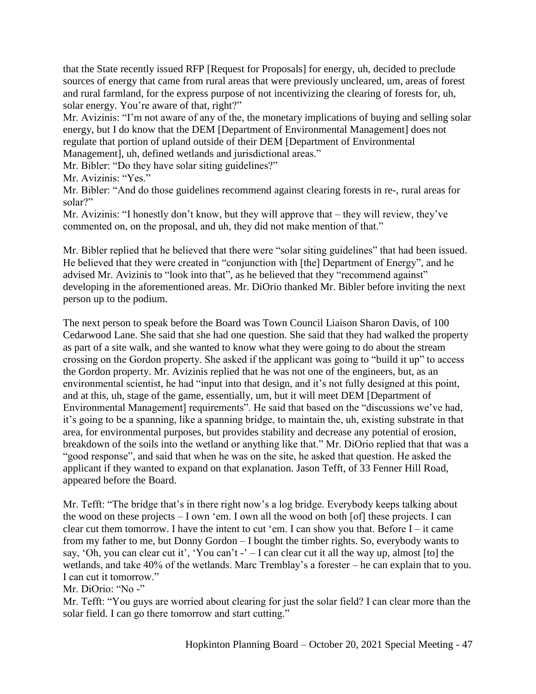that the State recently issued RFP [Request for Proposals] for energy, uh, decided to preclude sources of energy that came from rural areas that were previously uncleared, um, areas of forest and rural farmland, for the express purpose of not incentivizing the clearing of forests for, uh, solar energy. You're aware of that, right?"

Mr. Avizinis: "I'm not aware of any of the, the monetary implications of buying and selling solar energy, but I do know that the DEM [Department of Environmental Management] does not regulate that portion of upland outside of their DEM [Department of Environmental Management], uh, defined wetlands and jurisdictional areas."

Mr. Bibler: "Do they have solar siting guidelines?"

Mr. Avizinis: "Yes."

Mr. Bibler: "And do those guidelines recommend against clearing forests in re-, rural areas for solar?"

Mr. Avizinis: "I honestly don't know, but they will approve that – they will review, they've commented on, on the proposal, and uh, they did not make mention of that."

Mr. Bibler replied that he believed that there were "solar siting guidelines" that had been issued. He believed that they were created in "conjunction with [the] Department of Energy", and he advised Mr. Avizinis to "look into that", as he believed that they "recommend against" developing in the aforementioned areas. Mr. DiOrio thanked Mr. Bibler before inviting the next person up to the podium.

The next person to speak before the Board was Town Council Liaison Sharon Davis, of 100 Cedarwood Lane. She said that she had one question. She said that they had walked the property as part of a site walk, and she wanted to know what they were going to do about the stream crossing on the Gordon property. She asked if the applicant was going to "build it up" to access the Gordon property. Mr. Avizinis replied that he was not one of the engineers, but, as an environmental scientist, he had "input into that design, and it's not fully designed at this point, and at this, uh, stage of the game, essentially, um, but it will meet DEM [Department of Environmental Management] requirements". He said that based on the "discussions we've had, it's going to be a spanning, like a spanning bridge, to maintain the, uh, existing substrate in that area, for environmental purposes, but provides stability and decrease any potential of erosion, breakdown of the soils into the wetland or anything like that." Mr. DiOrio replied that that was a "good response", and said that when he was on the site, he asked that question. He asked the applicant if they wanted to expand on that explanation. Jason Tefft, of 33 Fenner Hill Road, appeared before the Board.

Mr. Tefft: "The bridge that's in there right now's a log bridge. Everybody keeps talking about the wood on these projects – I own 'em. I own all the wood on both [of] these projects. I can clear cut them tomorrow. I have the intent to cut 'em. I can show you that. Before  $I - it$  came from my father to me, but Donny Gordon – I bought the timber rights. So, everybody wants to say, 'Oh, you can clear cut it', 'You can't -' – I can clear cut it all the way up, almost [to] the wetlands, and take 40% of the wetlands. Marc Tremblay's a forester – he can explain that to you. I can cut it tomorrow."

Mr. DiOrio: "No -"

Mr. Tefft: "You guys are worried about clearing for just the solar field? I can clear more than the solar field. I can go there tomorrow and start cutting."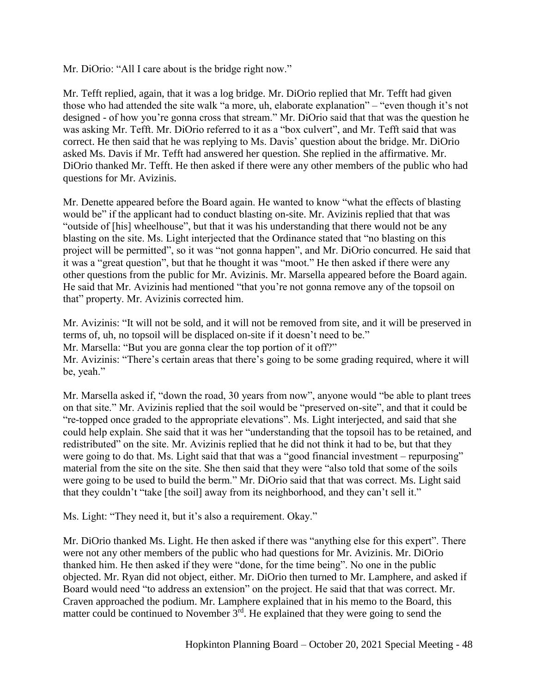Mr. DiOrio: "All I care about is the bridge right now."

Mr. Tefft replied, again, that it was a log bridge. Mr. DiOrio replied that Mr. Tefft had given those who had attended the site walk "a more, uh, elaborate explanation" – "even though it's not designed - of how you're gonna cross that stream." Mr. DiOrio said that that was the question he was asking Mr. Tefft. Mr. DiOrio referred to it as a "box culvert", and Mr. Tefft said that was correct. He then said that he was replying to Ms. Davis' question about the bridge. Mr. DiOrio asked Ms. Davis if Mr. Tefft had answered her question. She replied in the affirmative. Mr. DiOrio thanked Mr. Tefft. He then asked if there were any other members of the public who had questions for Mr. Avizinis.

Mr. Denette appeared before the Board again. He wanted to know "what the effects of blasting would be" if the applicant had to conduct blasting on-site. Mr. Avizinis replied that that was "outside of [his] wheelhouse", but that it was his understanding that there would not be any blasting on the site. Ms. Light interjected that the Ordinance stated that "no blasting on this project will be permitted", so it was "not gonna happen", and Mr. DiOrio concurred. He said that it was a "great question", but that he thought it was "moot." He then asked if there were any other questions from the public for Mr. Avizinis. Mr. Marsella appeared before the Board again. He said that Mr. Avizinis had mentioned "that you're not gonna remove any of the topsoil on that" property. Mr. Avizinis corrected him.

Mr. Avizinis: "It will not be sold, and it will not be removed from site, and it will be preserved in terms of, uh, no topsoil will be displaced on-site if it doesn't need to be." Mr. Marsella: "But you are gonna clear the top portion of it off?" Mr. Avizinis: "There's certain areas that there's going to be some grading required, where it will be, yeah."

Mr. Marsella asked if, "down the road, 30 years from now", anyone would "be able to plant trees on that site." Mr. Avizinis replied that the soil would be "preserved on-site", and that it could be "re-topped once graded to the appropriate elevations". Ms. Light interjected, and said that she could help explain. She said that it was her "understanding that the topsoil has to be retained, and redistributed" on the site. Mr. Avizinis replied that he did not think it had to be, but that they were going to do that. Ms. Light said that that was a "good financial investment – repurposing" material from the site on the site. She then said that they were "also told that some of the soils were going to be used to build the berm." Mr. DiOrio said that that was correct. Ms. Light said that they couldn't "take [the soil] away from its neighborhood, and they can't sell it."

Ms. Light: "They need it, but it's also a requirement. Okay."

Mr. DiOrio thanked Ms. Light. He then asked if there was "anything else for this expert". There were not any other members of the public who had questions for Mr. Avizinis. Mr. DiOrio thanked him. He then asked if they were "done, for the time being". No one in the public objected. Mr. Ryan did not object, either. Mr. DiOrio then turned to Mr. Lamphere, and asked if Board would need "to address an extension" on the project. He said that that was correct. Mr. Craven approached the podium. Mr. Lamphere explained that in his memo to the Board, this matter could be continued to November  $3^{rd}$ . He explained that they were going to send the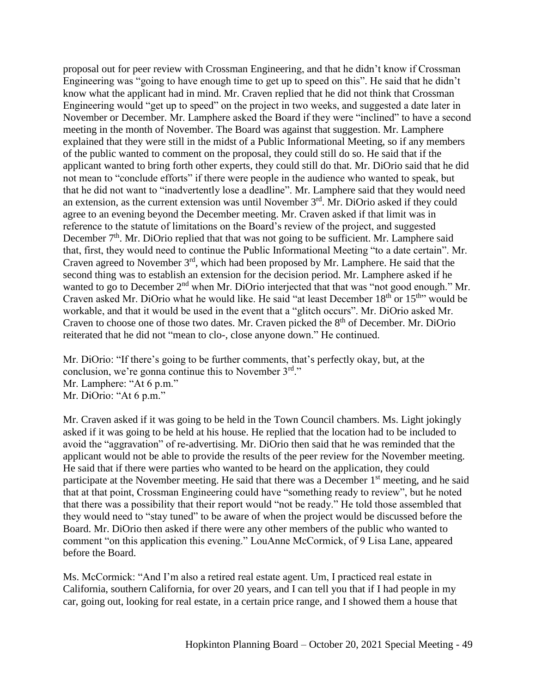proposal out for peer review with Crossman Engineering, and that he didn't know if Crossman Engineering was "going to have enough time to get up to speed on this". He said that he didn't know what the applicant had in mind. Mr. Craven replied that he did not think that Crossman Engineering would "get up to speed" on the project in two weeks, and suggested a date later in November or December. Mr. Lamphere asked the Board if they were "inclined" to have a second meeting in the month of November. The Board was against that suggestion. Mr. Lamphere explained that they were still in the midst of a Public Informational Meeting, so if any members of the public wanted to comment on the proposal, they could still do so. He said that if the applicant wanted to bring forth other experts, they could still do that. Mr. DiOrio said that he did not mean to "conclude efforts" if there were people in the audience who wanted to speak, but that he did not want to "inadvertently lose a deadline". Mr. Lamphere said that they would need an extension, as the current extension was until November 3<sup>rd</sup>. Mr. DiOrio asked if they could agree to an evening beyond the December meeting. Mr. Craven asked if that limit was in reference to the statute of limitations on the Board's review of the project, and suggested December  $7<sup>th</sup>$ . Mr. DiOrio replied that that was not going to be sufficient. Mr. Lamphere said that, first, they would need to continue the Public Informational Meeting "to a date certain". Mr. Craven agreed to November 3rd, which had been proposed by Mr. Lamphere. He said that the second thing was to establish an extension for the decision period. Mr. Lamphere asked if he wanted to go to December 2<sup>nd</sup> when Mr. DiOrio interjected that that was "not good enough." Mr. Craven asked Mr. DiOrio what he would like. He said "at least December 18<sup>th</sup> or 15<sup>th</sup>" would be workable, and that it would be used in the event that a "glitch occurs". Mr. DiOrio asked Mr. Craven to choose one of those two dates. Mr. Craven picked the  $8<sup>th</sup>$  of December. Mr. DiOrio reiterated that he did not "mean to clo-, close anyone down." He continued.

Mr. DiOrio: "If there's going to be further comments, that's perfectly okay, but, at the conclusion, we're gonna continue this to November 3rd." Mr. Lamphere: "At 6 p.m." Mr. DiOrio: "At 6 p.m."

Mr. Craven asked if it was going to be held in the Town Council chambers. Ms. Light jokingly asked if it was going to be held at his house. He replied that the location had to be included to avoid the "aggravation" of re-advertising. Mr. DiOrio then said that he was reminded that the applicant would not be able to provide the results of the peer review for the November meeting. He said that if there were parties who wanted to be heard on the application, they could participate at the November meeting. He said that there was a December 1<sup>st</sup> meeting, and he said that at that point, Crossman Engineering could have "something ready to review", but he noted that there was a possibility that their report would "not be ready." He told those assembled that they would need to "stay tuned" to be aware of when the project would be discussed before the Board. Mr. DiOrio then asked if there were any other members of the public who wanted to comment "on this application this evening." LouAnne McCormick, of 9 Lisa Lane, appeared before the Board.

Ms. McCormick: "And I'm also a retired real estate agent. Um, I practiced real estate in California, southern California, for over 20 years, and I can tell you that if I had people in my car, going out, looking for real estate, in a certain price range, and I showed them a house that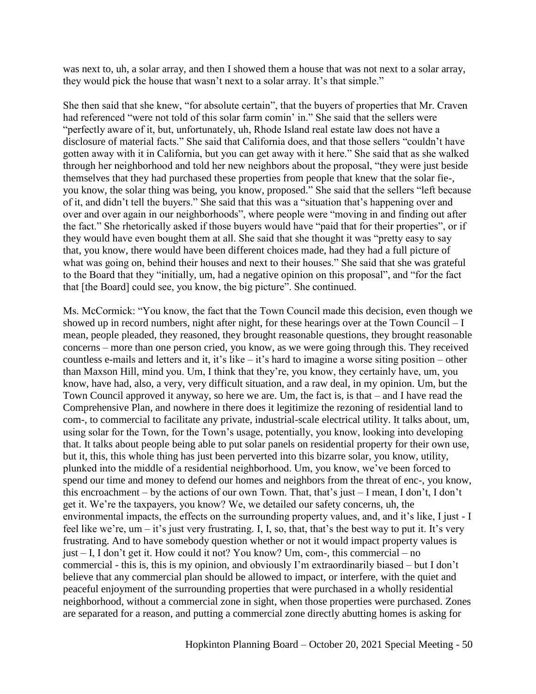was next to, uh, a solar array, and then I showed them a house that was not next to a solar array, they would pick the house that wasn't next to a solar array. It's that simple."

She then said that she knew, "for absolute certain", that the buyers of properties that Mr. Craven had referenced "were not told of this solar farm comin' in." She said that the sellers were "perfectly aware of it, but, unfortunately, uh, Rhode Island real estate law does not have a disclosure of material facts." She said that California does, and that those sellers "couldn't have gotten away with it in California, but you can get away with it here." She said that as she walked through her neighborhood and told her new neighbors about the proposal, "they were just beside themselves that they had purchased these properties from people that knew that the solar fie-, you know, the solar thing was being, you know, proposed." She said that the sellers "left because of it, and didn't tell the buyers." She said that this was a "situation that's happening over and over and over again in our neighborhoods", where people were "moving in and finding out after the fact." She rhetorically asked if those buyers would have "paid that for their properties", or if they would have even bought them at all. She said that she thought it was "pretty easy to say that, you know, there would have been different choices made, had they had a full picture of what was going on, behind their houses and next to their houses." She said that she was grateful to the Board that they "initially, um, had a negative opinion on this proposal", and "for the fact that [the Board] could see, you know, the big picture". She continued.

Ms. McCormick: "You know, the fact that the Town Council made this decision, even though we showed up in record numbers, night after night, for these hearings over at the Town Council – I mean, people pleaded, they reasoned, they brought reasonable questions, they brought reasonable concerns – more than one person cried, you know, as we were going through this. They received countless e-mails and letters and it, it's like – it's hard to imagine a worse siting position – other than Maxson Hill, mind you. Um, I think that they're, you know, they certainly have, um, you know, have had, also, a very, very difficult situation, and a raw deal, in my opinion. Um, but the Town Council approved it anyway, so here we are. Um, the fact is, is that – and I have read the Comprehensive Plan, and nowhere in there does it legitimize the rezoning of residential land to com-, to commercial to facilitate any private, industrial-scale electrical utility. It talks about, um, using solar for the Town, for the Town's usage, potentially, you know, looking into developing that. It talks about people being able to put solar panels on residential property for their own use, but it, this, this whole thing has just been perverted into this bizarre solar, you know, utility, plunked into the middle of a residential neighborhood. Um, you know, we've been forced to spend our time and money to defend our homes and neighbors from the threat of enc-, you know, this encroachment – by the actions of our own Town. That, that's just – I mean, I don't, I don't get it. We're the taxpayers, you know? We, we detailed our safety concerns, uh, the environmental impacts, the effects on the surrounding property values, and, and it's like, I just - I feel like we're,  $um - it$ 's just very frustrating. I, I, so, that, that's the best way to put it. It's very frustrating. And to have somebody question whether or not it would impact property values is just – I, I don't get it. How could it not? You know? Um, com-, this commercial – no commercial - this is, this is my opinion, and obviously I'm extraordinarily biased – but I don't believe that any commercial plan should be allowed to impact, or interfere, with the quiet and peaceful enjoyment of the surrounding properties that were purchased in a wholly residential neighborhood, without a commercial zone in sight, when those properties were purchased. Zones are separated for a reason, and putting a commercial zone directly abutting homes is asking for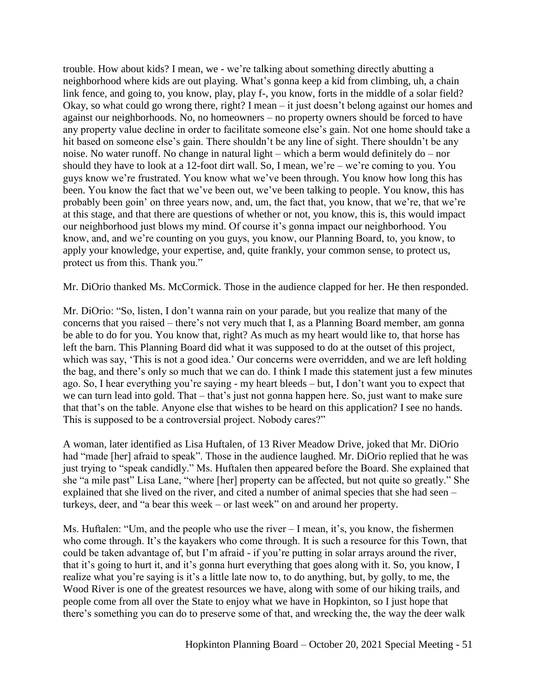trouble. How about kids? I mean, we - we're talking about something directly abutting a neighborhood where kids are out playing. What's gonna keep a kid from climbing, uh, a chain link fence, and going to, you know, play, play f-, you know, forts in the middle of a solar field? Okay, so what could go wrong there, right? I mean – it just doesn't belong against our homes and against our neighborhoods. No, no homeowners – no property owners should be forced to have any property value decline in order to facilitate someone else's gain. Not one home should take a hit based on someone else's gain. There shouldn't be any line of sight. There shouldn't be any noise. No water runoff. No change in natural light – which a berm would definitely do – nor should they have to look at a 12-foot dirt wall. So, I mean, we're – we're coming to you. You guys know we're frustrated. You know what we've been through. You know how long this has been. You know the fact that we've been out, we've been talking to people. You know, this has probably been goin' on three years now, and, um, the fact that, you know, that we're, that we're at this stage, and that there are questions of whether or not, you know, this is, this would impact our neighborhood just blows my mind. Of course it's gonna impact our neighborhood. You know, and, and we're counting on you guys, you know, our Planning Board, to, you know, to apply your knowledge, your expertise, and, quite frankly, your common sense, to protect us, protect us from this. Thank you."

Mr. DiOrio thanked Ms. McCormick. Those in the audience clapped for her. He then responded.

Mr. DiOrio: "So, listen, I don't wanna rain on your parade, but you realize that many of the concerns that you raised – there's not very much that I, as a Planning Board member, am gonna be able to do for you. You know that, right? As much as my heart would like to, that horse has left the barn. This Planning Board did what it was supposed to do at the outset of this project, which was say, 'This is not a good idea.' Our concerns were overridden, and we are left holding the bag, and there's only so much that we can do. I think I made this statement just a few minutes ago. So, I hear everything you're saying - my heart bleeds – but, I don't want you to expect that we can turn lead into gold. That – that's just not gonna happen here. So, just want to make sure that that's on the table. Anyone else that wishes to be heard on this application? I see no hands. This is supposed to be a controversial project. Nobody cares?"

A woman, later identified as Lisa Huftalen, of 13 River Meadow Drive, joked that Mr. DiOrio had "made [her] afraid to speak". Those in the audience laughed. Mr. DiOrio replied that he was just trying to "speak candidly." Ms. Huftalen then appeared before the Board. She explained that she "a mile past" Lisa Lane, "where [her] property can be affected, but not quite so greatly." She explained that she lived on the river, and cited a number of animal species that she had seen – turkeys, deer, and "a bear this week – or last week" on and around her property.

Ms. Huftalen: "Um, and the people who use the river – I mean, it's, you know, the fishermen who come through. It's the kayakers who come through. It is such a resource for this Town, that could be taken advantage of, but I'm afraid - if you're putting in solar arrays around the river, that it's going to hurt it, and it's gonna hurt everything that goes along with it. So, you know, I realize what you're saying is it's a little late now to, to do anything, but, by golly, to me, the Wood River is one of the greatest resources we have, along with some of our hiking trails, and people come from all over the State to enjoy what we have in Hopkinton, so I just hope that there's something you can do to preserve some of that, and wrecking the, the way the deer walk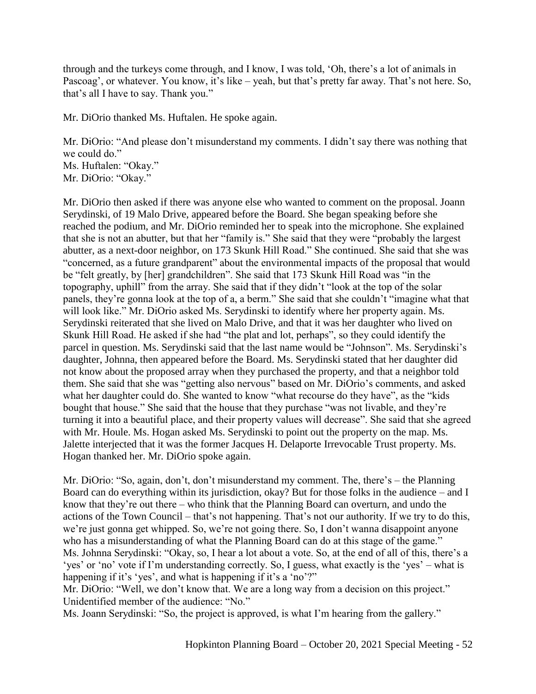through and the turkeys come through, and I know, I was told, 'Oh, there's a lot of animals in Pascoag', or whatever. You know, it's like – yeah, but that's pretty far away. That's not here. So, that's all I have to say. Thank you."

Mr. DiOrio thanked Ms. Huftalen. He spoke again.

Mr. DiOrio: "And please don't misunderstand my comments. I didn't say there was nothing that we could do." Ms. Huftalen: "Okay."

Mr. DiOrio: "Okay."

Mr. DiOrio then asked if there was anyone else who wanted to comment on the proposal. Joann Serydinski, of 19 Malo Drive, appeared before the Board. She began speaking before she reached the podium, and Mr. DiOrio reminded her to speak into the microphone. She explained that she is not an abutter, but that her "family is." She said that they were "probably the largest abutter, as a next-door neighbor, on 173 Skunk Hill Road." She continued. She said that she was "concerned, as a future grandparent" about the environmental impacts of the proposal that would be "felt greatly, by [her] grandchildren". She said that 173 Skunk Hill Road was "in the topography, uphill" from the array. She said that if they didn't "look at the top of the solar panels, they're gonna look at the top of a, a berm." She said that she couldn't "imagine what that will look like." Mr. DiOrio asked Ms. Serydinski to identify where her property again. Ms. Serydinski reiterated that she lived on Malo Drive, and that it was her daughter who lived on Skunk Hill Road. He asked if she had "the plat and lot, perhaps", so they could identify the parcel in question. Ms. Serydinski said that the last name would be "Johnson". Ms. Serydinski's daughter, Johnna, then appeared before the Board. Ms. Serydinski stated that her daughter did not know about the proposed array when they purchased the property, and that a neighbor told them. She said that she was "getting also nervous" based on Mr. DiOrio's comments, and asked what her daughter could do. She wanted to know "what recourse do they have", as the "kids" bought that house." She said that the house that they purchase "was not livable, and they're turning it into a beautiful place, and their property values will decrease". She said that she agreed with Mr. Houle. Ms. Hogan asked Ms. Serydinski to point out the property on the map. Ms. Jalette interjected that it was the former Jacques H. Delaporte Irrevocable Trust property. Ms. Hogan thanked her. Mr. DiOrio spoke again.

Mr. DiOrio: "So, again, don't, don't misunderstand my comment. The, there's – the Planning Board can do everything within its jurisdiction, okay? But for those folks in the audience – and I know that they're out there – who think that the Planning Board can overturn, and undo the actions of the Town Council – that's not happening. That's not our authority. If we try to do this, we're just gonna get whipped. So, we're not going there. So, I don't wanna disappoint anyone who has a misunderstanding of what the Planning Board can do at this stage of the game." Ms. Johnna Serydinski: "Okay, so, I hear a lot about a vote. So, at the end of all of this, there's a 'yes' or 'no' vote if I'm understanding correctly. So, I guess, what exactly is the 'yes' – what is happening if it's 'yes', and what is happening if it's a 'no'?"

Mr. DiOrio: "Well, we don't know that. We are a long way from a decision on this project." Unidentified member of the audience: "No."

Ms. Joann Serydinski: "So, the project is approved, is what I'm hearing from the gallery."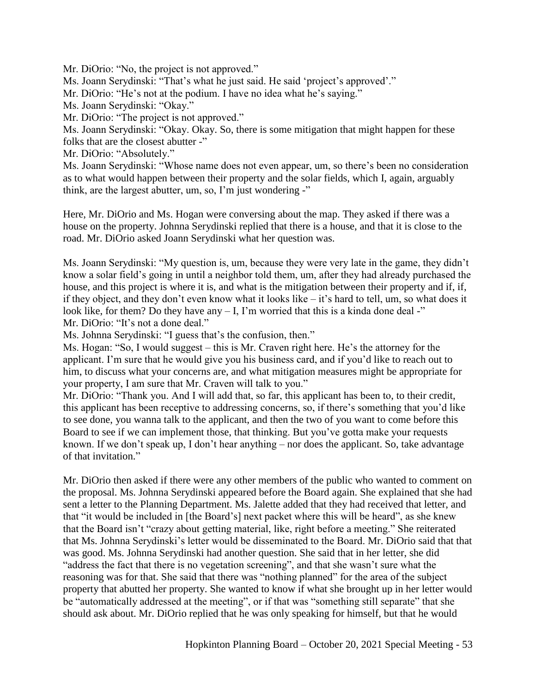Mr. DiOrio: "No, the project is not approved."

Ms. Joann Serydinski: "That's what he just said. He said 'project's approved'."

Mr. DiOrio: "He's not at the podium. I have no idea what he's saying."

Ms. Joann Serydinski: "Okay."

Mr. DiOrio: "The project is not approved."

Ms. Joann Serydinski: "Okay. Okay. So, there is some mitigation that might happen for these folks that are the closest abutter -"

Mr. DiOrio: "Absolutely."

Ms. Joann Serydinski: "Whose name does not even appear, um, so there's been no consideration as to what would happen between their property and the solar fields, which I, again, arguably think, are the largest abutter, um, so, I'm just wondering -"

Here, Mr. DiOrio and Ms. Hogan were conversing about the map. They asked if there was a house on the property. Johnna Serydinski replied that there is a house, and that it is close to the road. Mr. DiOrio asked Joann Serydinski what her question was.

Ms. Joann Serydinski: "My question is, um, because they were very late in the game, they didn't know a solar field's going in until a neighbor told them, um, after they had already purchased the house, and this project is where it is, and what is the mitigation between their property and if, if, if they object, and they don't even know what it looks like – it's hard to tell, um, so what does it look like, for them? Do they have any  $- I$ , I'm worried that this is a kinda done deal -" Mr. DiOrio: "It's not a done deal."

Ms. Johnna Serydinski: "I guess that's the confusion, then."

Ms. Hogan: "So, I would suggest – this is Mr. Craven right here. He's the attorney for the applicant. I'm sure that he would give you his business card, and if you'd like to reach out to him, to discuss what your concerns are, and what mitigation measures might be appropriate for your property, I am sure that Mr. Craven will talk to you."

Mr. DiOrio: "Thank you. And I will add that, so far, this applicant has been to, to their credit, this applicant has been receptive to addressing concerns, so, if there's something that you'd like to see done, you wanna talk to the applicant, and then the two of you want to come before this Board to see if we can implement those, that thinking. But you've gotta make your requests known. If we don't speak up, I don't hear anything – nor does the applicant. So, take advantage of that invitation."

Mr. DiOrio then asked if there were any other members of the public who wanted to comment on the proposal. Ms. Johnna Serydinski appeared before the Board again. She explained that she had sent a letter to the Planning Department. Ms. Jalette added that they had received that letter, and that "it would be included in [the Board's] next packet where this will be heard", as she knew that the Board isn't "crazy about getting material, like, right before a meeting." She reiterated that Ms. Johnna Serydinski's letter would be disseminated to the Board. Mr. DiOrio said that that was good. Ms. Johnna Serydinski had another question. She said that in her letter, she did "address the fact that there is no vegetation screening", and that she wasn't sure what the reasoning was for that. She said that there was "nothing planned" for the area of the subject property that abutted her property. She wanted to know if what she brought up in her letter would be "automatically addressed at the meeting", or if that was "something still separate" that she should ask about. Mr. DiOrio replied that he was only speaking for himself, but that he would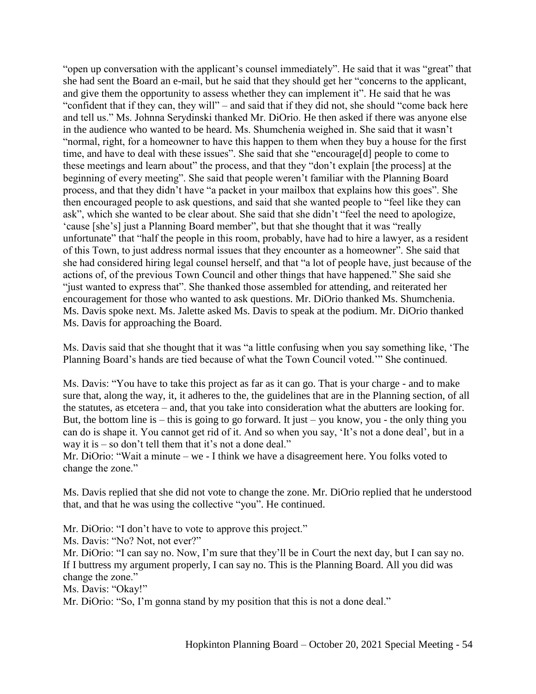"open up conversation with the applicant's counsel immediately". He said that it was "great" that she had sent the Board an e-mail, but he said that they should get her "concerns to the applicant, and give them the opportunity to assess whether they can implement it". He said that he was "confident that if they can, they will" – and said that if they did not, she should "come back here and tell us." Ms. Johnna Serydinski thanked Mr. DiOrio. He then asked if there was anyone else in the audience who wanted to be heard. Ms. Shumchenia weighed in. She said that it wasn't "normal, right, for a homeowner to have this happen to them when they buy a house for the first time, and have to deal with these issues". She said that she "encourage[d] people to come to these meetings and learn about" the process, and that they "don't explain [the process] at the beginning of every meeting". She said that people weren't familiar with the Planning Board process, and that they didn't have "a packet in your mailbox that explains how this goes". She then encouraged people to ask questions, and said that she wanted people to "feel like they can ask", which she wanted to be clear about. She said that she didn't "feel the need to apologize, 'cause [she's] just a Planning Board member", but that she thought that it was "really unfortunate" that "half the people in this room, probably, have had to hire a lawyer, as a resident of this Town, to just address normal issues that they encounter as a homeowner". She said that she had considered hiring legal counsel herself, and that "a lot of people have, just because of the actions of, of the previous Town Council and other things that have happened." She said she "just wanted to express that". She thanked those assembled for attending, and reiterated her encouragement for those who wanted to ask questions. Mr. DiOrio thanked Ms. Shumchenia. Ms. Davis spoke next. Ms. Jalette asked Ms. Davis to speak at the podium. Mr. DiOrio thanked Ms. Davis for approaching the Board.

Ms. Davis said that she thought that it was "a little confusing when you say something like, 'The Planning Board's hands are tied because of what the Town Council voted.'" She continued.

Ms. Davis: "You have to take this project as far as it can go. That is your charge - and to make sure that, along the way, it, it adheres to the, the guidelines that are in the Planning section, of all the statutes, as etcetera – and, that you take into consideration what the abutters are looking for. But, the bottom line is – this is going to go forward. It just – you know, you - the only thing you can do is shape it. You cannot get rid of it. And so when you say, 'It's not a done deal', but in a way it is – so don't tell them that it's not a done deal."

Mr. DiOrio: "Wait a minute – we - I think we have a disagreement here. You folks voted to change the zone."

Ms. Davis replied that she did not vote to change the zone. Mr. DiOrio replied that he understood that, and that he was using the collective "you". He continued.

Mr. DiOrio: "I don't have to vote to approve this project."

Ms. Davis: "No? Not, not ever?"

Mr. DiOrio: "I can say no. Now, I'm sure that they'll be in Court the next day, but I can say no. If I buttress my argument properly, I can say no. This is the Planning Board. All you did was change the zone."

Ms. Davis: "Okay!"

Mr. DiOrio: "So, I'm gonna stand by my position that this is not a done deal."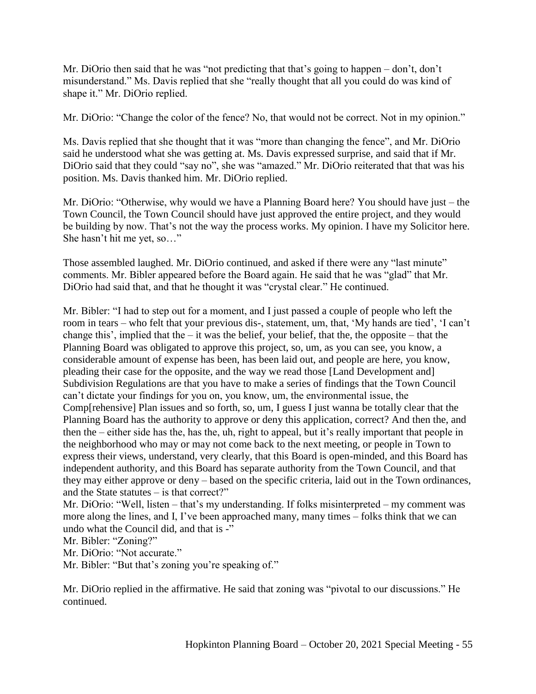Mr. DiOrio then said that he was "not predicting that that's going to happen – don't, don't misunderstand." Ms. Davis replied that she "really thought that all you could do was kind of shape it." Mr. DiOrio replied.

Mr. DiOrio: "Change the color of the fence? No, that would not be correct. Not in my opinion."

Ms. Davis replied that she thought that it was "more than changing the fence", and Mr. DiOrio said he understood what she was getting at. Ms. Davis expressed surprise, and said that if Mr. DiOrio said that they could "say no", she was "amazed." Mr. DiOrio reiterated that that was his position. Ms. Davis thanked him. Mr. DiOrio replied.

Mr. DiOrio: "Otherwise, why would we have a Planning Board here? You should have just – the Town Council, the Town Council should have just approved the entire project, and they would be building by now. That's not the way the process works. My opinion. I have my Solicitor here. She hasn't hit me yet, so…"

Those assembled laughed. Mr. DiOrio continued, and asked if there were any "last minute" comments. Mr. Bibler appeared before the Board again. He said that he was "glad" that Mr. DiOrio had said that, and that he thought it was "crystal clear." He continued.

Mr. Bibler: "I had to step out for a moment, and I just passed a couple of people who left the room in tears – who felt that your previous dis-, statement, um, that, 'My hands are tied', 'I can't change this', implied that the – it was the belief, your belief, that the, the opposite – that the Planning Board was obligated to approve this project, so, um, as you can see, you know, a considerable amount of expense has been, has been laid out, and people are here, you know, pleading their case for the opposite, and the way we read those [Land Development and] Subdivision Regulations are that you have to make a series of findings that the Town Council can't dictate your findings for you on, you know, um, the environmental issue, the Comp[rehensive] Plan issues and so forth, so, um, I guess I just wanna be totally clear that the Planning Board has the authority to approve or deny this application, correct? And then the, and then the – either side has the, has the, uh, right to appeal, but it's really important that people in the neighborhood who may or may not come back to the next meeting, or people in Town to express their views, understand, very clearly, that this Board is open-minded, and this Board has independent authority, and this Board has separate authority from the Town Council, and that they may either approve or deny – based on the specific criteria, laid out in the Town ordinances, and the State statutes  $-$  is that correct?"

Mr. DiOrio: "Well, listen – that's my understanding. If folks misinterpreted – my comment was more along the lines, and I, I've been approached many, many times – folks think that we can undo what the Council did, and that is -"

Mr. Bibler: "Zoning?"

Mr. DiOrio: "Not accurate."

Mr. Bibler: "But that's zoning you're speaking of."

Mr. DiOrio replied in the affirmative. He said that zoning was "pivotal to our discussions." He continued.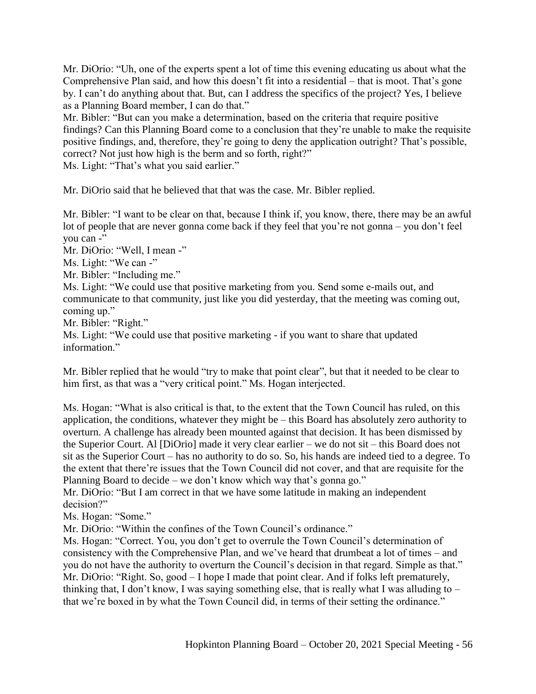Mr. DiOrio: "Uh, one of the experts spent a lot of time this evening educating us about what the Comprehensive Plan said, and how this doesn't fit into a residential – that is moot. That's gone by. I can't do anything about that. But, can I address the specifics of the project? Yes, I believe as a Planning Board member, I can do that."

Mr. Bibler: "But can you make a determination, based on the criteria that require positive findings? Can this Planning Board come to a conclusion that they're unable to make the requisite positive findings, and, therefore, they're going to deny the application outright? That's possible, correct? Not just how high is the berm and so forth, right?"

Ms. Light: "That's what you said earlier."

Mr. DiOrio said that he believed that that was the case. Mr. Bibler replied.

Mr. Bibler: "I want to be clear on that, because I think if, you know, there, there may be an awful lot of people that are never gonna come back if they feel that you're not gonna – you don't feel you can -"

Mr. DiOrio: "Well, I mean -"

Ms. Light: "We can -"

Mr. Bibler: "Including me."

Ms. Light: "We could use that positive marketing from you. Send some e-mails out, and communicate to that community, just like you did yesterday, that the meeting was coming out, coming up."

Mr. Bibler: "Right."

Ms. Light: "We could use that positive marketing - if you want to share that updated information."

Mr. Bibler replied that he would "try to make that point clear", but that it needed to be clear to him first, as that was a "very critical point." Ms. Hogan interjected.

Ms. Hogan: "What is also critical is that, to the extent that the Town Council has ruled, on this application, the conditions, whatever they might be – this Board has absolutely zero authority to overturn. A challenge has already been mounted against that decision. It has been dismissed by the Superior Court. Al [DiOrio] made it very clear earlier – we do not sit – this Board does not sit as the Superior Court – has no authority to do so. So, his hands are indeed tied to a degree. To the extent that there're issues that the Town Council did not cover, and that are requisite for the Planning Board to decide – we don't know which way that's gonna go."

Mr. DiOrio: "But I am correct in that we have some latitude in making an independent decision?"

Ms. Hogan: "Some."

Mr. DiOrio: "Within the confines of the Town Council's ordinance."

Ms. Hogan: "Correct. You, you don't get to overrule the Town Council's determination of consistency with the Comprehensive Plan, and we've heard that drumbeat a lot of times – and you do not have the authority to overturn the Council's decision in that regard. Simple as that." Mr. DiOrio: "Right. So, good – I hope I made that point clear. And if folks left prematurely, thinking that, I don't know, I was saying something else, that is really what I was alluding to – that we're boxed in by what the Town Council did, in terms of their setting the ordinance."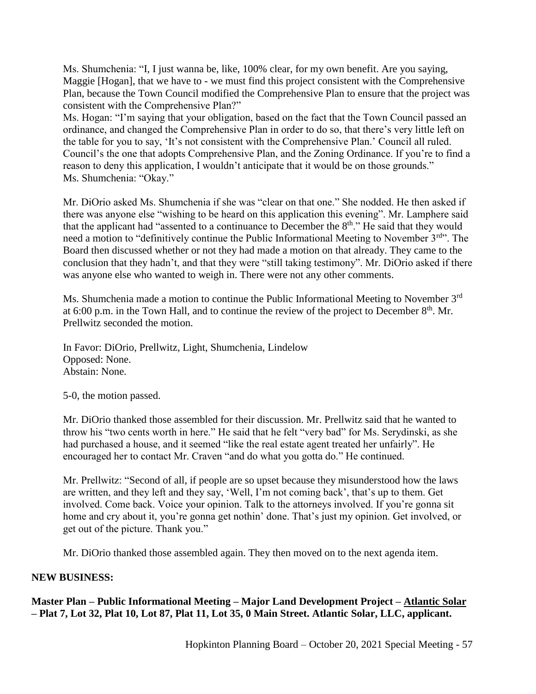Ms. Shumchenia: "I, I just wanna be, like, 100% clear, for my own benefit. Are you saying, Maggie [Hogan], that we have to - we must find this project consistent with the Comprehensive Plan, because the Town Council modified the Comprehensive Plan to ensure that the project was consistent with the Comprehensive Plan?"

Ms. Hogan: "I'm saying that your obligation, based on the fact that the Town Council passed an ordinance, and changed the Comprehensive Plan in order to do so, that there's very little left on the table for you to say, 'It's not consistent with the Comprehensive Plan.' Council all ruled. Council's the one that adopts Comprehensive Plan, and the Zoning Ordinance. If you're to find a reason to deny this application, I wouldn't anticipate that it would be on those grounds." Ms. Shumchenia: "Okay."

Mr. DiOrio asked Ms. Shumchenia if she was "clear on that one." She nodded. He then asked if there was anyone else "wishing to be heard on this application this evening". Mr. Lamphere said that the applicant had "assented to a continuance to December the  $8<sup>th</sup>$ ." He said that they would need a motion to "definitively continue the Public Informational Meeting to November 3<sup>rd</sup>". The Board then discussed whether or not they had made a motion on that already. They came to the conclusion that they hadn't, and that they were "still taking testimony". Mr. DiOrio asked if there was anyone else who wanted to weigh in. There were not any other comments.

Ms. Shumchenia made a motion to continue the Public Informational Meeting to November 3rd at 6:00 p.m. in the Town Hall, and to continue the review of the project to December  $8<sup>th</sup>$ . Mr. Prellwitz seconded the motion.

In Favor: DiOrio, Prellwitz, Light, Shumchenia, Lindelow Opposed: None. Abstain: None.

5-0, the motion passed.

Mr. DiOrio thanked those assembled for their discussion. Mr. Prellwitz said that he wanted to throw his "two cents worth in here." He said that he felt "very bad" for Ms. Serydinski, as she had purchased a house, and it seemed "like the real estate agent treated her unfairly". He encouraged her to contact Mr. Craven "and do what you gotta do." He continued.

Mr. Prellwitz: "Second of all, if people are so upset because they misunderstood how the laws are written, and they left and they say, 'Well, I'm not coming back', that's up to them. Get involved. Come back. Voice your opinion. Talk to the attorneys involved. If you're gonna sit home and cry about it, you're gonna get nothin' done. That's just my opinion. Get involved, or get out of the picture. Thank you."

Mr. DiOrio thanked those assembled again. They then moved on to the next agenda item.

# **NEW BUSINESS:**

**Master Plan – Public Informational Meeting – Major Land Development Project – Atlantic Solar – Plat 7, Lot 32, Plat 10, Lot 87, Plat 11, Lot 35, 0 Main Street. Atlantic Solar, LLC, applicant.**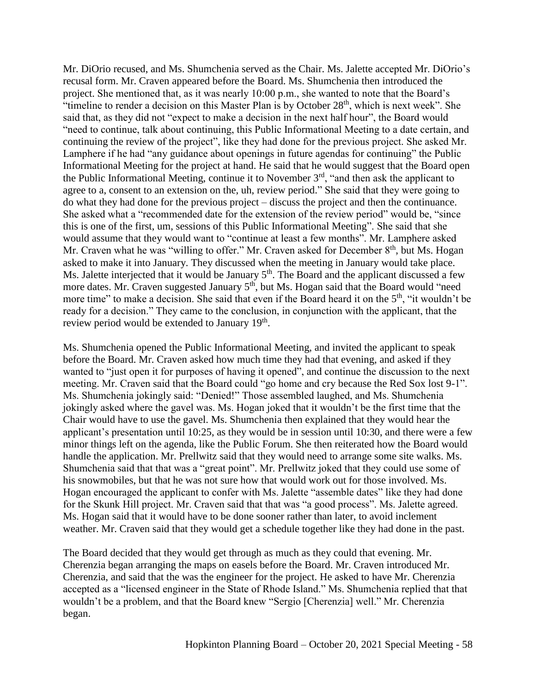Mr. DiOrio recused, and Ms. Shumchenia served as the Chair. Ms. Jalette accepted Mr. DiOrio's recusal form. Mr. Craven appeared before the Board. Ms. Shumchenia then introduced the project. She mentioned that, as it was nearly 10:00 p.m., she wanted to note that the Board's "timeline to render a decision on this Master Plan is by October  $28<sup>th</sup>$ , which is next week". She said that, as they did not "expect to make a decision in the next half hour", the Board would "need to continue, talk about continuing, this Public Informational Meeting to a date certain, and continuing the review of the project", like they had done for the previous project. She asked Mr. Lamphere if he had "any guidance about openings in future agendas for continuing" the Public Informational Meeting for the project at hand. He said that he would suggest that the Board open the Public Informational Meeting, continue it to November 3rd, "and then ask the applicant to agree to a, consent to an extension on the, uh, review period." She said that they were going to do what they had done for the previous project – discuss the project and then the continuance. She asked what a "recommended date for the extension of the review period" would be, "since this is one of the first, um, sessions of this Public Informational Meeting". She said that she would assume that they would want to "continue at least a few months". Mr. Lamphere asked Mr. Craven what he was "willing to offer." Mr. Craven asked for December 8<sup>th</sup>, but Ms. Hogan asked to make it into January. They discussed when the meeting in January would take place. Ms. Jalette interjected that it would be January  $5<sup>th</sup>$ . The Board and the applicant discussed a few more dates. Mr. Craven suggested January 5<sup>th</sup>, but Ms. Hogan said that the Board would "need more time" to make a decision. She said that even if the Board heard it on the 5<sup>th</sup>, "it wouldn't be ready for a decision." They came to the conclusion, in conjunction with the applicant, that the review period would be extended to January  $19<sup>th</sup>$ .

Ms. Shumchenia opened the Public Informational Meeting, and invited the applicant to speak before the Board. Mr. Craven asked how much time they had that evening, and asked if they wanted to "just open it for purposes of having it opened", and continue the discussion to the next meeting. Mr. Craven said that the Board could "go home and cry because the Red Sox lost 9-1". Ms. Shumchenia jokingly said: "Denied!" Those assembled laughed, and Ms. Shumchenia jokingly asked where the gavel was. Ms. Hogan joked that it wouldn't be the first time that the Chair would have to use the gavel. Ms. Shumchenia then explained that they would hear the applicant's presentation until 10:25, as they would be in session until 10:30, and there were a few minor things left on the agenda, like the Public Forum. She then reiterated how the Board would handle the application. Mr. Prellwitz said that they would need to arrange some site walks. Ms. Shumchenia said that that was a "great point". Mr. Prellwitz joked that they could use some of his snowmobiles, but that he was not sure how that would work out for those involved. Ms. Hogan encouraged the applicant to confer with Ms. Jalette "assemble dates" like they had done for the Skunk Hill project. Mr. Craven said that that was "a good process". Ms. Jalette agreed. Ms. Hogan said that it would have to be done sooner rather than later, to avoid inclement weather. Mr. Craven said that they would get a schedule together like they had done in the past.

The Board decided that they would get through as much as they could that evening. Mr. Cherenzia began arranging the maps on easels before the Board. Mr. Craven introduced Mr. Cherenzia, and said that the was the engineer for the project. He asked to have Mr. Cherenzia accepted as a "licensed engineer in the State of Rhode Island." Ms. Shumchenia replied that that wouldn't be a problem, and that the Board knew "Sergio [Cherenzia] well." Mr. Cherenzia began.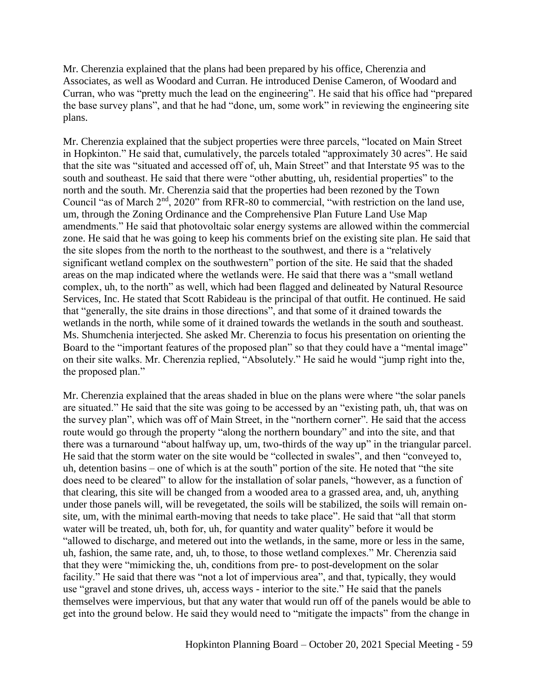Mr. Cherenzia explained that the plans had been prepared by his office, Cherenzia and Associates, as well as Woodard and Curran. He introduced Denise Cameron, of Woodard and Curran, who was "pretty much the lead on the engineering". He said that his office had "prepared the base survey plans", and that he had "done, um, some work" in reviewing the engineering site plans.

Mr. Cherenzia explained that the subject properties were three parcels, "located on Main Street in Hopkinton." He said that, cumulatively, the parcels totaled "approximately 30 acres". He said that the site was "situated and accessed off of, uh, Main Street" and that Interstate 95 was to the south and southeast. He said that there were "other abutting, uh, residential properties" to the north and the south. Mr. Cherenzia said that the properties had been rezoned by the Town Council "as of March 2<sup>nd</sup>, 2020" from RFR-80 to commercial, "with restriction on the land use, um, through the Zoning Ordinance and the Comprehensive Plan Future Land Use Map amendments." He said that photovoltaic solar energy systems are allowed within the commercial zone. He said that he was going to keep his comments brief on the existing site plan. He said that the site slopes from the north to the northeast to the southwest, and there is a "relatively significant wetland complex on the southwestern" portion of the site. He said that the shaded areas on the map indicated where the wetlands were. He said that there was a "small wetland complex, uh, to the north" as well, which had been flagged and delineated by Natural Resource Services, Inc. He stated that Scott Rabideau is the principal of that outfit. He continued. He said that "generally, the site drains in those directions", and that some of it drained towards the wetlands in the north, while some of it drained towards the wetlands in the south and southeast. Ms. Shumchenia interjected. She asked Mr. Cherenzia to focus his presentation on orienting the Board to the "important features of the proposed plan" so that they could have a "mental image" on their site walks. Mr. Cherenzia replied, "Absolutely." He said he would "jump right into the, the proposed plan."

Mr. Cherenzia explained that the areas shaded in blue on the plans were where "the solar panels are situated." He said that the site was going to be accessed by an "existing path, uh, that was on the survey plan", which was off of Main Street, in the "northern corner". He said that the access route would go through the property "along the northern boundary" and into the site, and that there was a turnaround "about halfway up, um, two-thirds of the way up" in the triangular parcel. He said that the storm water on the site would be "collected in swales", and then "conveyed to, uh, detention basins – one of which is at the south" portion of the site. He noted that "the site does need to be cleared" to allow for the installation of solar panels, "however, as a function of that clearing, this site will be changed from a wooded area to a grassed area, and, uh, anything under those panels will, will be revegetated, the soils will be stabilized, the soils will remain onsite, um, with the minimal earth-moving that needs to take place". He said that "all that storm water will be treated, uh, both for, uh, for quantity and water quality" before it would be "allowed to discharge, and metered out into the wetlands, in the same, more or less in the same, uh, fashion, the same rate, and, uh, to those, to those wetland complexes." Mr. Cherenzia said that they were "mimicking the, uh, conditions from pre- to post-development on the solar facility." He said that there was "not a lot of impervious area", and that, typically, they would use "gravel and stone drives, uh, access ways - interior to the site." He said that the panels themselves were impervious, but that any water that would run off of the panels would be able to get into the ground below. He said they would need to "mitigate the impacts" from the change in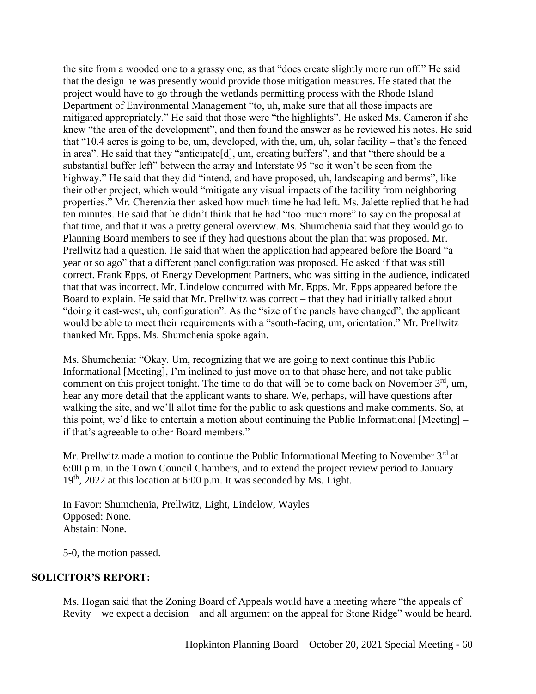the site from a wooded one to a grassy one, as that "does create slightly more run off." He said that the design he was presently would provide those mitigation measures. He stated that the project would have to go through the wetlands permitting process with the Rhode Island Department of Environmental Management "to, uh, make sure that all those impacts are mitigated appropriately." He said that those were "the highlights". He asked Ms. Cameron if she knew "the area of the development", and then found the answer as he reviewed his notes. He said that "10.4 acres is going to be, um, developed, with the, um, uh, solar facility – that's the fenced in area". He said that they "anticipate[d], um, creating buffers", and that "there should be a substantial buffer left" between the array and Interstate 95 "so it won't be seen from the highway." He said that they did "intend, and have proposed, uh, landscaping and berms", like their other project, which would "mitigate any visual impacts of the facility from neighboring properties." Mr. Cherenzia then asked how much time he had left. Ms. Jalette replied that he had ten minutes. He said that he didn't think that he had "too much more" to say on the proposal at that time, and that it was a pretty general overview. Ms. Shumchenia said that they would go to Planning Board members to see if they had questions about the plan that was proposed. Mr. Prellwitz had a question. He said that when the application had appeared before the Board "a year or so ago" that a different panel configuration was proposed. He asked if that was still correct. Frank Epps, of Energy Development Partners, who was sitting in the audience, indicated that that was incorrect. Mr. Lindelow concurred with Mr. Epps. Mr. Epps appeared before the Board to explain. He said that Mr. Prellwitz was correct – that they had initially talked about "doing it east-west, uh, configuration". As the "size of the panels have changed", the applicant would be able to meet their requirements with a "south-facing, um, orientation." Mr. Prellwitz thanked Mr. Epps. Ms. Shumchenia spoke again.

Ms. Shumchenia: "Okay. Um, recognizing that we are going to next continue this Public Informational [Meeting], I'm inclined to just move on to that phase here, and not take public comment on this project tonight. The time to do that will be to come back on November  $3<sup>rd</sup>$ , um, hear any more detail that the applicant wants to share. We, perhaps, will have questions after walking the site, and we'll allot time for the public to ask questions and make comments. So, at this point, we'd like to entertain a motion about continuing the Public Informational [Meeting] – if that's agreeable to other Board members."

Mr. Prellwitz made a motion to continue the Public Informational Meeting to November  $3<sup>rd</sup>$  at 6:00 p.m. in the Town Council Chambers, and to extend the project review period to January  $19<sup>th</sup>$ , 2022 at this location at 6:00 p.m. It was seconded by Ms. Light.

In Favor: Shumchenia, Prellwitz, Light, Lindelow, Wayles Opposed: None. Abstain: None.

5-0, the motion passed.

# **SOLICITOR'S REPORT:**

Ms. Hogan said that the Zoning Board of Appeals would have a meeting where "the appeals of Revity – we expect a decision – and all argument on the appeal for Stone Ridge" would be heard.